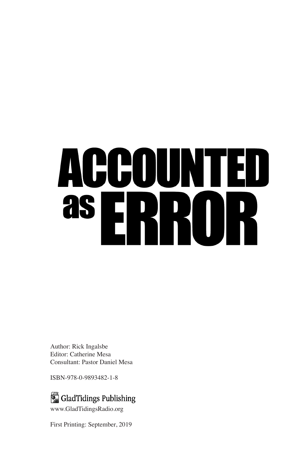## ACCOUNT  $\overline{\phantom{a}}$ RRI **as** IR

Author: Rick Ingalsbe Editor: Catherine Mesa Consultant: Pastor Daniel Mesa

ISBN-978-0-9893482-1-8

### $\frac{GIR}{G}$  GladTidings Publishing

www.GladTidingsRadio.org

First Printing: September, 2019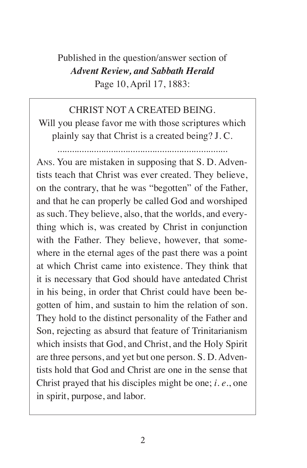#### Published in the question/answer section of *Advent Review, and Sabbath Herald* Page 10, April 17, 1883:

#### CHRIST NOT A CREATED BEING.

Will you please favor me with those scriptures which plainly say that Christ is a created being? J. C.

...................................................................... Ans. You are mistaken in supposing that S. D. Adventists teach that Christ was ever created. They believe, on the contrary, that he was "begotten" of the Father, and that he can properly be called God and worshiped as such. They believe, also, that the worlds, and everything which is, was created by Christ in conjunction with the Father. They believe, however, that somewhere in the eternal ages of the past there was a point at which Christ came into existence. They think that it is necessary that God should have antedated Christ in his being, in order that Christ could have been begotten of him, and sustain to him the relation of son. They hold to the distinct personality of the Father and Son, rejecting as absurd that feature of Trinitarianism which insists that God, and Christ, and the Holy Spirit are three persons, and yet but one person. S. D. Adventists hold that God and Christ are one in the sense that Christ prayed that his disciples might be one; *i. e.*, one in spirit, purpose, and labor.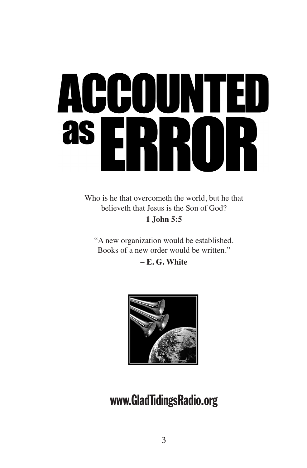# CCOUN  $\overline{\phantom{a}}$ **as**

Who is he that overcometh the world, but he that believeth that Jesus is the Son of God? **1 John 5:5**

"A new organization would be established. Books of a new order would be written."

**– E. G. White**



### www.GladTidingsRadio.org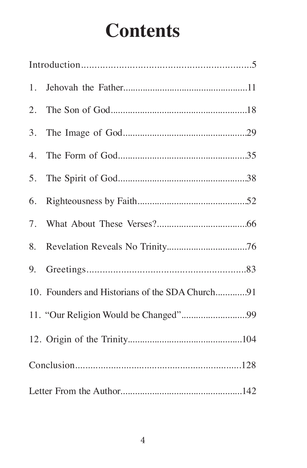# **Contents**

| 6. |                                                 |
|----|-------------------------------------------------|
|    |                                                 |
|    |                                                 |
| 9. |                                                 |
|    | 10. Founders and Historians of the SDA Church91 |
|    |                                                 |
|    |                                                 |
|    |                                                 |
|    |                                                 |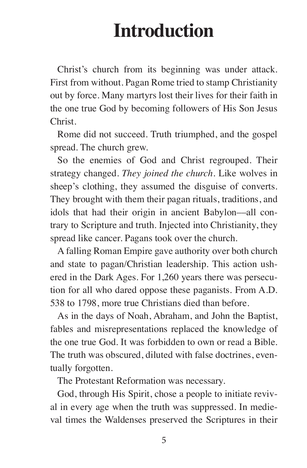## **Introduction**

Christ's church from its beginning was under attack. First from without. Pagan Rome tried to stamp Christianity out by force. Many martyrs lost their lives for their faith in the one true God by becoming followers of His Son Jesus Christ.

Rome did not succeed. Truth triumphed, and the gospel spread. The church grew.

So the enemies of God and Christ regrouped. Their strategy changed. *They joined the church*. Like wolves in sheep's clothing, they assumed the disguise of converts. They brought with them their pagan rituals, traditions, and idols that had their origin in ancient Babylon––all contrary to Scripture and truth. Injected into Christianity, they spread like cancer. Pagans took over the church.

A falling Roman Empire gave authority over both church and state to pagan/Christian leadership. This action ushered in the Dark Ages. For 1,260 years there was persecution for all who dared oppose these paganists. From A.D. 538 to 1798, more true Christians died than before.

As in the days of Noah, Abraham, and John the Baptist, fables and misrepresentations replaced the knowledge of the one true God. It was forbidden to own or read a Bible. The truth was obscured, diluted with false doctrines, eventually forgotten.

The Protestant Reformation was necessary.

God, through His Spirit, chose a people to initiate revival in every age when the truth was suppressed. In medieval times the Waldenses preserved the Scriptures in their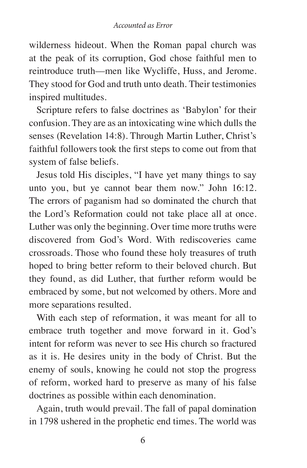wilderness hideout. When the Roman papal church was at the peak of its corruption, God chose faithful men to reintroduce truth––men like Wycliffe, Huss, and Jerome. They stood for God and truth unto death. Their testimonies inspired multitudes.

Scripture refers to false doctrines as 'Babylon' for their confusion. They are as an intoxicating wine which dulls the senses (Revelation 14:8). Through Martin Luther, Christ's faithful followers took the first steps to come out from that system of false beliefs.

Jesus told His disciples, "I have yet many things to say unto you, but ye cannot bear them now." John 16:12. The errors of paganism had so dominated the church that the Lord's Reformation could not take place all at once. Luther was only the beginning. Over time more truths were discovered from God's Word. With rediscoveries came crossroads. Those who found these holy treasures of truth hoped to bring better reform to their beloved church. But they found, as did Luther, that further reform would be embraced by some, but not welcomed by others. More and more separations resulted.

With each step of reformation, it was meant for all to embrace truth together and move forward in it. God's intent for reform was never to see His church so fractured as it is. He desires unity in the body of Christ. But the enemy of souls, knowing he could not stop the progress of reform, worked hard to preserve as many of his false doctrines as possible within each denomination.

Again, truth would prevail. The fall of papal domination in 1798 ushered in the prophetic end times. The world was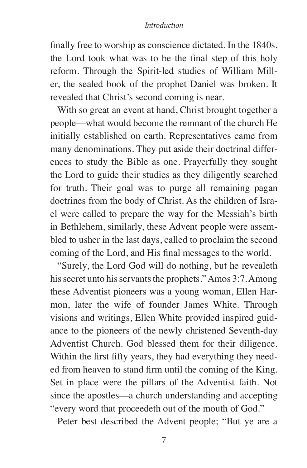#### *Introduction*

finally free to worship as conscience dictated. In the 1840s, the Lord took what was to be the final step of this holy reform. Through the Spirit-led studies of William Miller, the sealed book of the prophet Daniel was broken. It revealed that Christ's second coming is near.

With so great an event at hand, Christ brought together a people––what would become the remnant of the church He initially established on earth. Representatives came from many denominations. They put aside their doctrinal differences to study the Bible as one. Prayerfully they sought the Lord to guide their studies as they diligently searched for truth. Their goal was to purge all remaining pagan doctrines from the body of Christ. As the children of Israel were called to prepare the way for the Messiah's birth in Bethlehem, similarly, these Advent people were assembled to usher in the last days, called to proclaim the second coming of the Lord, and His final messages to the world.

"Surely, the Lord God will do nothing, but he revealeth his secret unto his servants the prophets." Amos 3:7. Among these Adventist pioneers was a young woman, Ellen Harmon, later the wife of founder James White. Through visions and writings, Ellen White provided inspired guidance to the pioneers of the newly christened Seventh-day Adventist Church. God blessed them for their diligence. Within the first fifty years, they had everything they needed from heaven to stand firm until the coming of the King. Set in place were the pillars of the Adventist faith. Not since the apostles––a church understanding and accepting "every word that proceedeth out of the mouth of God."

Peter best described the Advent people; "But ye are a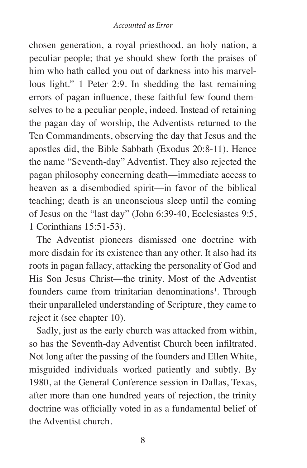chosen generation, a royal priesthood, an holy nation, a peculiar people; that ye should shew forth the praises of him who hath called you out of darkness into his marvellous light." 1 Peter 2:9. In shedding the last remaining errors of pagan influence, these faithful few found themselves to be a peculiar people, indeed. Instead of retaining the pagan day of worship, the Adventists returned to the Ten Commandments, observing the day that Jesus and the apostles did, the Bible Sabbath (Exodus 20:8-11). Hence the name "Seventh-day" Adventist. They also rejected the pagan philosophy concerning death––immediate access to heaven as a disembodied spirit—in favor of the biblical teaching; death is an unconscious sleep until the coming of Jesus on the "last day" (John 6:39-40, Ecclesiastes 9:5, 1 Corinthians 15:51-53).

The Adventist pioneers dismissed one doctrine with more disdain for its existence than any other. It also had its roots in pagan fallacy, attacking the personality of God and His Son Jesus Christ––the trinity. Most of the Adventist founders came from trinitarian denominations<sup>1</sup>. Through their unparalleled understanding of Scripture, they came to reject it (see chapter 10).

Sadly, just as the early church was attacked from within, so has the Seventh-day Adventist Church been infiltrated. Not long after the passing of the founders and Ellen White, misguided individuals worked patiently and subtly. By 1980, at the General Conference session in Dallas, Texas, after more than one hundred years of rejection, the trinity doctrine was officially voted in as a fundamental belief of the Adventist church.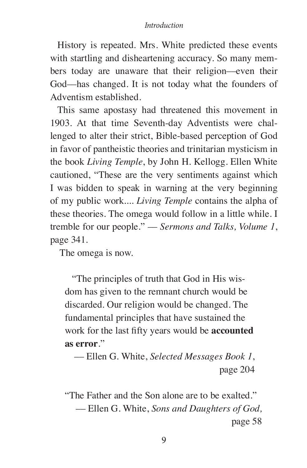#### *Introduction*

History is repeated. Mrs. White predicted these events with startling and disheartening accuracy. So many members today are unaware that their religion––even their God––has changed. It is not today what the founders of Adventism established.

This same apostasy had threatened this movement in 1903. At that time Seventh-day Adventists were challenged to alter their strict, Bible-based perception of God in favor of pantheistic theories and trinitarian mysticism in the book *Living Temple*, by John H. Kellogg. Ellen White cautioned, "These are the very sentiments against which I was bidden to speak in warning at the very beginning of my public work.... *Living Temple* contains the alpha of these theories. The omega would follow in a little while. I tremble for our people." –– *Sermons and Talks, Volume 1*, page 341.

The omega is now.

"The principles of truth that God in His wisdom has given to the remnant church would be discarded. Our religion would be changed. The fundamental principles that have sustained the work for the last fifty years would be **accounted as error**."

–– Ellen G. White, *Selected Messages Book 1*, page 204

"The Father and the Son alone are to be exalted." –– Ellen G. White, *Sons and Daughters of God,* page 58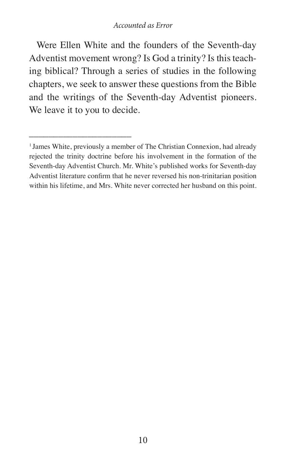Were Ellen White and the founders of the Seventh-day Adventist movement wrong? Is God a trinity? Is this teaching biblical? Through a series of studies in the following chapters, we seek to answer these questions from the Bible and the writings of the Seventh-day Adventist pioneers. We leave it to you to decide.

–––––––––––––––––––––

<sup>&</sup>lt;sup>1</sup> James White, previously a member of The Christian Connexion, had already rejected the trinity doctrine before his involvement in the formation of the Seventh-day Adventist Church. Mr. White's published works for Seventh-day Adventist literature confirm that he never reversed his non-trinitarian position within his lifetime, and Mrs. White never corrected her husband on this point.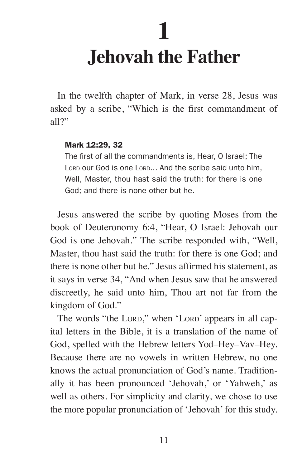# **1 Jehovah the Father**

In the twelfth chapter of Mark, in verse 28, Jesus was asked by a scribe, "Which is the first commandment of all?"

#### Mark 12:29, 32

The first of all the commandments is, Hear, O Israel; The LORD our God is one LORD... And the scribe said unto him, Well, Master, thou hast said the truth: for there is one God; and there is none other but he.

Jesus answered the scribe by quoting Moses from the book of Deuteronomy 6:4, "Hear, O Israel: Jehovah our God is one Jehovah." The scribe responded with, "Well, Master, thou hast said the truth: for there is one God; and there is none other but he." Jesus affirmed his statement, as it says in verse 34, "And when Jesus saw that he answered discreetly, he said unto him, Thou art not far from the kingdom of God."

The words "the LORD," when 'LORD' appears in all capital letters in the Bible, it is a translation of the name of God, spelled with the Hebrew letters Yod–Hey–Vav–Hey. Because there are no vowels in written Hebrew, no one knows the actual pronunciation of God's name. Traditionally it has been pronounced 'Jehovah,' or 'Yahweh,' as well as others. For simplicity and clarity, we chose to use the more popular pronunciation of 'Jehovah' for this study.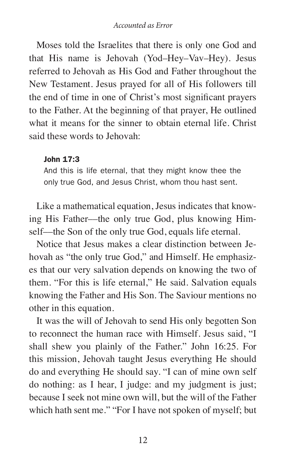Moses told the Israelites that there is only one God and that His name is Jehovah (Yod–Hey–Vav–Hey). Jesus referred to Jehovah as His God and Father throughout the New Testament. Jesus prayed for all of His followers till the end of time in one of Christ's most significant prayers to the Father. At the beginning of that prayer, He outlined what it means for the sinner to obtain eternal life. Christ said these words to Jehovah:

#### John 17:3

And this is life eternal, that they might know thee the only true God, and Jesus Christ, whom thou hast sent.

Like a mathematical equation, Jesus indicates that knowing His Father––the only true God, plus knowing Himself—the Son of the only true God, equals life eternal.

Notice that Jesus makes a clear distinction between Jehovah as "the only true God," and Himself. He emphasizes that our very salvation depends on knowing the two of them. "For this is life eternal," He said. Salvation equals knowing the Father and His Son. The Saviour mentions no other in this equation.

It was the will of Jehovah to send His only begotten Son to reconnect the human race with Himself. Jesus said, "I shall shew you plainly of the Father." John 16:25. For this mission, Jehovah taught Jesus everything He should do and everything He should say. "I can of mine own self do nothing: as I hear, I judge: and my judgment is just; because I seek not mine own will, but the will of the Father which hath sent me." "For I have not spoken of myself; but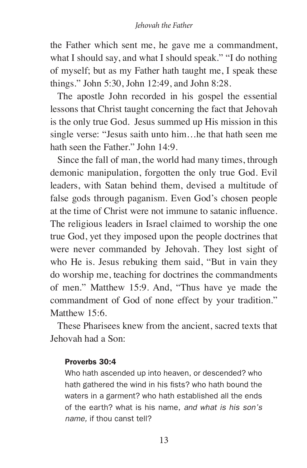#### *Jehovah the Father*

the Father which sent me, he gave me a commandment, what I should say, and what I should speak." "I do nothing of myself; but as my Father hath taught me, I speak these things." John 5:30, John 12:49, and John 8:28.

The apostle John recorded in his gospel the essential lessons that Christ taught concerning the fact that Jehovah is the only true God. Jesus summed up His mission in this single verse: "Jesus saith unto him…he that hath seen me hath seen the Father." John 14:9.

Since the fall of man, the world had many times, through demonic manipulation, forgotten the only true God. Evil leaders, with Satan behind them, devised a multitude of false gods through paganism. Even God's chosen people at the time of Christ were not immune to satanic influence. The religious leaders in Israel claimed to worship the one true God, yet they imposed upon the people doctrines that were never commanded by Jehovah. They lost sight of who He is. Jesus rebuking them said, "But in vain they do worship me, teaching for doctrines the commandments of men." Matthew 15:9. And, "Thus have ye made the commandment of God of none effect by your tradition." Matthew 15:6.

These Pharisees knew from the ancient, sacred texts that Jehovah had a Son:

#### Proverbs 30:4

Who hath ascended up into heaven, or descended? who hath gathered the wind in his fists? who hath bound the waters in a garment? who hath established all the ends of the earth? what is his name, *and what is his son's name,* if thou canst tell?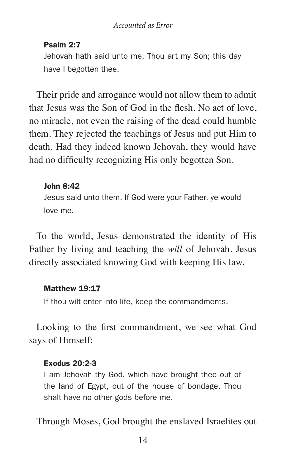#### Psalm 2:7

Jehovah hath said unto me, Thou art my Son; this day have I begotten thee.

Their pride and arrogance would not allow them to admit that Jesus was the Son of God in the flesh. No act of love, no miracle, not even the raising of the dead could humble them. They rejected the teachings of Jesus and put Him to death. Had they indeed known Jehovah, they would have had no difficulty recognizing His only begotten Son.

#### John 8:42

Jesus said unto them, If God were your Father, ye would love me.

To the world, Jesus demonstrated the identity of His Father by living and teaching the *will* of Jehovah. Jesus directly associated knowing God with keeping His law.

#### Matthew 19:17

If thou wilt enter into life, keep the commandments.

Looking to the first commandment, we see what God says of Himself:

#### Exodus 20:2-3

I am Jehovah thy God, which have brought thee out of the land of Egypt, out of the house of bondage. Thou shalt have no other gods before me.

Through Moses, God brought the enslaved Israelites out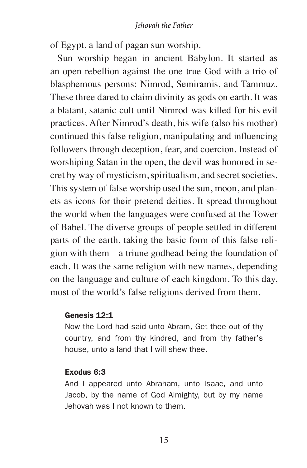of Egypt, a land of pagan sun worship.

Sun worship began in ancient Babylon. It started as an open rebellion against the one true God with a trio of blasphemous persons: Nimrod, Semiramis, and Tammuz. These three dared to claim divinity as gods on earth. It was a blatant, satanic cult until Nimrod was killed for his evil practices. After Nimrod's death, his wife (also his mother) continued this false religion, manipulating and influencing followers through deception, fear, and coercion. Instead of worshiping Satan in the open, the devil was honored in secret by way of mysticism, spiritualism, and secret societies. This system of false worship used the sun, moon, and planets as icons for their pretend deities. It spread throughout the world when the languages were confused at the Tower of Babel. The diverse groups of people settled in different parts of the earth, taking the basic form of this false religion with them––a triune godhead being the foundation of each. It was the same religion with new names, depending on the language and culture of each kingdom. To this day, most of the world's false religions derived from them.

#### Genesis 12:1

Now the Lord had said unto Abram, Get thee out of thy country, and from thy kindred, and from thy father's house, unto a land that I will shew thee.

#### Exodus 6:3

And I appeared unto Abraham, unto Isaac, and unto Jacob, by the name of God Almighty, but by my name Jehovah was I not known to them.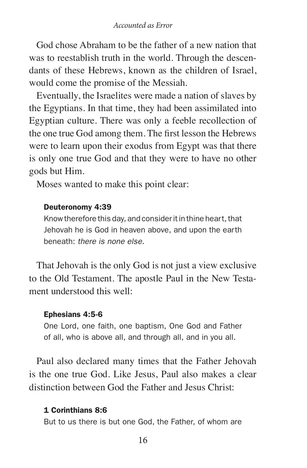God chose Abraham to be the father of a new nation that was to reestablish truth in the world. Through the descendants of these Hebrews, known as the children of Israel, would come the promise of the Messiah.

Eventually, the Israelites were made a nation of slaves by the Egyptians. In that time, they had been assimilated into Egyptian culture. There was only a feeble recollection of the one true God among them. The first lesson the Hebrews were to learn upon their exodus from Egypt was that there is only one true God and that they were to have no other gods but Him.

Moses wanted to make this point clear:

#### Deuteronomy 4:39

Know therefore this day, and consider it in thine heart, that Jehovah he is God in heaven above, and upon the earth beneath: *there is none else*.

That Jehovah is the only God is not just a view exclusive to the Old Testament. The apostle Paul in the New Testament understood this well:

#### Ephesians 4:5-6

One Lord, one faith, one baptism, One God and Father of all, who is above all, and through all, and in you all.

Paul also declared many times that the Father Jehovah is the one true God. Like Jesus, Paul also makes a clear distinction between God the Father and Jesus Christ:

#### 1 Corinthians 8:6

But to us there is but one God, the Father, of whom are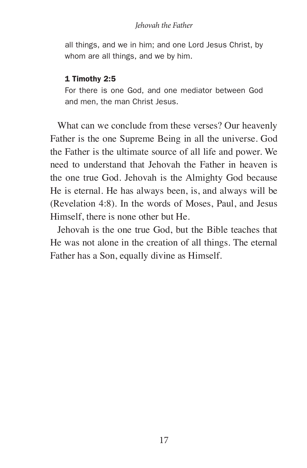#### *Jehovah the Father*

all things, and we in him; and one Lord Jesus Christ, by whom are all things, and we by him.

#### 1 Timothy 2:5

For there is one God, and one mediator between God and men, the man Christ Jesus.

What can we conclude from these verses? Our heavenly Father is the one Supreme Being in all the universe. God the Father is the ultimate source of all life and power. We need to understand that Jehovah the Father in heaven is the one true God. Jehovah is the Almighty God because He is eternal. He has always been, is, and always will be (Revelation 4:8). In the words of Moses, Paul, and Jesus Himself, there is none other but He.

Jehovah is the one true God, but the Bible teaches that He was not alone in the creation of all things. The eternal Father has a Son, equally divine as Himself.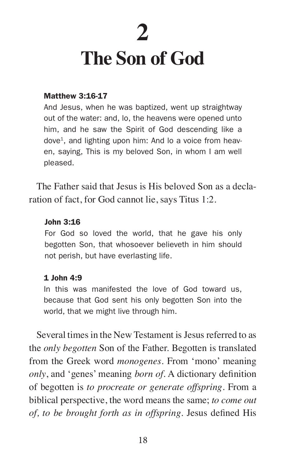# **2 The Son of God**

#### Matthew 3:16-17

And Jesus, when he was baptized, went up straightway out of the water: and, lo, the heavens were opened unto him, and he saw the Spirit of God descending like a dove<sup>1</sup>, and lighting upon him: And lo a voice from heaven, saying, This is my beloved Son, in whom I am well pleased.

The Father said that Jesus is His beloved Son as a declaration of fact, for God cannot lie, says Titus 1:2.

#### John 3:16

For God so loved the world, that he gave his only begotten Son, that whosoever believeth in him should not perish, but have everlasting life.

#### 1 John 4:9

In this was manifested the love of God toward us, because that God sent his only begotten Son into the world, that we might live through him.

Several times in the New Testament is Jesus referred to as the *only begotten* Son of the Father. Begotten is translated from the Greek word *monogenes*. From 'mono' meaning *only*, and 'genes' meaning *born of*. A dictionary definition of begotten is *to procreate or generate offspring*. From a biblical perspective, the word means the same; *to come out of, to be brought forth as in offspring*. Jesus defined His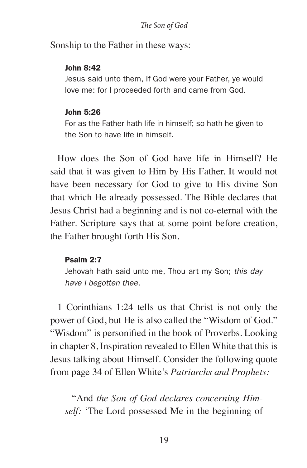Sonship to the Father in these ways:

#### John 8:42

Jesus said unto them, If God were your Father, ye would love me: for I proceeded forth and came from God.

#### John 5:26

For as the Father hath life in himself; so hath he given to the Son to have life in himself.

How does the Son of God have life in Himself? He said that it was given to Him by His Father. It would not have been necessary for God to give to His divine Son that which He already possessed. The Bible declares that Jesus Christ had a beginning and is not co-eternal with the Father. Scripture says that at some point before creation, the Father brought forth His Son.

#### Psalm 2:7

Jehovah hath said unto me, Thou art my Son; *this day have I begotten thee.*

1 Corinthians 1:24 tells us that Christ is not only the power of God, but He is also called the "Wisdom of God." "Wisdom" is personified in the book of Proverbs. Looking in chapter 8, Inspiration revealed to Ellen White that this is Jesus talking about Himself. Consider the following quote from page 34 of Ellen White's *Patriarchs and Prophets:*

"And *the Son of God declares concerning Himself:* 'The Lord possessed Me in the beginning of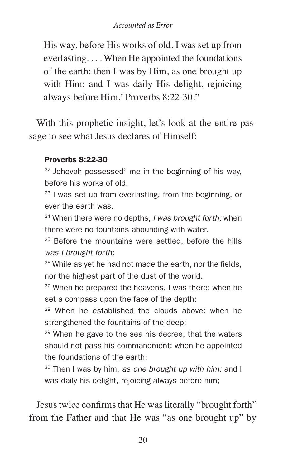His way, before His works of old. I was set up from everlasting. . . . When He appointed the foundations of the earth: then I was by Him, as one brought up with Him: and I was daily His delight, rejoicing always before Him.' Proverbs 8:22-30."

With this prophetic insight, let's look at the entire passage to see what Jesus declares of Himself:

#### Proverbs 8:22-30

<sup>22</sup> Jehovah possessed<sup>2</sup> me in the beginning of his way, before his works of old.

<sup>23</sup> I was set up from everlasting, from the beginning, or ever the earth was.

24 When there were no depths, *I was brought forth;* when there were no fountains abounding with water.

<sup>25</sup> Before the mountains were settled, before the hills *was I brought forth:*

 $26$  While as yet he had not made the earth, nor the fields, nor the highest part of the dust of the world.

<sup>27</sup> When he prepared the heavens, I was there: when he set a compass upon the face of the depth:

 $28$  When he established the clouds above: when he strengthened the fountains of the deep:

 $29$  When he gave to the sea his decree, that the waters should not pass his commandment: when he appointed the foundations of the earth:

30 Then I was by him, *as one brought up with him:* and I was daily his delight, rejoicing always before him;

Jesus twice confirms that He was literally "brought forth" from the Father and that He was "as one brought up" by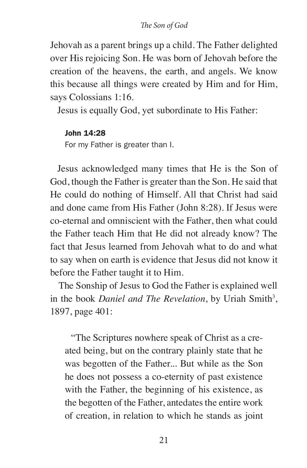#### *The Son of God*

Jehovah as a parent brings up a child. The Father delighted over His rejoicing Son. He was born of Jehovah before the creation of the heavens, the earth, and angels. We know this because all things were created by Him and for Him, says Colossians 1:16.

Jesus is equally God, yet subordinate to His Father:

#### John 14:28

For my Father is greater than I.

Jesus acknowledged many times that He is the Son of God, though the Father is greater than the Son. He said that He could do nothing of Himself. All that Christ had said and done came from His Father (John 8:28). If Jesus were co-eternal and omniscient with the Father, then what could the Father teach Him that He did not already know? The fact that Jesus learned from Jehovah what to do and what to say when on earth is evidence that Jesus did not know it before the Father taught it to Him.

 The Sonship of Jesus to God the Father is explained well in the book *Daniel and The Revelation*, by Uriah Smith<sup>3</sup>, 1897, page 401:

"The Scriptures nowhere speak of Christ as a created being, but on the contrary plainly state that he was begotten of the Father... But while as the Son he does not possess a co-eternity of past existence with the Father, the beginning of his existence, as the begotten of the Father, antedates the entire work of creation, in relation to which he stands as joint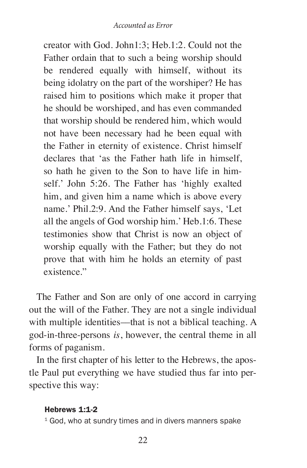creator with God. John1:3; Heb.1:2. Could not the Father ordain that to such a being worship should be rendered equally with himself, without its being idolatry on the part of the worshiper? He has raised him to positions which make it proper that he should be worshiped, and has even commanded that worship should be rendered him, which would not have been necessary had he been equal with the Father in eternity of existence. Christ himself declares that 'as the Father hath life in himself, so hath he given to the Son to have life in himself.' John 5:26. The Father has 'highly exalted him, and given him a name which is above every name.' Phil.2:9. And the Father himself says, 'Let all the angels of God worship him.' Heb.1:6. These testimonies show that Christ is now an object of worship equally with the Father; but they do not prove that with him he holds an eternity of past existence."

The Father and Son are only of one accord in carrying out the will of the Father. They are not a single individual with multiple identities—that is not a biblical teaching. A god-in-three-persons *is*, however, the central theme in all forms of paganism.

In the first chapter of his letter to the Hebrews, the apostle Paul put everything we have studied thus far into perspective this way:

#### Hebrews 1:1-2

<sup>1</sup> God, who at sundry times and in divers manners spake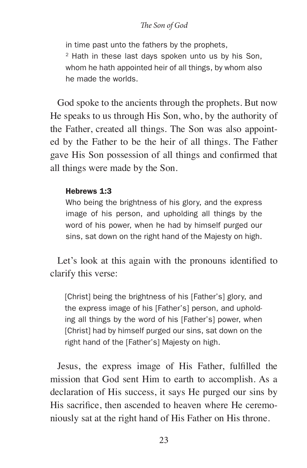#### *The Son of God*

in time past unto the fathers by the prophets, 2 Hath in these last days spoken unto us by his Son, whom he hath appointed heir of all things, by whom also he made the worlds.

God spoke to the ancients through the prophets. But now He speaks to us through His Son, who, by the authority of the Father, created all things. The Son was also appointed by the Father to be the heir of all things. The Father gave His Son possession of all things and confirmed that all things were made by the Son.

#### Hebrews 1:3

Who being the brightness of his glory, and the express image of his person, and upholding all things by the word of his power, when he had by himself purged our sins, sat down on the right hand of the Majesty on high.

Let's look at this again with the pronouns identified to clarify this verse:

[Christ] being the brightness of his [Father's] glory, and the express image of his [Father's] person, and upholding all things by the word of his [Father's] power, when [Christ] had by himself purged our sins, sat down on the right hand of the [Father's] Majesty on high.

Jesus, the express image of His Father, fulfilled the mission that God sent Him to earth to accomplish. As a declaration of His success, it says He purged our sins by His sacrifice, then ascended to heaven where He ceremoniously sat at the right hand of His Father on His throne.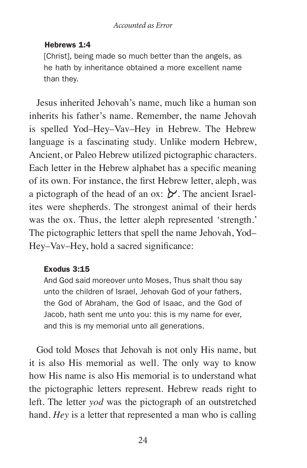#### Hebrews 1:4

[Christ], being made so much better than the angels, as he hath by inheritance obtained a more excellent name than they.

Jesus inherited Jehovah's name, much like a human son inherits his father's name. Remember, the name Jehovah is spelled Yod–Hey–Vav–Hey in Hebrew. The Hebrew language is a fascinating study. Unlike modern Hebrew, Ancient, or Paleo Hebrew utilized pictographic characters. Each letter in the Hebrew alphabet has a specific meaning of its own. For instance, the first Hebrew letter, aleph, was a pictograph of the head of an ox:  $\triangleright$ . The ancient Israelites were shepherds. The strongest animal of their herds was the ox. Thus, the letter aleph represented 'strength.' The pictographic letters that spell the name Jehovah, Yod– Hey–Vav–Hey, hold a sacred significance:

#### Exodus 3:15

And God said moreover unto Moses, Thus shalt thou say unto the children of Israel, Jehovah God of your fathers, the God of Abraham, the God of Isaac, and the God of Jacob, hath sent me unto you: this is my name for ever, and this is my memorial unto all generations.

God told Moses that Jehovah is not only His name, but it is also His memorial as well. The only way to know how His name is also His memorial is to understand what the pictographic letters represent. Hebrew reads right to left. The letter *yod* was the pictograph of an outstretched hand. *Hey* is a letter that represented a man who is calling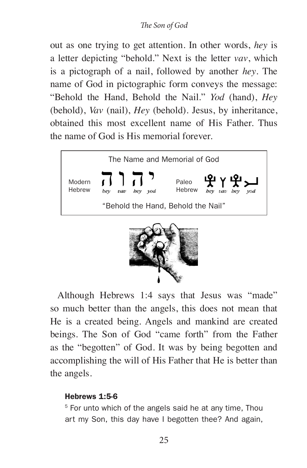#### *The Son of God*

out as one trying to get attention. In other words, *hey* is a letter depicting "behold." Next is the letter *vav*, which is a pictograph of a nail, followed by another *hey*. The name of God in pictographic form conveys the message: "Behold the Hand, Behold the Nail." *Yod* (hand), *Hey* (behold), *Vav* (nail), *Hey* (behold). Jesus, by inheritance, obtained this most excellent name of His Father. Thus the name of God is His memorial forever.





Although Hebrews 1:4 says that Jesus was "made" so much better than the angels, this does not mean that He is a created being. Angels and mankind are created beings. The Son of God "came forth" from the Father as the "begotten" of God. It was by being begotten and accomplishing the will of His Father that He is better than the angels.

#### Hebrews 1:5-6

<sup>5</sup> For unto which of the angels said he at any time, Thou art my Son, this day have I begotten thee? And again,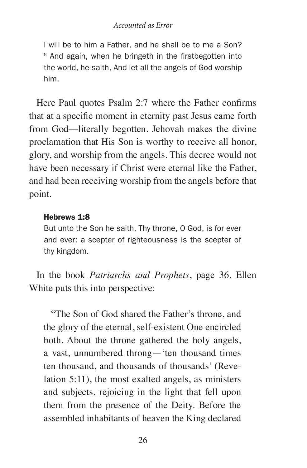I will be to him a Father, and he shall be to me a Son? <sup>6</sup> And again, when he bringeth in the firstbegotten into the world, he saith, And let all the angels of God worship him.

Here Paul quotes Psalm 2:7 where the Father confirms that at a specific moment in eternity past Jesus came forth from God––literally begotten. Jehovah makes the divine proclamation that His Son is worthy to receive all honor, glory, and worship from the angels. This decree would not have been necessary if Christ were eternal like the Father, and had been receiving worship from the angels before that point.

#### Hebrews 1:8

But unto the Son he saith, Thy throne, O God, is for ever and ever: a scepter of righteousness is the scepter of thy kingdom.

In the book *Patriarchs and Prophets*, page 36, Ellen White puts this into perspective:

"The Son of God shared the Father's throne, and the glory of the eternal, self-existent One encircled both. About the throne gathered the holy angels, a vast, unnumbered throng—'ten thousand times ten thousand, and thousands of thousands' (Revelation 5:11), the most exalted angels, as ministers and subjects, rejoicing in the light that fell upon them from the presence of the Deity. Before the assembled inhabitants of heaven the King declared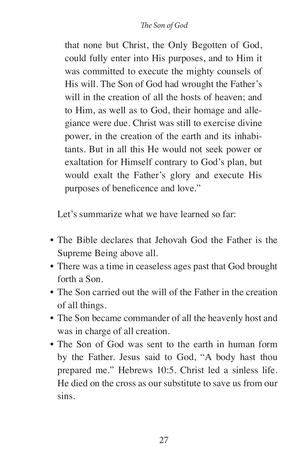#### *The Son of God*

that none but Christ, the Only Begotten of God, could fully enter into His purposes, and to Him it was committed to execute the mighty counsels of His will. The Son of God had wrought the Father's will in the creation of all the hosts of heaven; and to Him, as well as to God, their homage and allegiance were due. Christ was still to exercise divine power, in the creation of the earth and its inhabitants. But in all this He would not seek power or exaltation for Himself contrary to God's plan, but would exalt the Father's glory and execute His purposes of beneficence and love."

Let's summarize what we have learned so far:

- The Bible declares that Jehovah God the Father is the Supreme Being above all.
- There was a time in ceaseless ages past that God brought forth a Son.
- The Son carried out the will of the Father in the creation of all things.
- The Son became commander of all the heavenly host and was in charge of all creation.
- The Son of God was sent to the earth in human form by the Father. Jesus said to God, "A body hast thou prepared me." Hebrews 10:5. Christ led a sinless life. He died on the cross as our substitute to save us from our sins.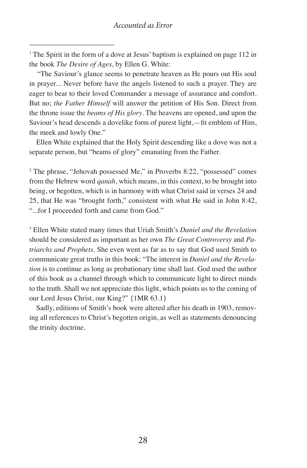<sup>1</sup> The Spirit in the form of a dove at Jesus' baptism is explained on page 112 in the book *The Desire of Ages*, by Ellen G. White:

–––––––––––––––––––––

 "The Saviour's glance seems to penetrate heaven as He pours out His soul in prayer... Never before have the angels listened to such a prayer. They are eager to bear to their loved Commander a message of assurance and comfort. But no; *the Father Himself* will answer the petition of His Son. Direct from the throne issue the *beams of His glory*. The heavens are opened, and upon the Saviour's head descends a dovelike form of purest light,—fit emblem of Him, the meek and lowly One."

 Ellen White explained that the Holy Spirit descending like a dove was not a separate person, but "beams of glory" emanating from the Father.

<sup>2</sup> The phrase, "Jehovah possessed Me," in Proverbs 8:22, "possessed" comes from the Hebrew word *qanah*, which means, in this context, to be brought into being, or begotten, which is in harmony with what Christ said in verses 24 and 25, that He was "brought forth," consistent with what He said in John 8:42, "...for I proceeded forth and came from God."

3 Ellen White stated many times that Uriah Smith's *Daniel and the Revelation* should be considered as important as her own *The Great Controversy* and *Patriarchs and Prophets*. She even went as far as to say that God used Smith to communicate great truths in this book: "The interest in *Daniel and the Revelation* is to continue as long as probationary time shall last. God used the author of this book as a channel through which to communicate light to direct minds to the truth. Shall we not appreciate this light, which points us to the coming of our Lord Jesus Christ, our King?" {1MR 63.1}

 Sadly, editions of Smith's book were altered after his death in 1903, removing all references to Christ's begotten origin, as well as statements denouncing the trinity doctrine.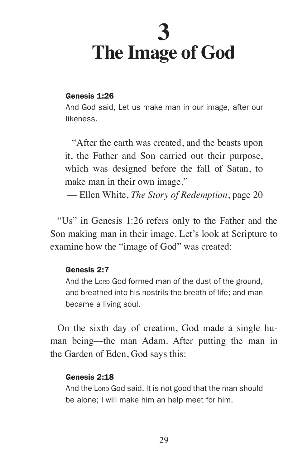# **3 The Image of God**

#### Genesis 1:26

And God said, Let us make man in our image, after our likeness.

"After the earth was created, and the beasts upon it, the Father and Son carried out their purpose, which was designed before the fall of Satan, to make man in their own image."

–– Ellen White, *The Story of Redemption*, page 20

"Us" in Genesis 1:26 refers only to the Father and the Son making man in their image. Let's look at Scripture to examine how the "image of God" was created:

#### Genesis 2:7

And the Lorp God formed man of the dust of the ground, and breathed into his nostrils the breath of life; and man became a living soul.

On the sixth day of creation, God made a single human being––the man Adam. After putting the man in the Garden of Eden, God says this:

#### Genesis 2:18

And the Lorp God said, It is not good that the man should be alone; I will make him an help meet for him.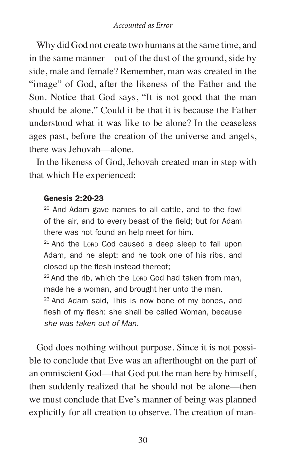Why did God not create two humans at the same time, and in the same manner––out of the dust of the ground, side by side, male and female? Remember, man was created in the "image" of God, after the likeness of the Father and the Son. Notice that God says, "It is not good that the man should be alone." Could it be that it is because the Father understood what it was like to be alone? In the ceaseless ages past, before the creation of the universe and angels, there was Jehovah––alone.

In the likeness of God, Jehovah created man in step with that which He experienced:

#### Genesis 2:20-23

20 And Adam gave names to all cattle, and to the fowl of the air, and to every beast of the field; but for Adam there was not found an help meet for him.

 $21$  And the Lorp God caused a deep sleep to fall upon Adam, and he slept: and he took one of his ribs, and closed up the flesh instead thereof;

<sup>22</sup> And the rib, which the Lorp God had taken from man, made he a woman, and brought her unto the man.

<sup>23</sup> And Adam said, This is now bone of my bones, and flesh of my flesh: she shall be called Woman, because *she was taken out of Man.*

God does nothing without purpose. Since it is not possible to conclude that Eve was an afterthought on the part of an omniscient God––that God put the man here by himself, then suddenly realized that he should not be alone––then we must conclude that Eve's manner of being was planned explicitly for all creation to observe. The creation of man-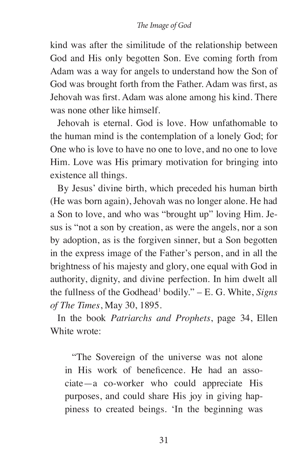#### *The Image of God*

kind was after the similitude of the relationship between God and His only begotten Son. Eve coming forth from Adam was a way for angels to understand how the Son of God was brought forth from the Father. Adam was first, as Jehovah was first. Adam was alone among his kind. There was none other like himself.

Jehovah is eternal. God is love. How unfathomable to the human mind is the contemplation of a lonely God; for One who is love to have no one to love, and no one to love Him. Love was His primary motivation for bringing into existence all things.

By Jesus' divine birth, which preceded his human birth (He was born again), Jehovah was no longer alone. He had a Son to love, and who was "brought up" loving Him. Jesus is "not a son by creation, as were the angels, nor a son by adoption, as is the forgiven sinner, but a Son begotten in the express image of the Father's person, and in all the brightness of his majesty and glory, one equal with God in authority, dignity, and divine perfection. In him dwelt all the fullness of the Godhead<sup>1</sup> bodily." – E. G. White, *Signs of The Times*, May 30, 1895.

In the book *Patriarchs and Prophets*, page 34, Ellen White wrote:

"The Sovereign of the universe was not alone in His work of beneficence. He had an associate—a co-worker who could appreciate His purposes, and could share His joy in giving happiness to created beings. 'In the beginning was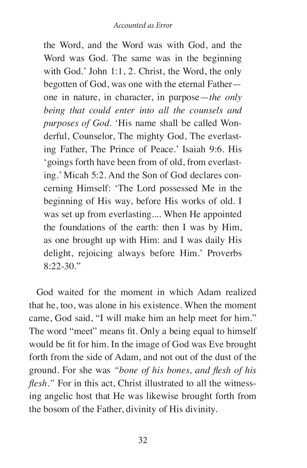the Word, and the Word was with God, and the Word was God. The same was in the beginning with God.' John 1:1, 2. Christ, the Word, the only begotten of God, was one with the eternal Father one in nature, in character, in purpose—*the only being that could enter into all the counsels and purposes of God.* 'His name shall be called Wonderful, Counselor, The mighty God, The everlasting Father, The Prince of Peace.' Isaiah 9:6. His 'goings forth have been from of old, from everlasting.' Micah 5:2. And the Son of God declares concerning Himself: 'The Lord possessed Me in the beginning of His way, before His works of old. I was set up from everlasting.... When He appointed the foundations of the earth: then I was by Him, as one brought up with Him: and I was daily His delight, rejoicing always before Him.' Proverbs  $8:22-30."$ 

God waited for the moment in which Adam realized that he, too, was alone in his existence. When the moment came, God said, "I will make him an help meet for him." The word "meet" means fit. Only a being equal to himself would be fit for him. In the image of God was Eve brought forth from the side of Adam, and not out of the dust of the ground. For she was *"bone of his bones, and flesh of his flesh.*" For in this act, Christ illustrated to all the witnessing angelic host that He was likewise brought forth from the bosom of the Father, divinity of His divinity.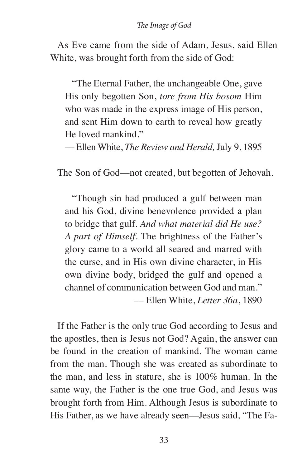#### *The Image of God*

As Eve came from the side of Adam, Jesus, said Ellen White, was brought forth from the side of God:

"The Eternal Father, the unchangeable One, gave His only begotten Son, *tore from His bosom* Him who was made in the express image of His person, and sent Him down to earth to reveal how greatly He loved mankind."

–– Ellen White, *The Review and Herald,* July 9, 1895

The Son of God––not created, but begotten of Jehovah.

"Though sin had produced a gulf between man and his God, divine benevolence provided a plan to bridge that gulf. *And what material did He use? A part of Himself.* The brightness of the Father's glory came to a world all seared and marred with the curse, and in His own divine character, in His own divine body, bridged the gulf and opened a channel of communication between God and man." –– Ellen White, *Letter 36a*, 1890

If the Father is the only true God according to Jesus and the apostles, then is Jesus not God? Again, the answer can be found in the creation of mankind. The woman came from the man. Though she was created as subordinate to the man, and less in stature, she is 100% human. In the same way, the Father is the one true God, and Jesus was brought forth from Him. Although Jesus is subordinate to His Father, as we have already seen––Jesus said, "The Fa-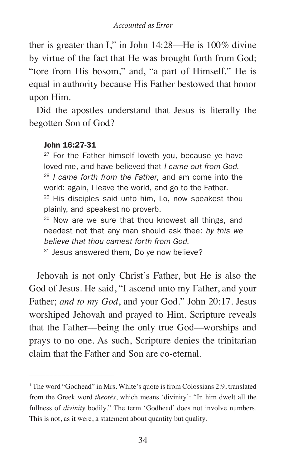ther is greater than I," in John 14:28––He is 100% divine by virtue of the fact that He was brought forth from God; "tore from His bosom," and, "a part of Himself." He is equal in authority because His Father bestowed that honor upon Him.

Did the apostles understand that Jesus is literally the begotten Son of God?

#### John 16:27-31

–––––––––––––––––––––

 $27$  For the Father himself loveth you, because ye have loved me, and have believed that *I came out from God*. <sup>28</sup> *I came forth from the Father*, and am come into the world: again, I leave the world, and go to the Father. <sup>29</sup> His disciples said unto him, Lo, now speakest thou plainly, and speakest no proverb.

<sup>30</sup> Now are we sure that thou knowest all things, and needest not that any man should ask thee: *by this we believe that thou camest forth from God*. <sup>31</sup> Jesus answered them, Do ye now believe?

Jehovah is not only Christ's Father, but He is also the God of Jesus. He said, "I ascend unto my Father, and your Father; *and to my God*, and your God." John 20:17. Jesus worshiped Jehovah and prayed to Him. Scripture reveals that the Father––being the only true God––worships and prays to no one. As such, Scripture denies the trinitarian claim that the Father and Son are co-eternal.

<sup>&</sup>lt;sup>1</sup> The word "Godhead" in Mrs. White's quote is from Colossians 2:9, translated from the Greek word *theotés*, which means 'divinity': "In him dwelt all the fullness of *divinity* bodily." The term 'Godhead' does not involve numbers. This is not, as it were, a statement about quantity but quality.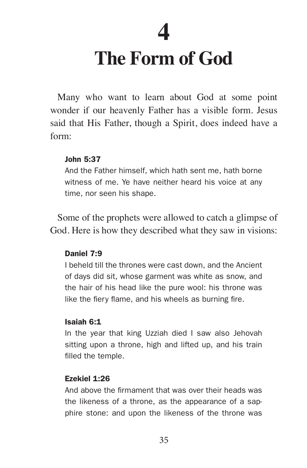**4**

## **The Form of God**

Many who want to learn about God at some point wonder if our heavenly Father has a visible form. Jesus said that His Father, though a Spirit, does indeed have a form:

#### John 5:37

And the Father himself, which hath sent me, hath borne witness of me. Ye have neither heard his voice at any time, nor seen his shape.

Some of the prophets were allowed to catch a glimpse of God. Here is how they described what they saw in visions:

#### Daniel 7:9

I beheld till the thrones were cast down, and the Ancient of days did sit, whose garment was white as snow, and the hair of his head like the pure wool: his throne was like the fiery flame, and his wheels as burning fire.

#### Isaiah 6:1

In the year that king Uzziah died I saw also Jehovah sitting upon a throne, high and lifted up, and his train filled the temple.

#### Ezekiel 1:26

And above the firmament that was over their heads was the likeness of a throne, as the appearance of a sapphire stone: and upon the likeness of the throne was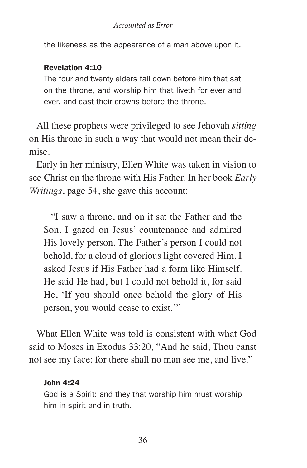the likeness as the appearance of a man above upon it.

#### Revelation 4:10

The four and twenty elders fall down before him that sat on the throne, and worship him that liveth for ever and ever, and cast their crowns before the throne.

All these prophets were privileged to see Jehovah *sitting* on His throne in such a way that would not mean their demise.

Early in her ministry, Ellen White was taken in vision to see Christ on the throne with His Father. In her book *Early Writings*, page 54, she gave this account:

"I saw a throne, and on it sat the Father and the Son. I gazed on Jesus' countenance and admired His lovely person. The Father's person I could not behold, for a cloud of glorious light covered Him. I asked Jesus if His Father had a form like Himself. He said He had, but I could not behold it, for said He, 'If you should once behold the glory of His person, you would cease to exist.'"

What Ellen White was told is consistent with what God said to Moses in Exodus 33:20, "And he said, Thou canst not see my face: for there shall no man see me, and live."

#### John 4:24

God is a Spirit: and they that worship him must worship him in spirit and in truth.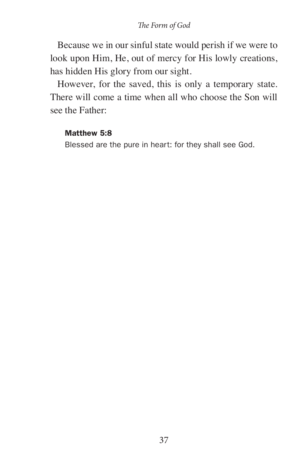# *The Form of God*

Because we in our sinful state would perish if we were to look upon Him, He, out of mercy for His lowly creations, has hidden His glory from our sight.

However, for the saved, this is only a temporary state. There will come a time when all who choose the Son will see the Father:

#### Matthew 5:8

Blessed are the pure in heart: for they shall see God.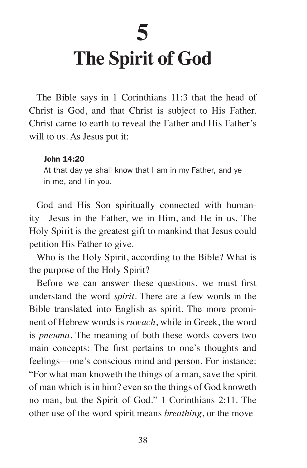# **5**

# **The Spirit of God**

The Bible says in 1 Corinthians 11:3 that the head of Christ is God, and that Christ is subject to His Father. Christ came to earth to reveal the Father and His Father's will to us. As Jesus put it:

## John 14:20

At that day ye shall know that I am in my Father, and ye in me, and I in you.

God and His Son spiritually connected with humanity––Jesus in the Father, we in Him, and He in us. The Holy Spirit is the greatest gift to mankind that Jesus could petition His Father to give.

Who is the Holy Spirit, according to the Bible? What is the purpose of the Holy Spirit?

Before we can answer these questions, we must first understand the word *spirit*. There are a few words in the Bible translated into English as spirit. The more prominent of Hebrew words is *ruwach*, while in Greek, the word is *pneuma*. The meaning of both these words covers two main concepts: The first pertains to one's thoughts and feelings––one's conscious mind and person. For instance: "For what man knoweth the things of a man, save the spirit of man which is in him? even so the things of God knoweth no man, but the Spirit of God." 1 Corinthians 2:11. The other use of the word spirit means *breathing*, or the move-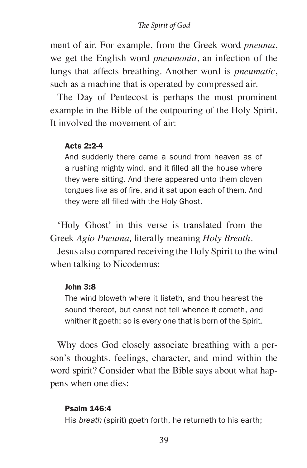# *The Spirit of God*

ment of air. For example, from the Greek word *pneuma*, we get the English word *pneumonia*, an infection of the lungs that affects breathing. Another word is *pneumatic*, such as a machine that is operated by compressed air.

The Day of Pentecost is perhaps the most prominent example in the Bible of the outpouring of the Holy Spirit. It involved the movement of air:

#### Acts 2:2-4

And suddenly there came a sound from heaven as of a rushing mighty wind, and it filled all the house where they were sitting. And there appeared unto them cloven tongues like as of fire, and it sat upon each of them. And they were all filled with the Holy Ghost.

'Holy Ghost' in this verse is translated from the Greek *Agio Pneuma,* literally meaning *Holy Breath*.

Jesus also compared receiving the Holy Spirit to the wind when talking to Nicodemus:

#### John 3:8

The wind bloweth where it listeth, and thou hearest the sound thereof, but canst not tell whence it cometh, and whither it goeth: so is every one that is born of the Spirit.

Why does God closely associate breathing with a person's thoughts, feelings, character, and mind within the word spirit? Consider what the Bible says about what happens when one dies:

#### Psalm 146:4

His *breath* (spirit) goeth forth, he returneth to his earth;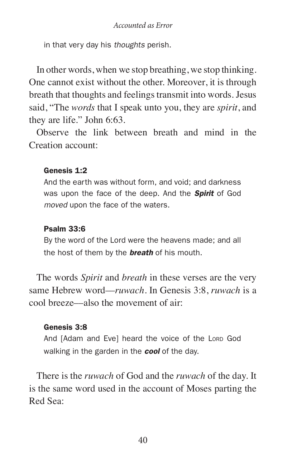in that very day his *thoughts* perish.

In other words, when we stop breathing, we stop thinking. One cannot exist without the other. Moreover, it is through breath that thoughts and feelings transmit into words. Jesus said, "The *words* that I speak unto you, they are *spirit*, and they are life." John 6:63.

Observe the link between breath and mind in the Creation account:

# Genesis 1:2

And the earth was without form, and void; and darkness was upon the face of the deep. And the *Spirit* of God *moved* upon the face of the waters.

# Psalm 33:6

By the word of the Lord were the heavens made; and all the host of them by the *breath* of his mouth.

The words *Spirit* and *breath* in these verses are the very same Hebrew word––*ruwach*. In Genesis 3:8, *ruwach* is a cool breeze––also the movement of air:

## Genesis 3:8

And [Adam and Eve] heard the voice of the Lord God walking in the garden in the *cool* of the day.

There is the *ruwach* of God and the *ruwach* of the day. It is the same word used in the account of Moses parting the Red Sea: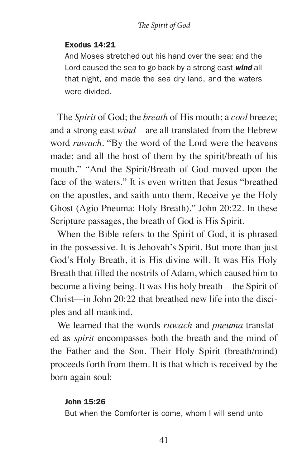# *The Spirit of God*

### Exodus 14:21

And Moses stretched out his hand over the sea; and the Lord caused the sea to go back by a strong east *wind* all that night, and made the sea dry land, and the waters were divided.

The *Spirit* of God; the *breath* of His mouth; a *cool* breeze; and a strong east *wind*––are all translated from the Hebrew word *ruwach*. "By the word of the Lord were the heavens made; and all the host of them by the spirit/breath of his mouth." "And the Spirit/Breath of God moved upon the face of the waters." It is even written that Jesus "breathed on the apostles, and saith unto them, Receive ye the Holy Ghost (Agio Pneuma: Holy Breath)." John 20:22. In these Scripture passages, the breath of God is His Spirit.

When the Bible refers to the Spirit of God, it is phrased in the possessive. It is Jehovah's Spirit. But more than just God's Holy Breath, it is His divine will. It was His Holy Breath that filled the nostrils of Adam, which caused him to become a living being. It was His holy breath––the Spirit of Christ––in John 20:22 that breathed new life into the disciples and all mankind.

We learned that the words *ruwach* and *pneuma* translated as *spirit* encompasses both the breath and the mind of the Father and the Son. Their Holy Spirit (breath/mind) proceeds forth from them. It is that which is received by the born again soul:

#### John 15:26

But when the Comforter is come, whom I will send unto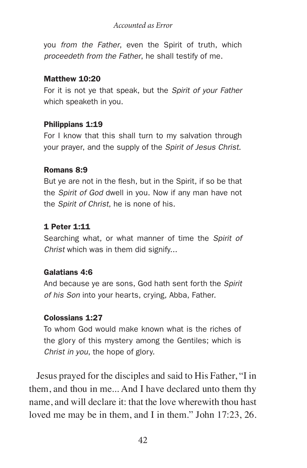you *from the Father*, even the Spirit of truth, which *proceedeth from the Father*, he shall testify of me.

#### Matthew 10:20

For it is not ye that speak, but the *Spirit of your Father* which speaketh in you.

## Philippians 1:19

For I know that this shall turn to my salvation through your prayer, and the supply of the *Spirit of Jesus Christ*.

#### Romans 8:9

But ye are not in the flesh, but in the Spirit, if so be that the *Spirit of God* dwell in you. Now if any man have not the *Spirit of Christ*, he is none of his.

## 1 Peter 1:11

Searching what, or what manner of time the *Spirit of Christ* which was in them did signify...

# Galatians 4:6

And because ye are sons, God hath sent forth the *Spirit of his Son* into your hearts, crying, Abba, Father.

#### Colossians 1:27

To whom God would make known what is the riches of the glory of this mystery among the Gentiles; which is *Christ in you*, the hope of glory.

Jesus prayed for the disciples and said to His Father, "I in them, and thou in me... And I have declared unto them thy name, and will declare it: that the love wherewith thou hast loved me may be in them, and I in them." John 17:23, 26.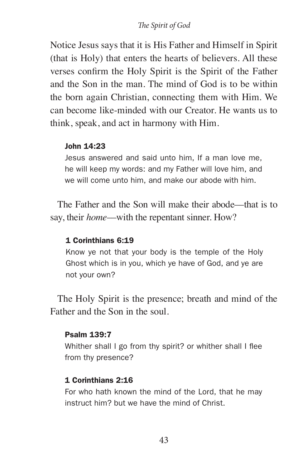# *The Spirit of God*

Notice Jesus says that it is His Father and Himself in Spirit (that is Holy) that enters the hearts of believers. All these verses confirm the Holy Spirit is the Spirit of the Father and the Son in the man. The mind of God is to be within the born again Christian, connecting them with Him. We can become like-minded with our Creator. He wants us to think, speak, and act in harmony with Him.

# John 14:23

Jesus answered and said unto him, If a man love me, he will keep my words: and my Father will love him, and we will come unto him, and make our abode with him.

The Father and the Son will make their abode––that is to say, their *home*––with the repentant sinner. How?

# 1 Corinthians 6:19

Know ye not that your body is the temple of the Holy Ghost which is in you, which ye have of God, and ye are not your own?

The Holy Spirit is the presence; breath and mind of the Father and the Son in the soul.

# Psalm 139:7

Whither shall I go from thy spirit? or whither shall I flee from thy presence?

# 1 Corinthians 2:16

For who hath known the mind of the Lord, that he may instruct him? but we have the mind of Christ.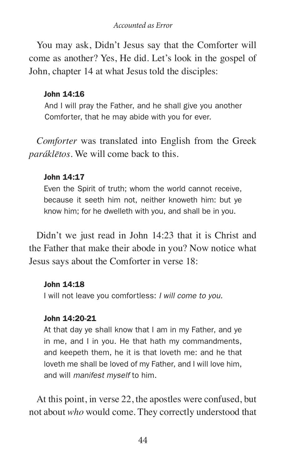You may ask, Didn't Jesus say that the Comforter will come as another? Yes, He did. Let's look in the gospel of John, chapter 14 at what Jesus told the disciples:

#### John 14:16

And I will pray the Father, and he shall give you another Comforter, that he may abide with you for ever.

*Comforter* was translated into English from the Greek *paráklētos*. We will come back to this.

#### John 14:17

Even the Spirit of truth; whom the world cannot receive, because it seeth him not, neither knoweth him: but ye know him; for he dwelleth with you, and shall be in you.

Didn't we just read in John 14:23 that it is Christ and the Father that make their abode in you? Now notice what Jesus says about the Comforter in verse 18:

#### John 14:18

I will not leave you comfortless: *I will come to you.*

## John 14:20-21

At that day ye shall know that I am in my Father, and ye in me, and I in you. He that hath my commandments, and keepeth them, he it is that loveth me: and he that loveth me shall be loved of my Father, and I will love him, and will *manifest myself* to him.

At this point, in verse 22, the apostles were confused, but not about *who* would come. They correctly understood that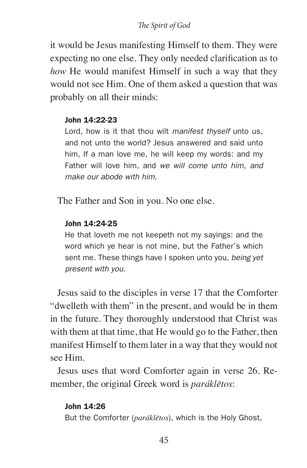# *The Spirit of God*

it would be Jesus manifesting Himself to them. They were expecting no one else. They only needed clarification as to *how* He would manifest Himself in such a way that they would not see Him. One of them asked a question that was probably on all their minds:

### John 14:22-23

Lord, how is it that thou wilt *manifest thyself* unto us, and not unto the world? Jesus answered and said unto him, If a man love me, he will keep my words: and my Father will love him, and *we will come unto him, and make our abode with him.*

The Father and Son in you. No one else.

### John 14:24-25

He that loveth me not keepeth not my sayings: and the word which ye hear is not mine, but the Father's which sent me. These things have I spoken unto you, *being yet present with you.*

Jesus said to the disciples in verse 17 that the Comforter "dwelleth with them" in the present, and would be in them in the future. They thoroughly understood that Christ was with them at that time, that He would go to the Father, then manifest Himself to them later in a way that they would not see Him.

Jesus uses that word Comforter again in verse 26. Remember, the original Greek word is *paráklētos*:

#### John 14:26

But the Comforter (*paráklētos*), which is the Holy Ghost,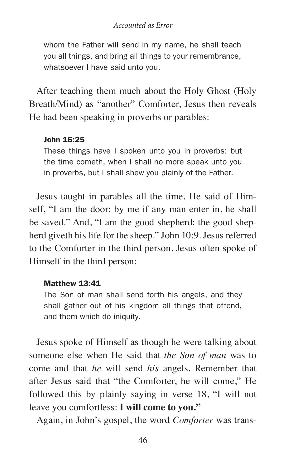whom the Father will send in my name, he shall teach you all things, and bring all things to your remembrance, whatsoever I have said unto you.

After teaching them much about the Holy Ghost (Holy Breath/Mind) as "another" Comforter, Jesus then reveals He had been speaking in proverbs or parables:

#### John 16:25

These things have I spoken unto you in proverbs: but the time cometh, when I shall no more speak unto you in proverbs, but I shall shew you plainly of the Father.

Jesus taught in parables all the time. He said of Himself, "I am the door: by me if any man enter in, he shall be saved." And, "I am the good shepherd: the good shepherd giveth his life for the sheep." John 10:9. Jesus referred to the Comforter in the third person. Jesus often spoke of Himself in the third person:

#### Matthew 13:41

The Son of man shall send forth his angels, and they shall gather out of his kingdom all things that offend, and them which do iniquity.

Jesus spoke of Himself as though he were talking about someone else when He said that *the Son of man* was to come and that *he* will send *his* angels. Remember that after Jesus said that "the Comforter, he will come," He followed this by plainly saying in verse 18, "I will not leave you comfortless: **I will come to you."**

Again, in John's gospel, the word *Comforter* was trans-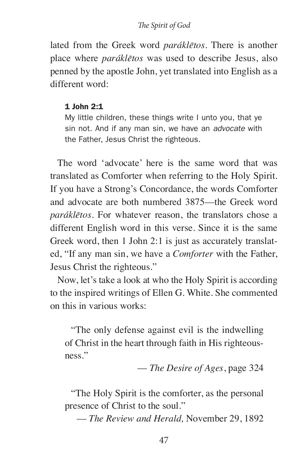# *The Spirit of God*

lated from the Greek word *paráklētos*. There is another place where *paráklētos* was used to describe Jesus, also penned by the apostle John, yet translated into English as a different word:

# 1 John 2:1

My little children, these things write I unto you, that ye sin not. And if any man sin, we have an *advocate* with the Father, Jesus Christ the righteous.

The word 'advocate' here is the same word that was translated as Comforter when referring to the Holy Spirit. If you have a Strong's Concordance, the words Comforter and advocate are both numbered 3875––the Greek word *paráklētos*. For whatever reason, the translators chose a different English word in this verse. Since it is the same Greek word, then 1 John 2:1 is just as accurately translated, "If any man sin, we have a *Comforter* with the Father, Jesus Christ the righteous."

Now, let's take a look at who the Holy Spirit is according to the inspired writings of Ellen G. White. She commented on this in various works:

"The only defense against evil is the indwelling of Christ in the heart through faith in His righteousness."

–– *The Desire of Ages*, page 324

"The Holy Spirit is the comforter, as the personal presence of Christ to the soul."

–– *The Review and Herald,* November 29, 1892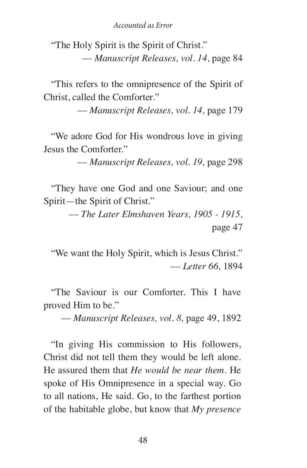"The Holy Spirit is the Spirit of Christ." –– *Manuscript Releases, vol. 14,* page 84

"This refers to the omnipresence of the Spirit of Christ, called the Comforter."

–– *Manuscript Releases, vol. 14,* page 179

"We adore God for His wondrous love in giving Jesus the Comforter."

–– *Manuscript Releases, vol. 19,* page 298

"They have one God and one Saviour; and one Spirit—the Spirit of Christ."

> –– *The Later Elmshaven Years, 1905 - 1915,* page 47

"We want the Holy Spirit, which is Jesus Christ." –– *Letter 66,* 1894

"The Saviour is our Comforter. This I have proved Him to be."

–– *Manuscript Releases, vol. 8,* page 49, 1892

"In giving His commission to His followers, Christ did not tell them they would be left alone. He assured them that *He would be near them*. He spoke of His Omnipresence in a special way. Go to all nations, He said. Go, to the farthest portion of the habitable globe, but know that *My presence*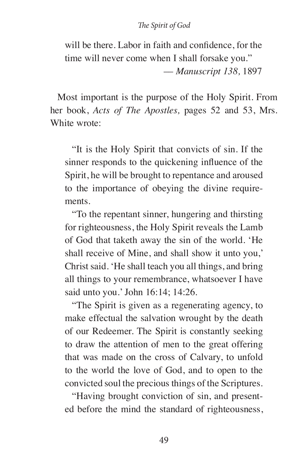# *The Spirit of God*

will be there. Labor in faith and confidence, for the time will never come when I shall forsake you." –– *Manuscript 138,* 1897

Most important is the purpose of the Holy Spirit. From her book, *Acts of The Apostles,* pages 52 and 53, Mrs. White wrote:

"It is the Holy Spirit that convicts of sin. If the sinner responds to the quickening influence of the Spirit, he will be brought to repentance and aroused to the importance of obeying the divine requirements.

"To the repentant sinner, hungering and thirsting for righteousness, the Holy Spirit reveals the Lamb of God that taketh away the sin of the world. 'He shall receive of Mine, and shall show it unto you,' Christ said. 'He shall teach you all things, and bring all things to your remembrance, whatsoever I have said unto you.' John 16:14; 14:26.

"The Spirit is given as a regenerating agency, to make effectual the salvation wrought by the death of our Redeemer. The Spirit is constantly seeking to draw the attention of men to the great offering that was made on the cross of Calvary, to unfold to the world the love of God, and to open to the convicted soul the precious things of the Scriptures.

"Having brought conviction of sin, and presented before the mind the standard of righteousness,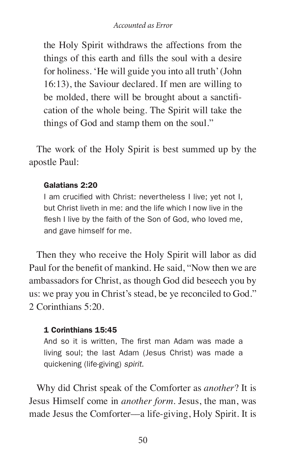the Holy Spirit withdraws the affections from the things of this earth and fills the soul with a desire for holiness. 'He will guide you into all truth' (John 16:13), the Saviour declared. If men are willing to be molded, there will be brought about a sanctification of the whole being. The Spirit will take the things of God and stamp them on the soul."

The work of the Holy Spirit is best summed up by the apostle Paul:

## Galatians 2:20

I am crucified with Christ: nevertheless I live; yet not I, but Christ liveth in me: and the life which I now live in the flesh I live by the faith of the Son of God, who loved me, and gave himself for me.

Then they who receive the Holy Spirit will labor as did Paul for the benefit of mankind. He said, "Now then we are ambassadors for Christ, as though God did beseech you by us: we pray you in Christ's stead, be ye reconciled to God." 2 Corinthians 5:20.

# 1 Corinthians 15:45

And so it is written, The first man Adam was made a living soul; the last Adam (Jesus Christ) was made a quickening (life-giving) *spirit*.

Why did Christ speak of the Comforter as *another*? It is Jesus Himself come in *another form*. Jesus, the man, was made Jesus the Comforter—a life-giving, Holy Spirit. It is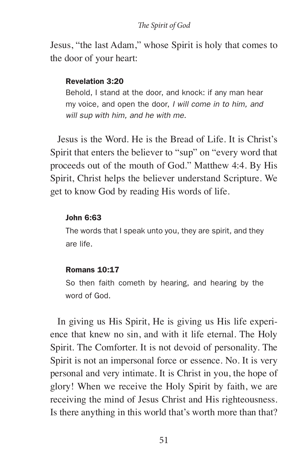Jesus, "the last Adam," whose Spirit is holy that comes to the door of your heart:

# Revelation 3:20

Behold, I stand at the door, and knock: if any man hear my voice, and open the door, *I will come in to him, and will sup with him, and he with me.*

Jesus is the Word. He is the Bread of Life. It is Christ's Spirit that enters the believer to "sup" on "every word that proceeds out of the mouth of God." Matthew 4:4. By His Spirit, Christ helps the believer understand Scripture. We get to know God by reading His words of life.

# John 6:63

The words that I speak unto you, they are spirit, and they are life.

# Romans 10:17

So then faith cometh by hearing, and hearing by the word of God.

In giving us His Spirit, He is giving us His life experience that knew no sin, and with it life eternal. The Holy Spirit. The Comforter. It is not devoid of personality. The Spirit is not an impersonal force or essence. No. It is very personal and very intimate. It is Christ in you, the hope of glory! When we receive the Holy Spirit by faith, we are receiving the mind of Jesus Christ and His righteousness. Is there anything in this world that's worth more than that?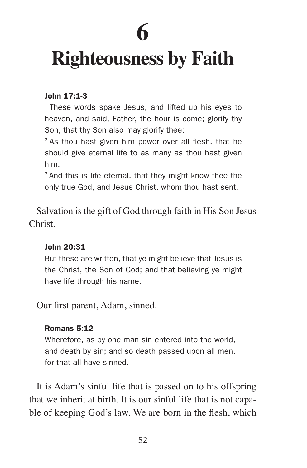# **6**

# **Righteousness by Faith**

# John 17:1-3

 $1$  These words spake Jesus, and lifted up his eyes to heaven, and said, Father, the hour is come; glorify thy Son, that thy Son also may glorify thee:

 $2$  As thou hast given him power over all flesh, that he should give eternal life to as many as thou hast given him.

<sup>3</sup> And this is life eternal, that they might know thee the only true God, and Jesus Christ, whom thou hast sent.

Salvation is the gift of God through faith in His Son Jesus Christ.

# John 20:31

But these are written, that ye might believe that Jesus is the Christ, the Son of God; and that believing ye might have life through his name.

Our first parent, Adam, sinned.

# Romans 5:12

Wherefore, as by one man sin entered into the world, and death by sin; and so death passed upon all men, for that all have sinned.

It is Adam's sinful life that is passed on to his offspring that we inherit at birth. It is our sinful life that is not capable of keeping God's law. We are born in the flesh, which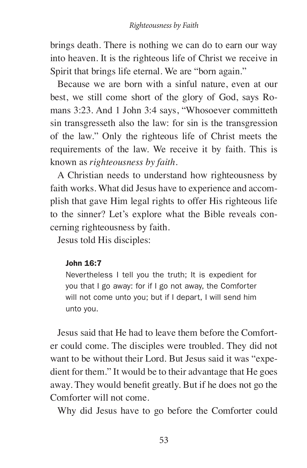brings death. There is nothing we can do to earn our way into heaven. It is the righteous life of Christ we receive in Spirit that brings life eternal. We are "born again."

Because we are born with a sinful nature, even at our best, we still come short of the glory of God, says Romans 3:23. And 1 John 3:4 says, "Whosoever committeth sin transgresseth also the law: for sin is the transgression of the law." Only the righteous life of Christ meets the requirements of the law. We receive it by faith. This is known as *righteousness by faith*.

A Christian needs to understand how righteousness by faith works. What did Jesus have to experience and accomplish that gave Him legal rights to offer His righteous life to the sinner? Let's explore what the Bible reveals concerning righteousness by faith.

Jesus told His disciples:

## John 16:7

Nevertheless I tell you the truth; It is expedient for you that I go away: for if I go not away, the Comforter will not come unto you; but if I depart, I will send him unto you.

Jesus said that He had to leave them before the Comforter could come. The disciples were troubled. They did not want to be without their Lord. But Jesus said it was "expedient for them." It would be to their advantage that He goes away. They would benefit greatly. But if he does not go the Comforter will not come.

Why did Jesus have to go before the Comforter could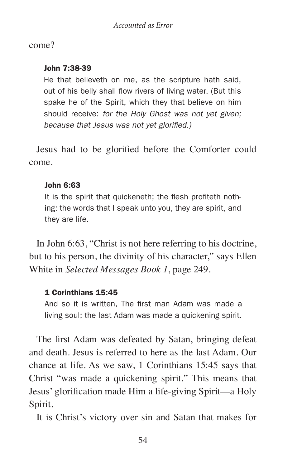come?

# John 7:38-39

He that believeth on me, as the scripture hath said, out of his belly shall flow rivers of living water. (But this spake he of the Spirit, which they that believe on him should receive: *for the Holy Ghost was not yet given; because that Jesus was not yet glorified.)*

Jesus had to be glorified before the Comforter could come.

# John 6:63

It is the spirit that quickeneth; the flesh profiteth nothing: the words that I speak unto you, they are spirit, and they are life.

In John 6:63, "Christ is not here referring to his doctrine, but to his person, the divinity of his character," says Ellen White in *Selected Messages Book 1*, page 249.

# 1 Corinthians 15:45

And so it is written, The first man Adam was made a living soul; the last Adam was made a quickening spirit.

The first Adam was defeated by Satan, bringing defeat and death. Jesus is referred to here as the last Adam. Our chance at life. As we saw, 1 Corinthians 15:45 says that Christ "was made a quickening spirit." This means that Jesus' glorification made Him a life-giving Spirit––a Holy Spirit.

It is Christ's victory over sin and Satan that makes for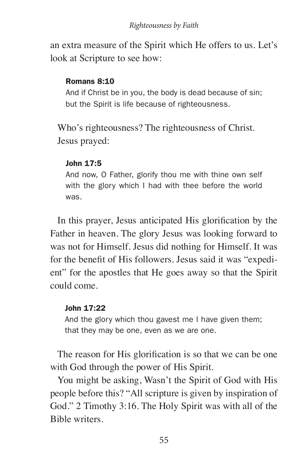an extra measure of the Spirit which He offers to us. Let's look at Scripture to see how:

# Romans 8:10

And if Christ be in you, the body is dead because of sin; but the Spirit is life because of righteousness.

Who's righteousness? The righteousness of Christ. Jesus prayed:

# John 17:5

And now, O Father, glorify thou me with thine own self with the glory which I had with thee before the world was.

In this prayer, Jesus anticipated His glorification by the Father in heaven. The glory Jesus was looking forward to was not for Himself. Jesus did nothing for Himself. It was for the benefit of His followers. Jesus said it was "expedient" for the apostles that He goes away so that the Spirit could come.

# John 17:22

And the glory which thou gavest me I have given them; that they may be one, even as we are one.

The reason for His glorification is so that we can be one with God through the power of His Spirit.

You might be asking, Wasn't the Spirit of God with His people before this? "All scripture is given by inspiration of God." 2 Timothy 3:16. The Holy Spirit was with all of the Bible writers.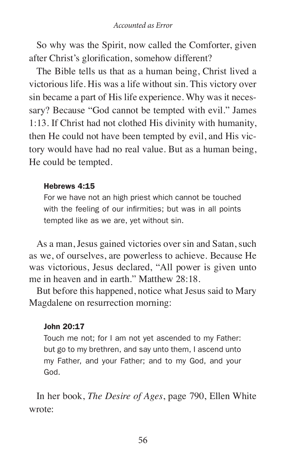So why was the Spirit, now called the Comforter, given after Christ's glorification, somehow different?

The Bible tells us that as a human being, Christ lived a victorious life. His was a life without sin. This victory over sin became a part of His life experience. Why was it necessary? Because "God cannot be tempted with evil." James 1:13. If Christ had not clothed His divinity with humanity, then He could not have been tempted by evil, and His victory would have had no real value. But as a human being, He could be tempted.

#### Hebrews 4:15

For we have not an high priest which cannot be touched with the feeling of our infirmities; but was in all points tempted like as we are, yet without sin.

As a man, Jesus gained victories over sin and Satan, such as we, of ourselves, are powerless to achieve. Because He was victorious, Jesus declared, "All power is given unto me in heaven and in earth." Matthew 28:18.

But before this happened, notice what Jesus said to Mary Magdalene on resurrection morning:

#### John 20:17

Touch me not; for I am not yet ascended to my Father: but go to my brethren, and say unto them, I ascend unto my Father, and your Father; and to my God, and your God.

In her book, *The Desire of Ages*, page 790, Ellen White wrote: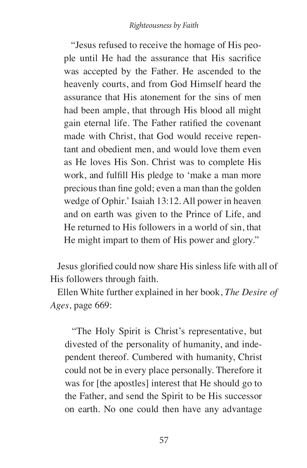# *Righteousness by Faith*

 "Jesus refused to receive the homage of His people until He had the assurance that His sacrifice was accepted by the Father. He ascended to the heavenly courts, and from God Himself heard the assurance that His atonement for the sins of men had been ample, that through His blood all might gain eternal life. The Father ratified the covenant made with Christ, that God would receive repentant and obedient men, and would love them even as He loves His Son. Christ was to complete His work, and fulfill His pledge to 'make a man more precious than fine gold; even a man than the golden wedge of Ophir.' Isaiah 13:12. All power in heaven and on earth was given to the Prince of Life, and He returned to His followers in a world of sin, that He might impart to them of His power and glory."

Jesus glorified could now share His sinless life with all of His followers through faith.

Ellen White further explained in her book, *The Desire of Ages,* page 669:

"The Holy Spirit is Christ's representative, but divested of the personality of humanity, and independent thereof. Cumbered with humanity, Christ could not be in every place personally. Therefore it was for [the apostles] interest that He should go to the Father, and send the Spirit to be His successor on earth. No one could then have any advantage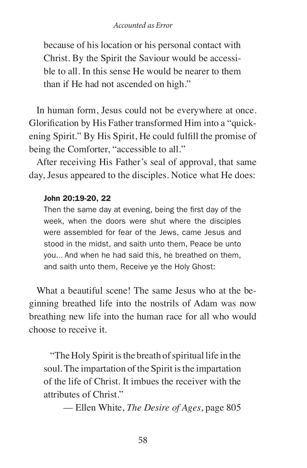because of his location or his personal contact with Christ. By the Spirit the Saviour would be accessible to all. In this sense He would be nearer to them than if He had not ascended on high."

In human form, Jesus could not be everywhere at once. Glorification by His Father transformed Him into a "quickening Spirit." By His Spirit, He could fulfill the promise of being the Comforter, "accessible to all."

After receiving His Father's seal of approval, that same day, Jesus appeared to the disciples. Notice what He does:

# John 20:19-20, 22

Then the same day at evening, being the first day of the week, when the doors were shut where the disciples were assembled for fear of the Jews, came Jesus and stood in the midst, and saith unto them, Peace be unto you... And when he had said this, he breathed on them, and saith unto them, Receive ye the Holy Ghost:

What a beautiful scene! The same Jesus who at the beginning breathed life into the nostrils of Adam was now breathing new life into the human race for all who would choose to receive it.

"The Holy Spirit is the breath of spiritual life in the soul. The impartation of the Spirit is the impartation of the life of Christ. It imbues the receiver with the attributes of Christ."

–– Ellen White, *The Desire of Ages*, page 805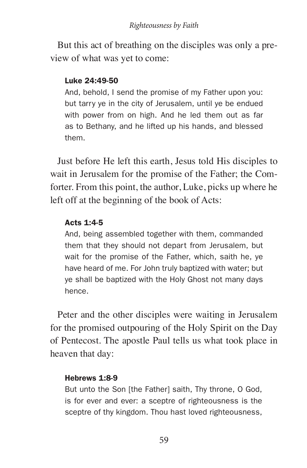But this act of breathing on the disciples was only a preview of what was yet to come:

# Luke 24:49-50

And, behold, I send the promise of my Father upon you: but tarry ye in the city of Jerusalem, until ye be endued with power from on high. And he led them out as far as to Bethany, and he lifted up his hands, and blessed them.

Just before He left this earth, Jesus told His disciples to wait in Jerusalem for the promise of the Father; the Comforter. From this point, the author, Luke, picks up where he left off at the beginning of the book of Acts:

# Acts 1:4-5

And, being assembled together with them, commanded them that they should not depart from Jerusalem, but wait for the promise of the Father, which, saith he, ye have heard of me. For John truly baptized with water; but ye shall be baptized with the Holy Ghost not many days hence.

Peter and the other disciples were waiting in Jerusalem for the promised outpouring of the Holy Spirit on the Day of Pentecost. The apostle Paul tells us what took place in heaven that day:

# Hebrews 1:8-9

But unto the Son [the Father] saith, Thy throne, O God, is for ever and ever: a sceptre of righteousness is the sceptre of thy kingdom. Thou hast loved righteousness,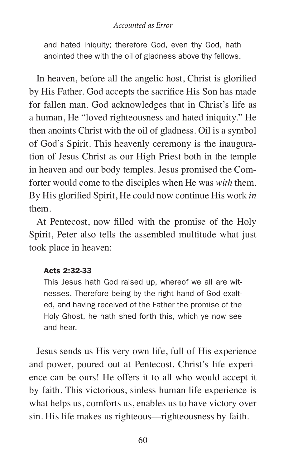and hated iniquity; therefore God, even thy God, hath anointed thee with the oil of gladness above thy fellows.

In heaven, before all the angelic host, Christ is glorified by His Father. God accepts the sacrifice His Son has made for fallen man. God acknowledges that in Christ's life as a human, He "loved righteousness and hated iniquity." He then anoints Christ with the oil of gladness. Oil is a symbol of God's Spirit. This heavenly ceremony is the inauguration of Jesus Christ as our High Priest both in the temple in heaven and our body temples. Jesus promised the Comforter would come to the disciples when He was *with* them. By His glorified Spirit, He could now continue His work *in* them.

At Pentecost, now filled with the promise of the Holy Spirit, Peter also tells the assembled multitude what just took place in heaven:

#### Acts 2:32-33

This Jesus hath God raised up, whereof we all are witnesses. Therefore being by the right hand of God exalted, and having received of the Father the promise of the Holy Ghost, he hath shed forth this, which ye now see and hear.

Jesus sends us His very own life, full of His experience and power, poured out at Pentecost. Christ's life experience can be ours! He offers it to all who would accept it by faith. This victorious, sinless human life experience is what helps us, comforts us, enables us to have victory over sin. His life makes us righteous—righteousness by faith.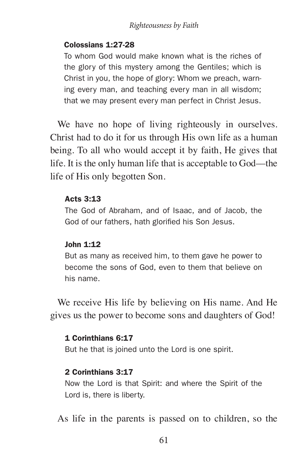# Colossians 1:27-28

To whom God would make known what is the riches of the glory of this mystery among the Gentiles; which is Christ in you, the hope of glory: Whom we preach, warning every man, and teaching every man in all wisdom; that we may present every man perfect in Christ Jesus.

We have no hope of living righteously in ourselves. Christ had to do it for us through His own life as a human being. To all who would accept it by faith, He gives that life. It is the only human life that is acceptable to God––the life of His only begotten Son.

# Acts 3:13

The God of Abraham, and of Isaac, and of Jacob, the God of our fathers, hath glorified his Son Jesus.

# John 1:12

But as many as received him, to them gave he power to become the sons of God, even to them that believe on his name.

We receive His life by believing on His name. And He gives us the power to become sons and daughters of God!

# 1 Corinthians 6:17

But he that is joined unto the Lord is one spirit.

# 2 Corinthians 3:17

Now the Lord is that Spirit: and where the Spirit of the Lord is, there is liberty.

As life in the parents is passed on to children, so the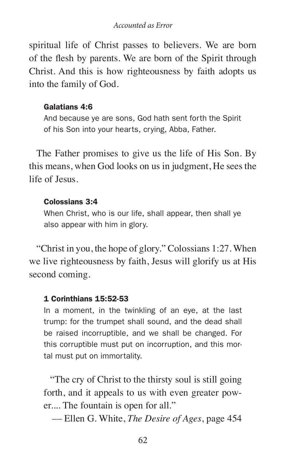spiritual life of Christ passes to believers. We are born of the flesh by parents. We are born of the Spirit through Christ. And this is how righteousness by faith adopts us into the family of God.

#### Galatians 4:6

And because ye are sons, God hath sent forth the Spirit of his Son into your hearts, crying, Abba, Father.

The Father promises to give us the life of His Son. By this means, when God looks on us in judgment, He sees the life of Jesus.

#### Colossians 3:4

When Christ, who is our life, shall appear, then shall ye also appear with him in glory.

"Christ in you, the hope of glory." Colossians 1:27. When we live righteousness by faith, Jesus will glorify us at His second coming.

#### 1 Corinthians 15:52-53

In a moment, in the twinkling of an eye, at the last trump: for the trumpet shall sound, and the dead shall be raised incorruptible, and we shall be changed. For this corruptible must put on incorruption, and this mortal must put on immortality.

"The cry of Christ to the thirsty soul is still going forth, and it appeals to us with even greater power.... The fountain is open for all."

–– Ellen G. White, *The Desire of Ages*, page 454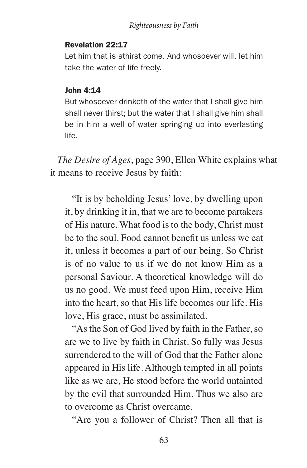# Revelation 22:17

Let him that is athirst come. And whosoever will, let him take the water of life freely.

# John 4:14

But whosoever drinketh of the water that I shall give him shall never thirst; but the water that I shall give him shall be in him a well of water springing up into everlasting life.

*The Desire of Ages*, page 390, Ellen White explains what it means to receive Jesus by faith:

"It is by beholding Jesus' love, by dwelling upon it, by drinking it in, that we are to become partakers of His nature. What food is to the body, Christ must be to the soul. Food cannot benefit us unless we eat it, unless it becomes a part of our being. So Christ is of no value to us if we do not know Him as a personal Saviour. A theoretical knowledge will do us no good. We must feed upon Him, receive Him into the heart, so that His life becomes our life. His love, His grace, must be assimilated.

"As the Son of God lived by faith in the Father, so are we to live by faith in Christ. So fully was Jesus surrendered to the will of God that the Father alone appeared in His life. Although tempted in all points like as we are, He stood before the world untainted by the evil that surrounded Him. Thus we also are to overcome as Christ overcame.

"Are you a follower of Christ? Then all that is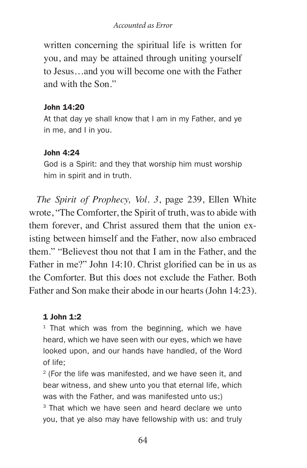written concerning the spiritual life is written for you, and may be attained through uniting yourself to Jesus…and you will become one with the Father and with the Son."

# John 14:20

At that day ye shall know that I am in my Father, and ye in me, and I in you.

## John 4:24

God is a Spirit: and they that worship him must worship him in spirit and in truth.

*The Spirit of Prophecy, Vol. 3*, page 239, Ellen White wrote, "The Comforter, the Spirit of truth, was to abide with them forever, and Christ assured them that the union existing between himself and the Father, now also embraced them." "Believest thou not that I am in the Father, and the Father in me?" John 14:10. Christ glorified can be in us as the Comforter. But this does not exclude the Father. Both Father and Son make their abode in our hearts (John 14:23).

## 1 John 1:2

 $1$  That which was from the beginning, which we have heard, which we have seen with our eyes, which we have looked upon, and our hands have handled, of the Word of life;

 $2$  (For the life was manifested, and we have seen it, and bear witness, and shew unto you that eternal life, which was with the Father, and was manifested unto us;)

<sup>3</sup> That which we have seen and heard declare we unto you, that ye also may have fellowship with us: and truly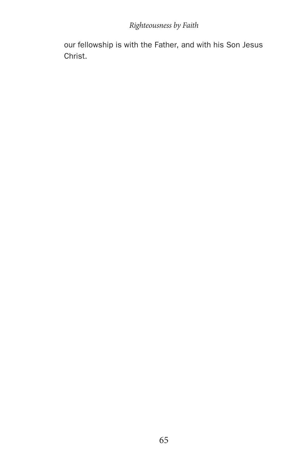# *Righteousness by Faith*

our fellowship is with the Father, and with his Son Jesus Christ.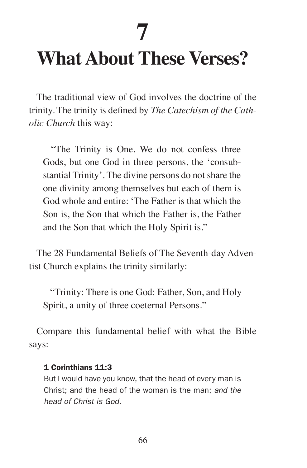# **7**

# **What About These Verses?**

The traditional view of God involves the doctrine of the trinity. The trinity is defined by *The Catechism of the Catholic Church* this way:

"The Trinity is One. We do not confess three Gods, but one God in three persons, the 'consubstantial Trinity'. The divine persons do not share the one divinity among themselves but each of them is God whole and entire: 'The Father is that which the Son is, the Son that which the Father is, the Father and the Son that which the Holy Spirit is."

The 28 Fundamental Beliefs of The Seventh-day Adventist Church explains the trinity similarly:

"Trinity: There is one God: Father, Son, and Holy Spirit, a unity of three coeternal Persons."

Compare this fundamental belief with what the Bible says:

## 1 Corinthians 11:3

But I would have you know, that the head of every man is Christ; and the head of the woman is the man; *and the head of Christ is God.*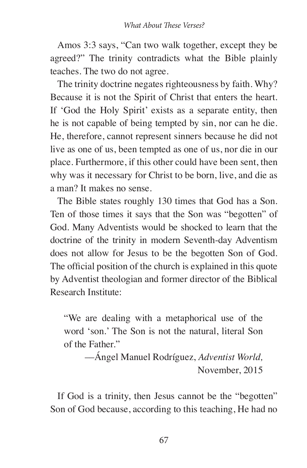Amos 3:3 says, "Can two walk together, except they be agreed?" The trinity contradicts what the Bible plainly teaches. The two do not agree.

The trinity doctrine negates righteousness by faith. Why? Because it is not the Spirit of Christ that enters the heart. If 'God the Holy Spirit' exists as a separate entity, then he is not capable of being tempted by sin, nor can he die. He, therefore, cannot represent sinners because he did not live as one of us, been tempted as one of us, nor die in our place. Furthermore, if this other could have been sent, then why was it necessary for Christ to be born, live, and die as a man? It makes no sense.

The Bible states roughly 130 times that God has a Son. Ten of those times it says that the Son was "begotten" of God. Many Adventists would be shocked to learn that the doctrine of the trinity in modern Seventh-day Adventism does not allow for Jesus to be the begotten Son of God. The official position of the church is explained in this quote by Adventist theologian and former director of the Biblical Research Institute:

"We are dealing with a metaphorical use of the word 'son.' The Son is not the natural, literal Son of the Father."

––Ángel Manuel Rodríguez, *Adventist World,*  November, 2015

If God is a trinity, then Jesus cannot be the "begotten" Son of God because, according to this teaching, He had no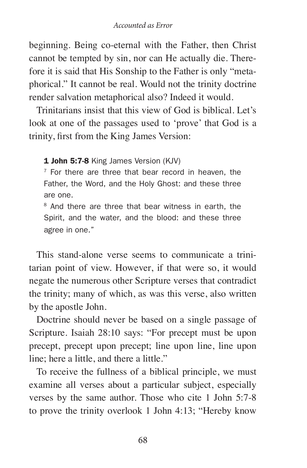beginning. Being co-eternal with the Father, then Christ cannot be tempted by sin, nor can He actually die. Therefore it is said that His Sonship to the Father is only "metaphorical." It cannot be real. Would not the trinity doctrine render salvation metaphorical also? Indeed it would.

Trinitarians insist that this view of God is biblical. Let's look at one of the passages used to 'prove' that God is a trinity, first from the King James Version:

1 John 5:7-8 King James Version (KJV)

 $7$  For there are three that bear record in heaven, the Father, the Word, and the Holy Ghost: and these three are one.

<sup>8</sup> And there are three that bear witness in earth, the Spirit, and the water, and the blood: and these three agree in one."

This stand-alone verse seems to communicate a trinitarian point of view. However, if that were so, it would negate the numerous other Scripture verses that contradict the trinity; many of which, as was this verse, also written by the apostle John.

Doctrine should never be based on a single passage of Scripture. Isaiah 28:10 says: "For precept must be upon precept, precept upon precept; line upon line, line upon line; here a little, and there a little."

To receive the fullness of a biblical principle, we must examine all verses about a particular subject, especially verses by the same author. Those who cite 1 John 5:7-8 to prove the trinity overlook 1 John 4:13; "Hereby know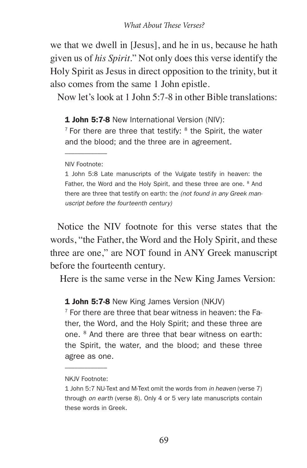we that we dwell in [Jesus], and he in us, because he hath given us of *his Spirit*." Not only does this verse identify the Holy Spirit as Jesus in direct opposition to the trinity, but it also comes from the same 1 John epistle.

Now let's look at 1 John 5:7-8 in other Bible translations:

1 John 5:7-8 New International Version (NIV):

 $7$  For there are three that testify:  $8$  the Spirit, the water and the blood; and the three are in agreement.

#### ––––––––––––– NIV Footnote:

1 John 5:8 Late manuscripts of the Vulgate testify in heaven: the Father, the Word and the Holy Spirit, and these three are one. <sup>8</sup> And there are three that testify on earth: the *(not found in any Greek manuscript before the fourteenth century)*

Notice the NIV footnote for this verse states that the words, "the Father, the Word and the Holy Spirit, and these three are one," are NOT found in ANY Greek manuscript before the fourteenth century.

Here is the same verse in the New King James Version:

# 1 John 5:7-8 New King James Version (NKJV)

 $7$  For there are three that bear witness in heaven: the Father, the Word, and the Holy Spirit; and these three are one. 8 And there are three that bear witness on earth: the Spirit, the water, and the blood; and these three agree as one.

<sup>–––––––––––––</sup> NKJV Footnote:

<sup>1</sup> John 5:7 NU-Text and M-Text omit the words from *in heaven* (verse 7) through *on earth* (verse 8). Only 4 or 5 very late manuscripts contain these words in Greek.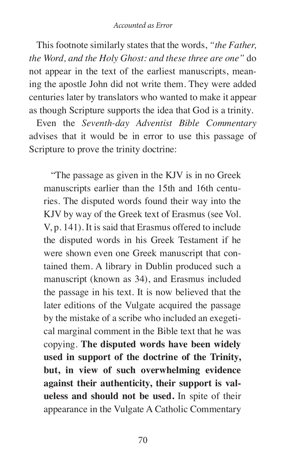This footnote similarly states that the words, *"the Father, the Word, and the Holy Ghost: and these three are one"* do not appear in the text of the earliest manuscripts, meaning the apostle John did not write them. They were added centuries later by translators who wanted to make it appear as though Scripture supports the idea that God is a trinity.

Even the *Seventh-day Adventist Bible Commentary* advises that it would be in error to use this passage of Scripture to prove the trinity doctrine:

"The passage as given in the KJV is in no Greek manuscripts earlier than the 15th and 16th centuries. The disputed words found their way into the KJV by way of the Greek text of Erasmus (see Vol. V, p. 141). It is said that Erasmus offered to include the disputed words in his Greek Testament if he were shown even one Greek manuscript that contained them. A library in Dublin produced such a manuscript (known as 34), and Erasmus included the passage in his text. It is now believed that the later editions of the Vulgate acquired the passage by the mistake of a scribe who included an exegetical marginal comment in the Bible text that he was copying. **The disputed words have been widely used in support of the doctrine of the Trinity, but, in view of such overwhelming evidence against their authenticity, their support is valueless and should not be used.** In spite of their appearance in the Vulgate A Catholic Commentary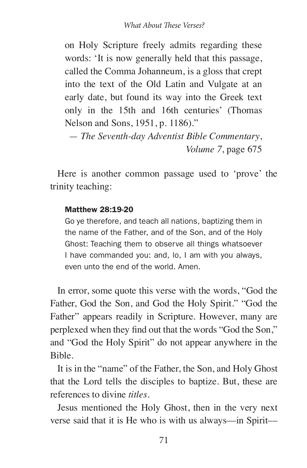on Holy Scripture freely admits regarding these words: 'It is now generally held that this passage, called the Comma Johanneum, is a gloss that crept into the text of the Old Latin and Vulgate at an early date, but found its way into the Greek text only in the 15th and 16th centuries' (Thomas Nelson and Sons, 1951, p. 1186)."

— *The Seventh-day Adventist Bible Commentary*, *Volume 7*, page 675

Here is another common passage used to 'prove' the trinity teaching:

# Matthew 28:19-20

Go ye therefore, and teach all nations, baptizing them in the name of the Father, and of the Son, and of the Holy Ghost: Teaching them to observe all things whatsoever I have commanded you: and, lo, I am with you always, even unto the end of the world. Amen.

In error, some quote this verse with the words, "God the Father, God the Son, and God the Holy Spirit." "God the Father" appears readily in Scripture. However, many are perplexed when they find out that the words "God the Son," and "God the Holy Spirit" do not appear anywhere in the Bible.

It is in the "name" of the Father, the Son, and Holy Ghost that the Lord tells the disciples to baptize. But, these are references to divine *titles*.

Jesus mentioned the Holy Ghost, then in the very next verse said that it is He who is with us always––in Spirit––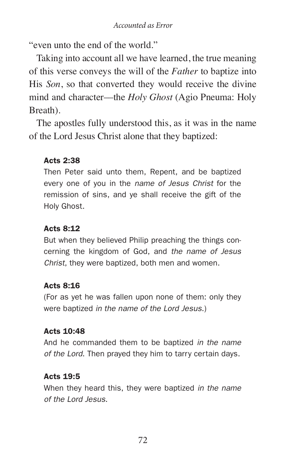"even unto the end of the world."

Taking into account all we have learned, the true meaning of this verse conveys the will of the *Father* to baptize into His *Son*, so that converted they would receive the divine mind and character––the *Holy Ghost* (Agio Pneuma: Holy Breath).

The apostles fully understood this, as it was in the name of the Lord Jesus Christ alone that they baptized:

# Acts 2:38

Then Peter said unto them, Repent, and be baptized every one of you in the *name of Jesus Christ* for the remission of sins, and ye shall receive the gift of the Holy Ghost.

# Acts 8:12

But when they believed Philip preaching the things concerning the kingdom of God, and *the name of Jesus Christ*, they were baptized, both men and women.

# Acts 8:16

(For as yet he was fallen upon none of them: only they were baptized *in the name of the Lord Jesus*.)

# Acts 10:48

And he commanded them to be baptized *in the name of the Lord*. Then prayed they him to tarry certain days.

# Acts 19:5

When they heard this, they were baptized *in the name of the Lord Jesus*.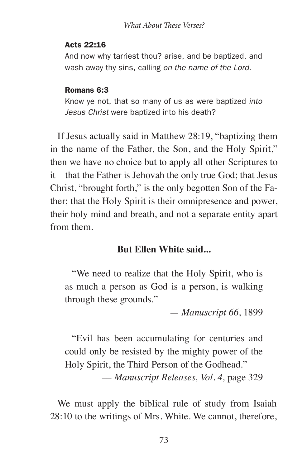### Acts 22:16

And now why tarriest thou? arise, and be baptized, and wash away thy sins, calling *on the name of the Lord*.

### Romans 6:3

Know ye not, that so many of us as were baptized *into Jesus Christ* were baptized into his death?

If Jesus actually said in Matthew 28:19, "baptizing them in the name of the Father, the Son, and the Holy Spirit," then we have no choice but to apply all other Scriptures to it––that the Father is Jehovah the only true God; that Jesus Christ, "brought forth," is the only begotten Son of the Father; that the Holy Spirit is their omnipresence and power, their holy mind and breath, and not a separate entity apart from them.

# **But Ellen White said...**

"We need to realize that the Holy Spirit, who is as much a person as God is a person, is walking through these grounds."

— *Manuscript 66*, 1899

"Evil has been accumulating for centuries and could only be resisted by the mighty power of the Holy Spirit, the Third Person of the Godhead." *–– Manuscript Releases, Vol. 4,* page 329

We must apply the biblical rule of study from Isaiah 28:10 to the writings of Mrs. White. We cannot, therefore,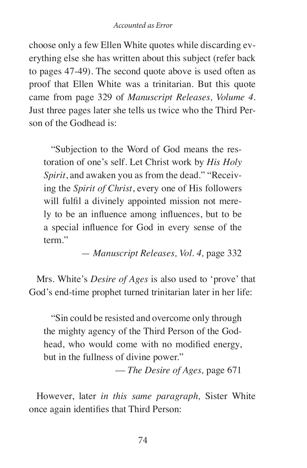choose only a few Ellen White quotes while discarding everything else she has written about this subject (refer back to pages 47-49). The second quote above is used often as proof that Ellen White was a trinitarian. But this quote came from page 329 of *Manuscript Releases, Volume 4*. Just three pages later she tells us twice who the Third Person of the Godhead is:

"Subjection to the Word of God means the restoration of one's self. Let Christ work by *His Holy Spirit*, and awaken you as from the dead." "Receiving the *Spirit of Christ*, every one of His followers will fulfil a divinely appointed mission not merely to be an influence among influences, but to be a special influence for God in every sense of the term."

— *Manuscript Releases, Vol. 4,* page 332

Mrs. White's *Desire of Ages* is also used to 'prove' that God's end-time prophet turned trinitarian later in her life:

"Sin could be resisted and overcome only through the mighty agency of the Third Person of the Godhead, who would come with no modified energy, but in the fullness of divine power."

–– *The Desire of Ages,* page 671

However, later *in this same paragraph,* Sister White once again identifies that Third Person: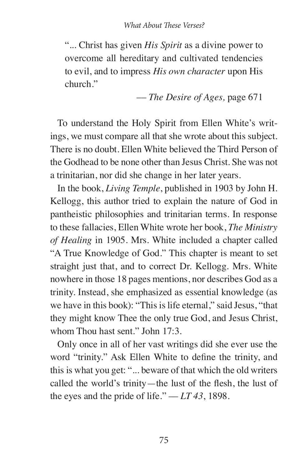"... Christ has given *His Spirit* as a divine power to overcome all hereditary and cultivated tendencies to evil, and to impress *His own character* upon His church."

–– *The Desire of Ages,* page 671

To understand the Holy Spirit from Ellen White's writings, we must compare all that she wrote about this subject. There is no doubt. Ellen White believed the Third Person of the Godhead to be none other than Jesus Christ. She was not a trinitarian, nor did she change in her later years.

In the book, *Living Temple*, published in 1903 by John H. Kellogg, this author tried to explain the nature of God in pantheistic philosophies and trinitarian terms. In response to these fallacies, Ellen White wrote her book, *The Ministry of Healing* in 1905. Mrs. White included a chapter called "A True Knowledge of God." This chapter is meant to set straight just that, and to correct Dr. Kellogg. Mrs. White nowhere in those 18 pages mentions, nor describes God as a trinity. Instead, she emphasized as essential knowledge (as we have in this book): "This is life eternal," said Jesus, "that they might know Thee the only true God, and Jesus Christ, whom Thou hast sent." John 17:3.

Only once in all of her vast writings did she ever use the word "trinity." Ask Ellen White to define the trinity, and this is what you get: "... beware of that which the old writers called the world's trinity—the lust of the flesh, the lust of the eyes and the pride of life." $-LT$  43, 1898.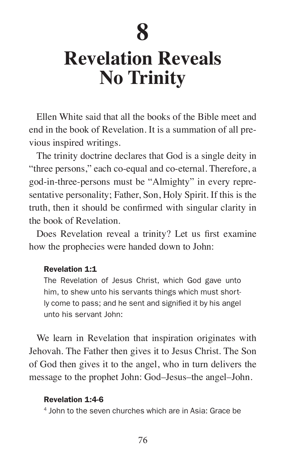# **Revelation Reveals No Trinity**

Ellen White said that all the books of the Bible meet and end in the book of Revelation. It is a summation of all previous inspired writings.

The trinity doctrine declares that God is a single deity in "three persons," each co-equal and co-eternal. Therefore, a god-in-three-persons must be "Almighty" in every representative personality; Father, Son, Holy Spirit. If this is the truth, then it should be confirmed with singular clarity in the book of Revelation.

Does Revelation reveal a trinity? Let us first examine how the prophecies were handed down to John:

#### Revelation 1:1

The Revelation of Jesus Christ, which God gave unto him, to shew unto his servants things which must shortly come to pass; and he sent and signified it by his angel unto his servant John:

We learn in Revelation that inspiration originates with Jehovah. The Father then gives it to Jesus Christ. The Son of God then gives it to the angel, who in turn delivers the message to the prophet John: God–Jesus–the angel–John.

#### Revelation 1:4-6

4 John to the seven churches which are in Asia: Grace be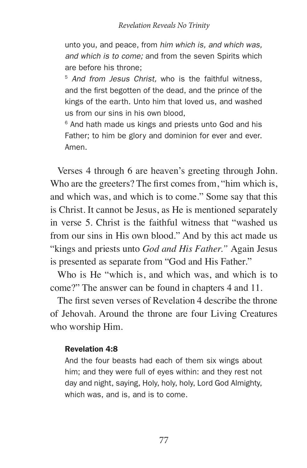unto you, and peace, from *him which is, and which was, and which is to come;* and from the seven Spirits which are before his throne;

<sup>5</sup> *And from Jesus Christ,* who is the faithful witness, and the first begotten of the dead, and the prince of the kings of the earth. Unto him that loved us, and washed us from our sins in his own blood,

<sup>6</sup> And hath made us kings and priests unto God and his Father; to him be glory and dominion for ever and ever. Amen.

Verses 4 through 6 are heaven's greeting through John. Who are the greeters? The first comes from, "him which is, and which was, and which is to come." Some say that this is Christ. It cannot be Jesus, as He is mentioned separately in verse 5. Christ is the faithful witness that "washed us from our sins in His own blood." And by this act made us "kings and priests unto *God and His Father."* Again Jesus is presented as separate from "God and His Father."

Who is He "which is, and which was, and which is to come?" The answer can be found in chapters 4 and 11.

The first seven verses of Revelation 4 describe the throne of Jehovah. Around the throne are four Living Creatures who worship Him.

# Revelation 4:8

And the four beasts had each of them six wings about him; and they were full of eyes within: and they rest not day and night, saying, Holy, holy, holy, Lord God Almighty, which was, and is, and is to come.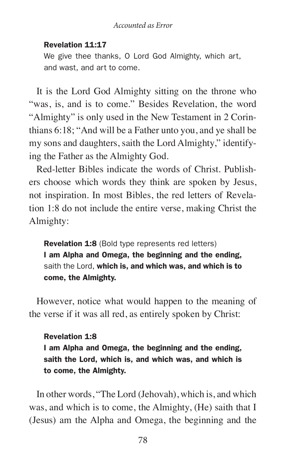#### Revelation 11:17

We give thee thanks, O Lord God Almighty, which art, and wast, and art to come.

It is the Lord God Almighty sitting on the throne who "was, is, and is to come." Besides Revelation, the word "Almighty" is only used in the New Testament in 2 Corinthians 6:18; "And will be a Father unto you, and ye shall be my sons and daughters, saith the Lord Almighty," identifying the Father as the Almighty God.

Red-letter Bibles indicate the words of Christ. Publishers choose which words they think are spoken by Jesus, not inspiration. In most Bibles, the red letters of Revelation 1:8 do not include the entire verse, making Christ the Almighty:

**Revelation 1:8** (Bold type represents red letters) I am Alpha and Omega, the beginning and the ending, saith the Lord, which is, and which was, and which is to come, the Almighty.

However, notice what would happen to the meaning of the verse if it was all red, as entirely spoken by Christ:

#### Revelation 1:8

I am Alpha and Omega, the beginning and the ending, saith the Lord, which is, and which was, and which is to come, the Almighty.

In other words, "The Lord (Jehovah), which is, and which was, and which is to come, the Almighty, (He) saith that I (Jesus) am the Alpha and Omega, the beginning and the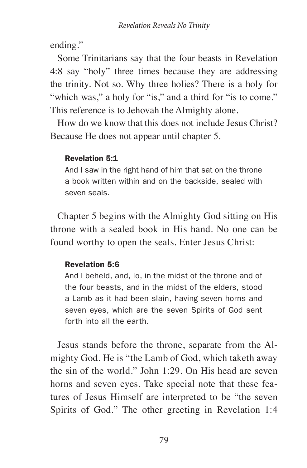ending."

Some Trinitarians say that the four beasts in Revelation 4:8 say "holy" three times because they are addressing the trinity. Not so. Why three holies? There is a holy for "which was," a holy for "is," and a third for "is to come." This reference is to Jehovah the Almighty alone.

How do we know that this does not include Jesus Christ? Because He does not appear until chapter 5.

# Revelation 5:1

And I saw in the right hand of him that sat on the throne a book written within and on the backside, sealed with seven seals.

Chapter 5 begins with the Almighty God sitting on His throne with a sealed book in His hand. No one can be found worthy to open the seals. Enter Jesus Christ:

# Revelation 5:6

And I beheld, and, lo, in the midst of the throne and of the four beasts, and in the midst of the elders, stood a Lamb as it had been slain, having seven horns and seven eyes, which are the seven Spirits of God sent forth into all the earth.

Jesus stands before the throne, separate from the Almighty God. He is "the Lamb of God, which taketh away the sin of the world." John 1:29. On His head are seven horns and seven eyes. Take special note that these features of Jesus Himself are interpreted to be "the seven Spirits of God." The other greeting in Revelation 1:4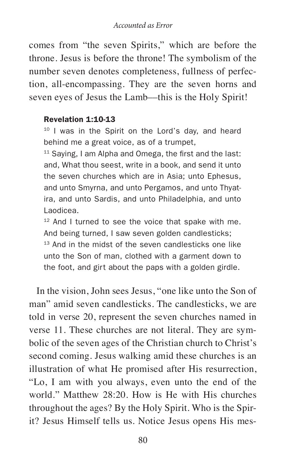comes from "the seven Spirits," which are before the throne. Jesus is before the throne! The symbolism of the number seven denotes completeness, fullness of perfection, all-encompassing. They are the seven horns and seven eyes of Jesus the Lamb––this is the Holy Spirit!

#### Revelation 1:10-13

<sup>10</sup> I was in the Spirit on the Lord's day, and heard behind me a great voice, as of a trumpet,

 $11$  Saying, I am Alpha and Omega, the first and the last: and, What thou seest, write in a book, and send it unto the seven churches which are in Asia; unto Ephesus, and unto Smyrna, and unto Pergamos, and unto Thyatira, and unto Sardis, and unto Philadelphia, and unto Laodicea.

<sup>12</sup> And I turned to see the voice that spake with me. And being turned, I saw seven golden candlesticks; <sup>13</sup> And in the midst of the seven candlesticks one like unto the Son of man, clothed with a garment down to the foot, and girt about the paps with a golden girdle.

In the vision, John sees Jesus, "one like unto the Son of man" amid seven candlesticks. The candlesticks, we are told in verse 20, represent the seven churches named in verse 11. These churches are not literal. They are symbolic of the seven ages of the Christian church to Christ's second coming. Jesus walking amid these churches is an illustration of what He promised after His resurrection, "Lo, I am with you always, even unto the end of the world." Matthew 28:20. How is He with His churches throughout the ages? By the Holy Spirit. Who is the Spirit? Jesus Himself tells us. Notice Jesus opens His mes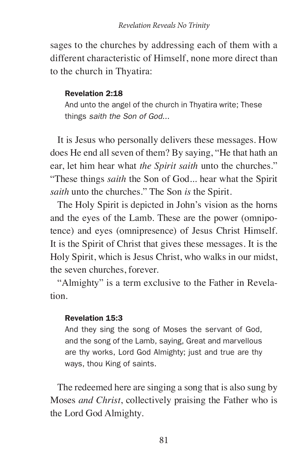sages to the churches by addressing each of them with a different characteristic of Himself, none more direct than to the church in Thyatira:

# Revelation 2:18

And unto the angel of the church in Thyatira write; These things *saith the Son of God...*

It is Jesus who personally delivers these messages. How does He end all seven of them? By saying, "He that hath an ear, let him hear what *the Spirit saith* unto the churches." "These things *saith* the Son of God... hear what the Spirit *saith* unto the churches." The Son *is* the Spirit.

The Holy Spirit is depicted in John's vision as the horns and the eyes of the Lamb. These are the power (omnipotence) and eyes (omnipresence) of Jesus Christ Himself. It is the Spirit of Christ that gives these messages. It is the Holy Spirit, which is Jesus Christ, who walks in our midst, the seven churches, forever.

"Almighty" is a term exclusive to the Father in Revelation.

# Revelation 15:3

And they sing the song of Moses the servant of God, and the song of the Lamb, saying, Great and marvellous are thy works, Lord God Almighty; just and true are thy ways, thou King of saints.

The redeemed here are singing a song that is also sung by Moses *and Christ*, collectively praising the Father who is the Lord God Almighty.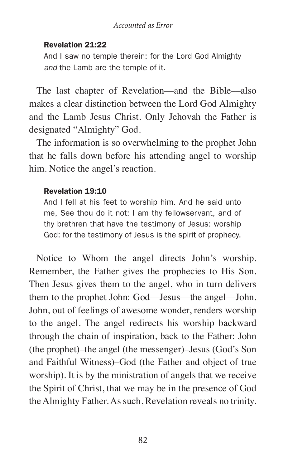#### Revelation 21:22

And I saw no temple therein: for the Lord God Almighty *and* the Lamb are the temple of it.

The last chapter of Revelation—and the Bible—also makes a clear distinction between the Lord God Almighty and the Lamb Jesus Christ. Only Jehovah the Father is designated "Almighty" God.

The information is so overwhelming to the prophet John that he falls down before his attending angel to worship him. Notice the angel's reaction.

#### Revelation 19:10

And I fell at his feet to worship him. And he said unto me, See thou do it not: I am thy fellowservant, and of thy brethren that have the testimony of Jesus: worship God: for the testimony of Jesus is the spirit of prophecy.

Notice to Whom the angel directs John's worship. Remember, the Father gives the prophecies to His Son. Then Jesus gives them to the angel, who in turn delivers them to the prophet John: God––Jesus––the angel––John. John, out of feelings of awesome wonder, renders worship to the angel. The angel redirects his worship backward through the chain of inspiration, back to the Father: John (the prophet)–the angel (the messenger)–Jesus (God's Son and Faithful Witness)–God (the Father and object of true worship). It is by the ministration of angels that we receive the Spirit of Christ, that we may be in the presence of God the Almighty Father. As such, Revelation reveals no trinity.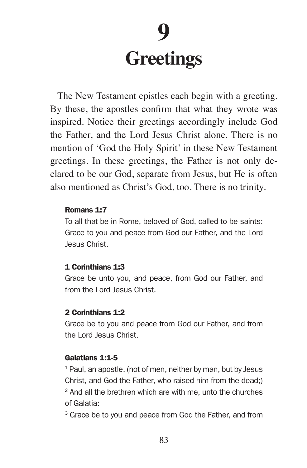# **9 Greetings**

The New Testament epistles each begin with a greeting. By these, the apostles confirm that what they wrote was inspired. Notice their greetings accordingly include God the Father, and the Lord Jesus Christ alone. There is no mention of 'God the Holy Spirit' in these New Testament greetings. In these greetings, the Father is not only declared to be our God, separate from Jesus, but He is often also mentioned as Christ's God, too. There is no trinity.

#### Romans 1:7

To all that be in Rome, beloved of God, called to be saints: Grace to you and peace from God our Father, and the Lord Jesus Christ.

#### 1 Corinthians 1:3

Grace be unto you, and peace, from God our Father, and from the Lord Jesus Christ.

#### 2 Corinthians 1:2

Grace be to you and peace from God our Father, and from the Lord Jesus Christ.

#### Galatians 1:1-5

<sup>1</sup> Paul, an apostle, (not of men, neither by man, but by Jesus Christ, and God the Father, who raised him from the dead;)  $2$  And all the brethren which are with me, unto the churches of Galatia:

<sup>3</sup> Grace be to you and peace from God the Father, and from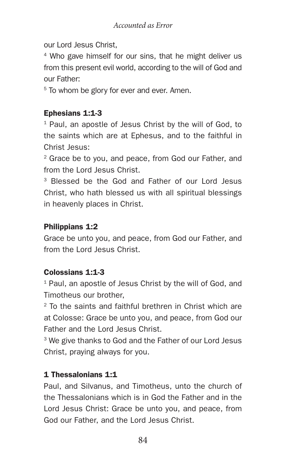our Lord Jesus Christ,

4 Who gave himself for our sins, that he might deliver us from this present evil world, according to the will of God and our Father:

<sup>5</sup> To whom be glory for ever and ever. Amen.

# Ephesians 1:1-3

<sup>1</sup> Paul, an apostle of Jesus Christ by the will of God, to the saints which are at Ephesus, and to the faithful in Christ Jesus:

<sup>2</sup> Grace be to you, and peace, from God our Father, and from the Lord Jesus Christ.

<sup>3</sup> Blessed be the God and Father of our Lord Jesus Christ, who hath blessed us with all spiritual blessings in heavenly places in Christ.

# Philippians 1:2

Grace be unto you, and peace, from God our Father, and from the Lord Jesus Christ.

# Colossians 1:1-3

<sup>1</sup> Paul, an apostle of Jesus Christ by the will of God, and Timotheus our brother,

<sup>2</sup> To the saints and faithful brethren in Christ which are at Colosse: Grace be unto you, and peace, from God our Father and the Lord Jesus Christ.

<sup>3</sup> We give thanks to God and the Father of our Lord Jesus Christ, praying always for you.

# 1 Thessalonians 1:1

Paul, and Silvanus, and Timotheus, unto the church of the Thessalonians which is in God the Father and in the Lord Jesus Christ: Grace be unto you, and peace, from God our Father, and the Lord Jesus Christ.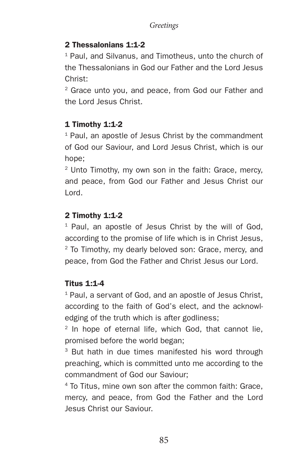### 2 Thessalonians 1:1-2

<sup>1</sup> Paul, and Silvanus, and Timotheus, unto the church of the Thessalonians in God our Father and the Lord Jesus Christ:

2 Grace unto you, and peace, from God our Father and the Lord Jesus Christ.

# 1 Timothy 1:1-2

 $1$  Paul, an apostle of Jesus Christ by the commandment of God our Saviour, and Lord Jesus Christ, which is our hope;

2 Unto Timothy, my own son in the faith: Grace, mercy, and peace, from God our Father and Jesus Christ our Lord.

# 2 Timothy 1:1-2

<sup>1</sup> Paul, an apostle of Jesus Christ by the will of God, according to the promise of life which is in Christ Jesus,  $2$  To Timothy, my dearly beloved son: Grace, mercy, and peace, from God the Father and Christ Jesus our Lord.

# Titus 1:1-4

<sup>1</sup> Paul, a servant of God, and an apostle of Jesus Christ, according to the faith of God's elect, and the acknowledging of the truth which is after godliness;

 $2$  In hope of eternal life, which God, that cannot lie, promised before the world began;

<sup>3</sup> But hath in due times manifested his word through preaching, which is committed unto me according to the commandment of God our Saviour;

<sup>4</sup> To Titus, mine own son after the common faith: Grace, mercy, and peace, from God the Father and the Lord Jesus Christ our Saviour.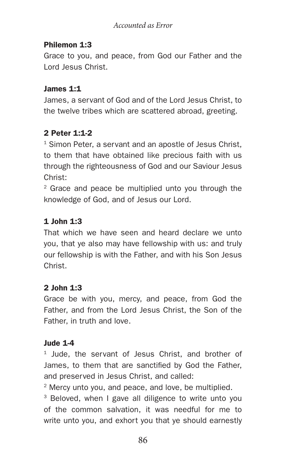#### Philemon 1:3

Grace to you, and peace, from God our Father and the Lord Jesus Christ.

#### James 1:1

James, a servant of God and of the Lord Jesus Christ, to the twelve tribes which are scattered abroad, greeting.

#### 2 Peter 1:1-2

<sup>1</sup> Simon Peter, a servant and an apostle of Jesus Christ, to them that have obtained like precious faith with us through the righteousness of God and our Saviour Jesus Christ:

2 Grace and peace be multiplied unto you through the knowledge of God, and of Jesus our Lord.

#### 1 John 1:3

That which we have seen and heard declare we unto you, that ye also may have fellowship with us: and truly our fellowship is with the Father, and with his Son Jesus Christ.

#### 2 John 1:3

Grace be with you, mercy, and peace, from God the Father, and from the Lord Jesus Christ, the Son of the Father, in truth and love.

#### Jude 1-4

<sup>1</sup> Jude, the servant of Jesus Christ, and brother of James, to them that are sanctified by God the Father, and preserved in Jesus Christ, and called:

 $2$  Mercy unto you, and peace, and love, be multiplied.

<sup>3</sup> Beloved, when I gave all diligence to write unto you of the common salvation, it was needful for me to write unto you, and exhort you that ye should earnestly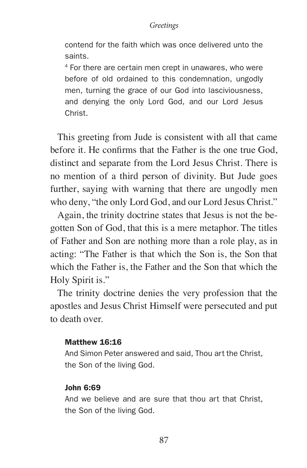contend for the faith which was once delivered unto the saints.

4 For there are certain men crept in unawares, who were before of old ordained to this condemnation, ungodly men, turning the grace of our God into lasciviousness, and denying the only Lord God, and our Lord Jesus Christ.

This greeting from Jude is consistent with all that came before it. He confirms that the Father is the one true God, distinct and separate from the Lord Jesus Christ. There is no mention of a third person of divinity. But Jude goes further, saying with warning that there are ungodly men who deny, "the only Lord God, and our Lord Jesus Christ."

Again, the trinity doctrine states that Jesus is not the begotten Son of God, that this is a mere metaphor. The titles of Father and Son are nothing more than a role play, as in acting: "The Father is that which the Son is, the Son that which the Father is, the Father and the Son that which the Holy Spirit is."

The trinity doctrine denies the very profession that the apostles and Jesus Christ Himself were persecuted and put to death over.

#### Matthew 16:16

And Simon Peter answered and said, Thou art the Christ, the Son of the living God.

#### John 6:69

And we believe and are sure that thou art that Christ, the Son of the living God.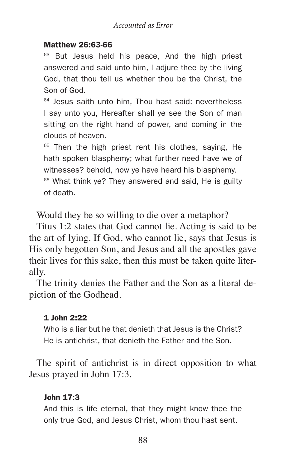#### Matthew 26:63-66

<sup>63</sup> But Jesus held his peace, And the high priest answered and said unto him, I adjure thee by the living God, that thou tell us whether thou be the Christ, the Son of God.

<sup>64</sup> Jesus saith unto him. Thou hast said: nevertheless I say unto you, Hereafter shall ye see the Son of man sitting on the right hand of power, and coming in the clouds of heaven.

<sup>65</sup> Then the high priest rent his clothes, saying, He hath spoken blasphemy; what further need have we of witnesses? behold, now ye have heard his blasphemy.  $66$  What think ye? They answered and said, He is guilty of death.

Would they be so willing to die over a metaphor?

Titus 1:2 states that God cannot lie. Acting is said to be the art of lying. If God, who cannot lie, says that Jesus is His only begotten Son, and Jesus and all the apostles gave their lives for this sake, then this must be taken quite literally.

The trinity denies the Father and the Son as a literal depiction of the Godhead.

#### 1 John 2:22

Who is a liar but he that denieth that Jesus is the Christ? He is antichrist, that denieth the Father and the Son.

The spirit of antichrist is in direct opposition to what Jesus prayed in John 17:3.

#### John 17:3

And this is life eternal, that they might know thee the only true God, and Jesus Christ, whom thou hast sent.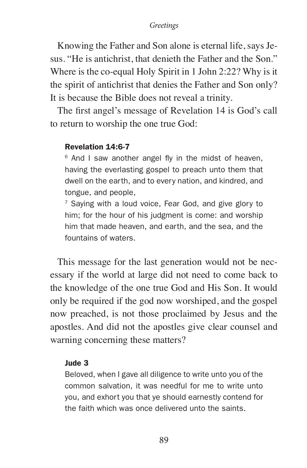#### *Greetings*

Knowing the Father and Son alone is eternal life, says Jesus. "He is antichrist, that denieth the Father and the Son." Where is the co-equal Holy Spirit in 1 John 2:22? Why is it the spirit of antichrist that denies the Father and Son only? It is because the Bible does not reveal a trinity.

The first angel's message of Revelation 14 is God's call to return to worship the one true God:

#### Revelation 14:6-7

 $6$  And I saw another angel fly in the midst of heaven, having the everlasting gospel to preach unto them that dwell on the earth, and to every nation, and kindred, and tongue, and people,

 $7$  Saying with a loud voice, Fear God, and give glory to him; for the hour of his judgment is come: and worship him that made heaven, and earth, and the sea, and the fountains of waters.

This message for the last generation would not be necessary if the world at large did not need to come back to the knowledge of the one true God and His Son. It would only be required if the god now worshiped, and the gospel now preached, is not those proclaimed by Jesus and the apostles. And did not the apostles give clear counsel and warning concerning these matters?

#### Jude 3

Beloved, when I gave all diligence to write unto you of the common salvation, it was needful for me to write unto you, and exhort you that ye should earnestly contend for the faith which was once delivered unto the saints.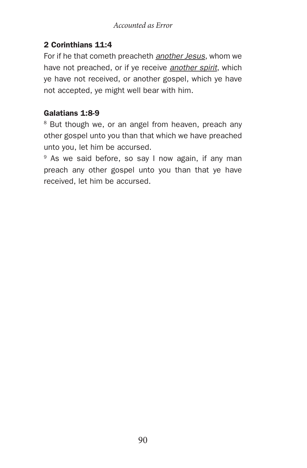# 2 Corinthians 11:4

For if he that cometh preacheth *another Jesus*, whom we have not preached, or if ye receive *another spirit*, which ye have not received, or another gospel, which ye have not accepted, ye might well bear with him.

# Galatians 1:8-9

<sup>8</sup> But though we, or an angel from heaven, preach any other gospel unto you than that which we have preached unto you, let him be accursed.

<sup>9</sup> As we said before, so say I now again, if any man preach any other gospel unto you than that ye have received, let him be accursed.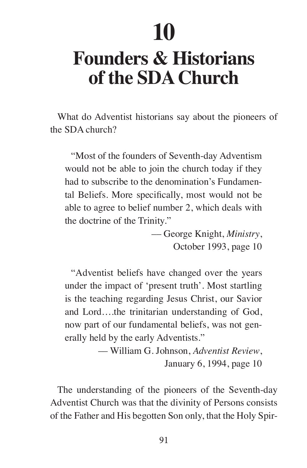# **10**

# **Founders & Historians of the SDA Church**

What do Adventist historians say about the pioneers of the SDA church?

"Most of the founders of Seventh-day Adventism would not be able to join the church today if they had to subscribe to the denomination's Fundamental Beliefs. More specifically, most would not be able to agree to belief number 2, which deals with the doctrine of the Trinity."

> –– George Knight, *Ministry*, October 1993, page 10

"Adventist beliefs have changed over the years under the impact of 'present truth'. Most startling is the teaching regarding Jesus Christ, our Savior and Lord….the trinitarian understanding of God, now part of our fundamental beliefs, was not generally held by the early Adventists."

> –– William G. Johnson, *Adventist Review*, January 6, 1994, page 10

The understanding of the pioneers of the Seventh-day Adventist Church was that the divinity of Persons consists of the Father and His begotten Son only, that the Holy Spir-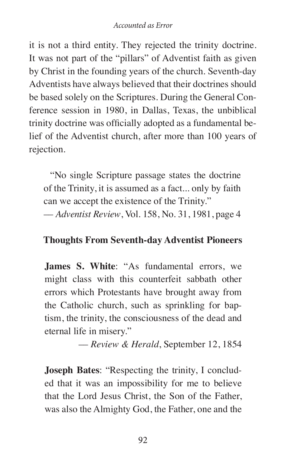it is not a third entity. They rejected the trinity doctrine. It was not part of the "pillars" of Adventist faith as given by Christ in the founding years of the church. Seventh-day Adventists have always believed that their doctrines should be based solely on the Scriptures. During the General Conference session in 1980, in Dallas, Texas, the unbiblical trinity doctrine was officially adopted as a fundamental belief of the Adventist church, after more than 100 years of rejection.

"No single Scripture passage states the doctrine of the Trinity, it is assumed as a fact... only by faith can we accept the existence of the Trinity."

–– *Adventist Review*, Vol. 158, No. 31, 1981, page 4

# **Thoughts From Seventh-day Adventist Pioneers**

**James S. White:** "As fundamental errors, we might class with this counterfeit sabbath other errors which Protestants have brought away from the Catholic church, such as sprinkling for baptism, the trinity, the consciousness of the dead and eternal life in misery."

–– *Review & Herald*, September 12, 1854

**Joseph Bates**: "Respecting the trinity, I concluded that it was an impossibility for me to believe that the Lord Jesus Christ, the Son of the Father, was also the Almighty God, the Father, one and the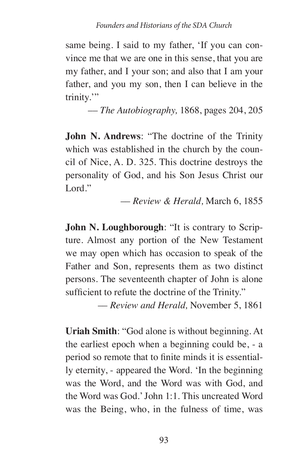same being. I said to my father, 'If you can convince me that we are one in this sense, that you are my father, and I your son; and also that I am your father, and you my son, then I can believe in the trinity."

–– *The Autobiography,* 1868, pages 204, 205

**John N. Andrews**: "The doctrine of the Trinity which was established in the church by the council of Nice, A. D. 325. This doctrine destroys the personality of God, and his Son Jesus Christ our Lord."

–– *Review & Herald,* March 6, 1855

**John N. Loughborough**: "It is contrary to Scripture. Almost any portion of the New Testament we may open which has occasion to speak of the Father and Son, represents them as two distinct persons. The seventeenth chapter of John is alone sufficient to refute the doctrine of the Trinity."

–– *Review and Herald,* November 5, 1861

**Uriah Smith**: "God alone is without beginning. At the earliest epoch when a beginning could be, - a period so remote that to finite minds it is essentially eternity, - appeared the Word. 'In the beginning was the Word, and the Word was with God, and the Word was God.' John 1:1. This uncreated Word was the Being, who, in the fulness of time, was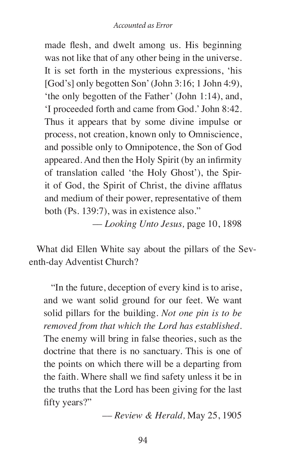made flesh, and dwelt among us. His beginning was not like that of any other being in the universe. It is set forth in the mysterious expressions, 'his [God's] only begotten Son' (John 3:16; 1 John 4:9), 'the only begotten of the Father' (John 1:14), and, 'I proceeded forth and came from God.' John 8:42. Thus it appears that by some divine impulse or process, not creation, known only to Omniscience, and possible only to Omnipotence, the Son of God appeared. And then the Holy Spirit (by an infirmity of translation called 'the Holy Ghost'), the Spirit of God, the Spirit of Christ, the divine afflatus and medium of their power, representative of them both (Ps. 139:7), was in existence also."

–– *Looking Unto Jesus,* page 10, 1898

What did Ellen White say about the pillars of the Seventh-day Adventist Church?

"In the future, deception of every kind is to arise, and we want solid ground for our feet. We want solid pillars for the building. *Not one pin is to be removed from that which the Lord has established.* The enemy will bring in false theories, such as the doctrine that there is no sanctuary. This is one of the points on which there will be a departing from the faith. Where shall we find safety unless it be in the truths that the Lord has been giving for the last fifty years?"

–– *Review & Herald,* May 25, 1905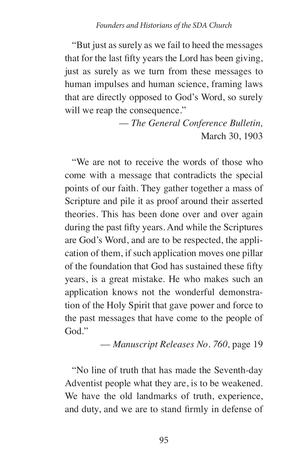#### *Founders and Historians of the SDA Church*

"But just as surely as we fail to heed the messages that for the last fifty years the Lord has been giving, just as surely as we turn from these messages to human impulses and human science, framing laws that are directly opposed to God's Word, so surely will we reap the consequence."

> –– *The General Conference Bulletin,* March 30, 1903

"We are not to receive the words of those who come with a message that contradicts the special points of our faith. They gather together a mass of Scripture and pile it as proof around their asserted theories. This has been done over and over again during the past fifty years. And while the Scriptures are God's Word, and are to be respected, the application of them, if such application moves one pillar of the foundation that God has sustained these fifty years, is a great mistake. He who makes such an application knows not the wonderful demonstration of the Holy Spirit that gave power and force to the past messages that have come to the people of God."

# –– *Manuscript Releases No. 760,* page 19

"No line of truth that has made the Seventh-day Adventist people what they are, is to be weakened. We have the old landmarks of truth, experience, and duty, and we are to stand firmly in defense of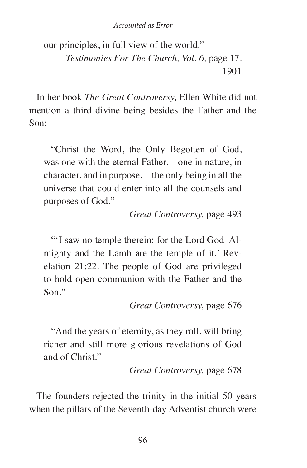our principles, in full view of the world." –– *Testimonies For The Church, Vol. 6,* page 17. 1901

In her book *The Great Controversy,* Ellen White did not mention a third divine being besides the Father and the Son:

"Christ the Word, the Only Begotten of God, was one with the eternal Father,—one in nature, in character, and in purpose,—the only being in all the universe that could enter into all the counsels and purposes of God."

–– *Great Controversy,* page 493

"'I saw no temple therein: for the Lord God Almighty and the Lamb are the temple of it.' Revelation 21:22. The people of God are privileged to hold open communion with the Father and the Son."

–– *Great Controversy,* page 676

"And the years of eternity, as they roll, will bring richer and still more glorious revelations of God and of Christ."

–– *Great Controversy,* page 678

The founders rejected the trinity in the initial 50 years when the pillars of the Seventh-day Adventist church were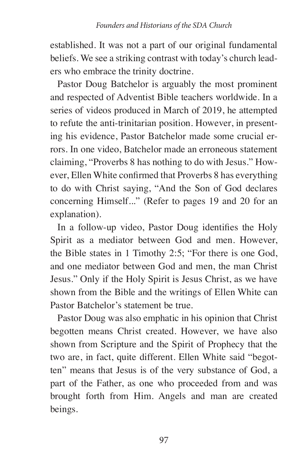established. It was not a part of our original fundamental beliefs. We see a striking contrast with today's church leaders who embrace the trinity doctrine.

Pastor Doug Batchelor is arguably the most prominent and respected of Adventist Bible teachers worldwide. In a series of videos produced in March of 2019, he attempted to refute the anti-trinitarian position. However, in presenting his evidence, Pastor Batchelor made some crucial errors. In one video, Batchelor made an erroneous statement claiming, "Proverbs 8 has nothing to do with Jesus." However, Ellen White confirmed that Proverbs 8 has everything to do with Christ saying, "And the Son of God declares concerning Himself..." (Refer to pages 19 and 20 for an explanation).

In a follow-up video, Pastor Doug identifies the Holy Spirit as a mediator between God and men. However, the Bible states in 1 Timothy 2:5; "For there is one God, and one mediator between God and men, the man Christ Jesus." Only if the Holy Spirit is Jesus Christ, as we have shown from the Bible and the writings of Ellen White can Pastor Batchelor's statement be true.

Pastor Doug was also emphatic in his opinion that Christ begotten means Christ created. However, we have also shown from Scripture and the Spirit of Prophecy that the two are, in fact, quite different. Ellen White said "begotten" means that Jesus is of the very substance of God, a part of the Father, as one who proceeded from and was brought forth from Him. Angels and man are created beings.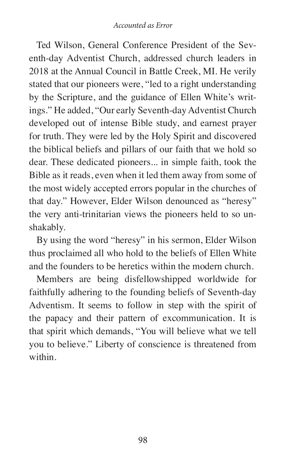Ted Wilson, General Conference President of the Seventh-day Adventist Church, addressed church leaders in 2018 at the Annual Council in Battle Creek, MI. He verily stated that our pioneers were, "led to a right understanding by the Scripture, and the guidance of Ellen White's writings." He added, "Our early Seventh-day Adventist Church developed out of intense Bible study, and earnest prayer for truth. They were led by the Holy Spirit and discovered the biblical beliefs and pillars of our faith that we hold so dear. These dedicated pioneers... in simple faith, took the Bible as it reads, even when it led them away from some of the most widely accepted errors popular in the churches of that day." However, Elder Wilson denounced as "heresy" the very anti-trinitarian views the pioneers held to so unshakably.

By using the word "heresy" in his sermon, Elder Wilson thus proclaimed all who hold to the beliefs of Ellen White and the founders to be heretics within the modern church.

Members are being disfellowshipped worldwide for faithfully adhering to the founding beliefs of Seventh-day Adventism. It seems to follow in step with the spirit of the papacy and their pattern of excommunication. It is that spirit which demands, "You will believe what we tell you to believe." Liberty of conscience is threatened from within.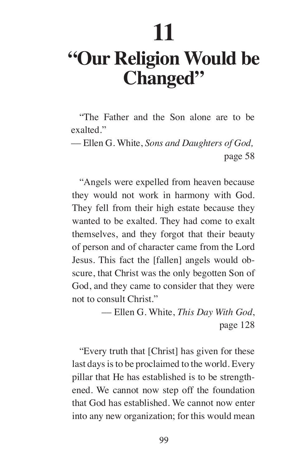# **11**

# **"Our Religion Would be Changed"**

"The Father and the Son alone are to be exalted."

–– Ellen G. White, *Sons and Daughters of God,* page 58

"Angels were expelled from heaven because they would not work in harmony with God. They fell from their high estate because they wanted to be exalted. They had come to exalt themselves, and they forgot that their beauty of person and of character came from the Lord Jesus. This fact the [fallen] angels would obscure, that Christ was the only begotten Son of God, and they came to consider that they were not to consult Christ."

> –– Ellen G. White, *This Day With God*, page 128

"Every truth that [Christ] has given for these last days is to be proclaimed to the world. Every pillar that He has established is to be strengthened. We cannot now step off the foundation that God has established. We cannot now enter into any new organization; for this would mean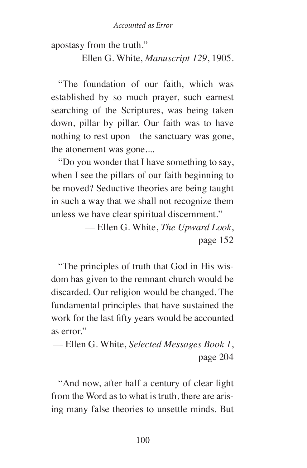apostasy from the truth."

–– Ellen G. White, *Manuscript 129*, 1905.

"The foundation of our faith, which was established by so much prayer, such earnest searching of the Scriptures, was being taken down, pillar by pillar. Our faith was to have nothing to rest upon—the sanctuary was gone, the atonement was gone....

"Do you wonder that I have something to say, when I see the pillars of our faith beginning to be moved? Seductive theories are being taught in such a way that we shall not recognize them unless we have clear spiritual discernment."

> –– Ellen G. White, *The Upward Look*, page 152

"The principles of truth that God in His wisdom has given to the remnant church would be discarded. Our religion would be changed. The fundamental principles that have sustained the work for the last fifty years would be accounted as error."

–– Ellen G. White, *Selected Messages Book 1*, page 204

"And now, after half a century of clear light from the Word as to what is truth, there are arising many false theories to unsettle minds. But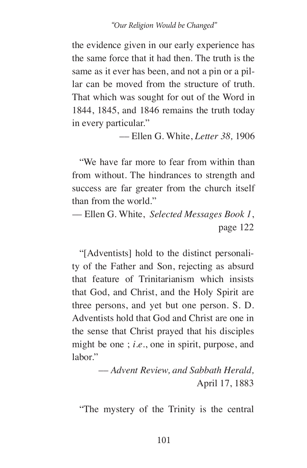the evidence given in our early experience has the same force that it had then. The truth is the same as it ever has been, and not a pin or a pillar can be moved from the structure of truth. That which was sought for out of the Word in 1844, 1845, and 1846 remains the truth today in every particular."

–– Ellen G. White, *Letter 38,* 1906

"We have far more to fear from within than from without. The hindrances to strength and success are far greater from the church itself than from the world."

–– Ellen G. White, *Selected Messages Book 1*, page 122

"[Adventists] hold to the distinct personality of the Father and Son, rejecting as absurd that feature of Trinitarianism which insists that God, and Christ, and the Holy Spirit are three persons, and yet but one person. S. D. Adventists hold that God and Christ are one in the sense that Christ prayed that his disciples might be one ; *i.e.*, one in spirit, purpose, and labor."

> –– *Advent Review, and Sabbath Herald,* April 17, 1883

"The mystery of the Trinity is the central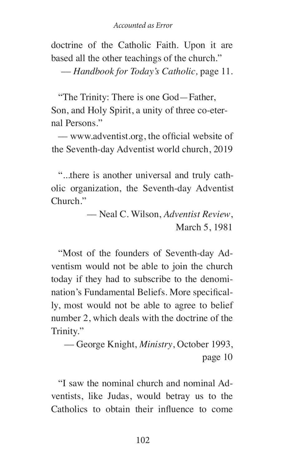doctrine of the Catholic Faith. Upon it are based all the other teachings of the church."

–– *Handbook for Today's Catholic,* page 11.

"The Trinity: There is one God—Father, Son, and Holy Spirit, a unity of three co-eternal Persons."

–– www.adventist.org, the official website of the Seventh-day Adventist world church, 2019

"...there is another universal and truly catholic organization, the Seventh-day Adventist Church."

> –– Neal C. Wilson, *Adventist Review*, March 5, 1981

"Most of the founders of Seventh-day Adventism would not be able to join the church today if they had to subscribe to the denomination's Fundamental Beliefs. More specifically, most would not be able to agree to belief number 2, which deals with the doctrine of the Trinity."

–– George Knight, *Ministry*, October 1993, page 10

"I saw the nominal church and nominal Adventists, like Judas, would betray us to the Catholics to obtain their influence to come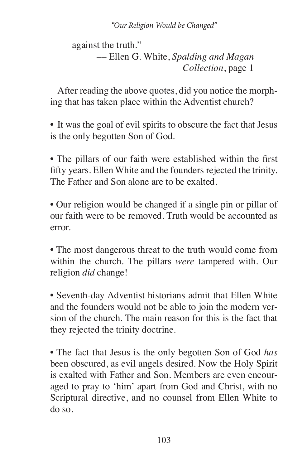*"Our Religion Would be Changed"*

against the truth." –– Ellen G. White, *Spalding and Magan Collection*, page 1

After reading the above quotes, did you notice the morphing that has taken place within the Adventist church?

• It was the goal of evil spirits to obscure the fact that Jesus is the only begotten Son of God.

• The pillars of our faith were established within the first fifty years. Ellen White and the founders rejected the trinity. The Father and Son alone are to be exalted.

• Our religion would be changed if a single pin or pillar of our faith were to be removed. Truth would be accounted as error.

• The most dangerous threat to the truth would come from within the church. The pillars *were* tampered with. Our religion *did* change!

• Seventh-day Adventist historians admit that Ellen White and the founders would not be able to join the modern version of the church. The main reason for this is the fact that they rejected the trinity doctrine.

• The fact that Jesus is the only begotten Son of God *has* been obscured, as evil angels desired. Now the Holy Spirit is exalted with Father and Son. Members are even encouraged to pray to 'him' apart from God and Christ, with no Scriptural directive, and no counsel from Ellen White to do so.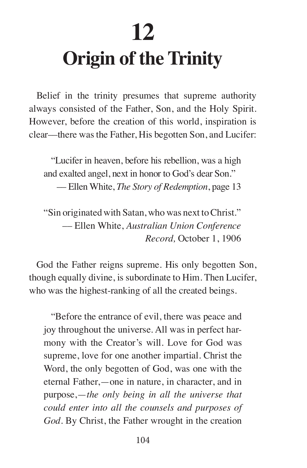# **12 Origin of the Trinity**

Belief in the trinity presumes that supreme authority always consisted of the Father, Son, and the Holy Spirit. However, before the creation of this world, inspiration is clear––there was the Father, His begotten Son, and Lucifer:

"Lucifer in heaven, before his rebellion, was a high and exalted angel, next in honor to God's dear Son." –– Ellen White, *The Story of Redemption*, page 13

"Sin originated with Satan, who was next to Christ." –– Ellen White, *Australian Union Conference Record,* October 1, 1906

God the Father reigns supreme. His only begotten Son, though equally divine, is subordinate to Him. Then Lucifer, who was the highest-ranking of all the created beings.

"Before the entrance of evil, there was peace and joy throughout the universe. All was in perfect harmony with the Creator's will. Love for God was supreme, love for one another impartial. Christ the Word, the only begotten of God, was one with the eternal Father,—one in nature, in character, and in purpose,—*the only being in all the universe that could enter into all the counsels and purposes of God.* By Christ, the Father wrought in the creation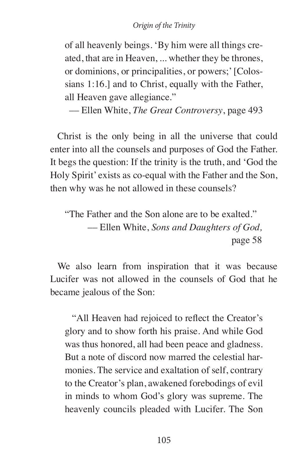#### *Origin of the Trinity*

of all heavenly beings. 'By him were all things created, that are in Heaven, ... whether they be thrones, or dominions, or principalities, or powers;' [Colossians 1:16.] and to Christ, equally with the Father, all Heaven gave allegiance."

–– Ellen White, *The Great Controversy*, page 493

Christ is the only being in all the universe that could enter into all the counsels and purposes of God the Father. It begs the question: If the trinity is the truth, and 'God the Holy Spirit' exists as co-equal with the Father and the Son, then why was he not allowed in these counsels?

"The Father and the Son alone are to be exalted." –– Ellen White, *Sons and Daughters of God,* page 58

We also learn from inspiration that it was because Lucifer was not allowed in the counsels of God that he became jealous of the Son:

"All Heaven had rejoiced to reflect the Creator's glory and to show forth his praise. And while God was thus honored, all had been peace and gladness. But a note of discord now marred the celestial harmonies. The service and exaltation of self, contrary to the Creator's plan, awakened forebodings of evil in minds to whom God's glory was supreme. The heavenly councils pleaded with Lucifer. The Son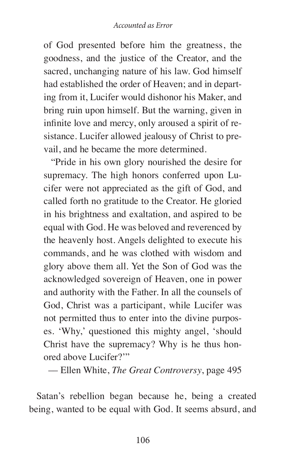of God presented before him the greatness, the goodness, and the justice of the Creator, and the sacred, unchanging nature of his law. God himself had established the order of Heaven; and in departing from it, Lucifer would dishonor his Maker, and bring ruin upon himself. But the warning, given in infinite love and mercy, only aroused a spirit of resistance. Lucifer allowed jealousy of Christ to prevail, and he became the more determined.

"Pride in his own glory nourished the desire for supremacy. The high honors conferred upon Lucifer were not appreciated as the gift of God, and called forth no gratitude to the Creator. He gloried in his brightness and exaltation, and aspired to be equal with God. He was beloved and reverenced by the heavenly host. Angels delighted to execute his commands, and he was clothed with wisdom and glory above them all. Yet the Son of God was the acknowledged sovereign of Heaven, one in power and authority with the Father. In all the counsels of God, Christ was a participant, while Lucifer was not permitted thus to enter into the divine purposes. 'Why,' questioned this mighty angel, 'should Christ have the supremacy? Why is he thus honored above Lucifer?""

–– Ellen White, *The Great Controversy*, page 495

Satan's rebellion began because he, being a created being, wanted to be equal with God. It seems absurd, and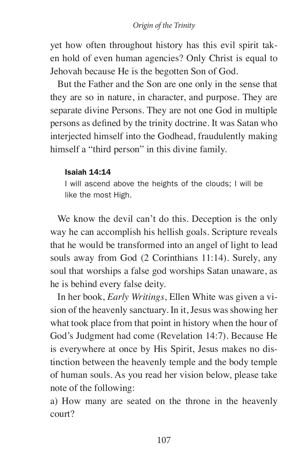#### *Origin of the Trinity*

yet how often throughout history has this evil spirit taken hold of even human agencies? Only Christ is equal to Jehovah because He is the begotten Son of God.

But the Father and the Son are one only in the sense that they are so in nature, in character, and purpose. They are separate divine Persons. They are not one God in multiple persons as defined by the trinity doctrine. It was Satan who interjected himself into the Godhead, fraudulently making himself a "third person" in this divine family.

#### Isaiah 14:14

I will ascend above the heights of the clouds; I will be like the most High.

We know the devil can't do this. Deception is the only way he can accomplish his hellish goals. Scripture reveals that he would be transformed into an angel of light to lead souls away from God (2 Corinthians 11:14). Surely, any soul that worships a false god worships Satan unaware, as he is behind every false deity.

In her book, *Early Writings*, Ellen White was given a vision of the heavenly sanctuary. In it, Jesus was showing her what took place from that point in history when the hour of God's Judgment had come (Revelation 14:7). Because He is everywhere at once by His Spirit, Jesus makes no distinction between the heavenly temple and the body temple of human souls. As you read her vision below, please take note of the following:

a) How many are seated on the throne in the heavenly court?

107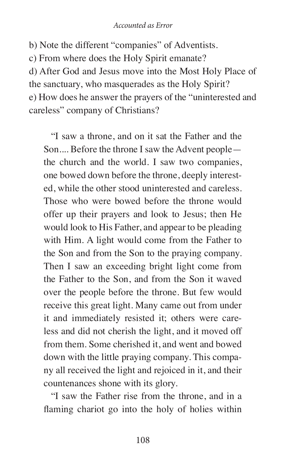b) Note the different "companies" of Adventists. c) From where does the Holy Spirit emanate? d) After God and Jesus move into the Most Holy Place of the sanctuary, who masquerades as the Holy Spirit? e) How does he answer the prayers of the "uninterested and careless" company of Christians?

"I saw a throne, and on it sat the Father and the Son.... Before the throne I saw the Advent people the church and the world. I saw two companies, one bowed down before the throne, deeply interested, while the other stood uninterested and careless. Those who were bowed before the throne would offer up their prayers and look to Jesus; then He would look to His Father, and appear to be pleading with Him. A light would come from the Father to the Son and from the Son to the praying company. Then I saw an exceeding bright light come from the Father to the Son, and from the Son it waved over the people before the throne. But few would receive this great light. Many came out from under it and immediately resisted it; others were careless and did not cherish the light, and it moved off from them. Some cherished it, and went and bowed down with the little praying company. This company all received the light and rejoiced in it, and their countenances shone with its glory.

"I saw the Father rise from the throne, and in a flaming chariot go into the holy of holies within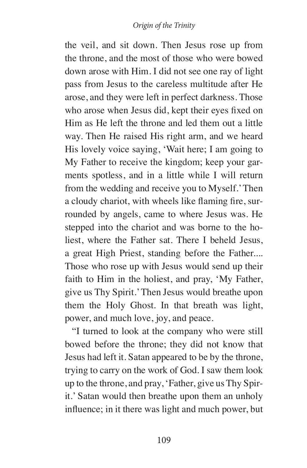the veil, and sit down. Then Jesus rose up from the throne, and the most of those who were bowed down arose with Him. I did not see one ray of light pass from Jesus to the careless multitude after He arose, and they were left in perfect darkness. Those who arose when Jesus did, kept their eyes fixed on Him as He left the throne and led them out a little way. Then He raised His right arm, and we heard His lovely voice saying, 'Wait here; I am going to My Father to receive the kingdom; keep your garments spotless, and in a little while I will return from the wedding and receive you to Myself.' Then a cloudy chariot, with wheels like flaming fire, surrounded by angels, came to where Jesus was. He stepped into the chariot and was borne to the holiest, where the Father sat. There I beheld Jesus, a great High Priest, standing before the Father.... Those who rose up with Jesus would send up their faith to Him in the holiest, and pray, 'My Father, give us Thy Spirit.' Then Jesus would breathe upon them the Holy Ghost. In that breath was light, power, and much love, joy, and peace.

"I turned to look at the company who were still bowed before the throne; they did not know that Jesus had left it. Satan appeared to be by the throne, trying to carry on the work of God. I saw them look up to the throne, and pray, 'Father, give us Thy Spirit.' Satan would then breathe upon them an unholy influence; in it there was light and much power, but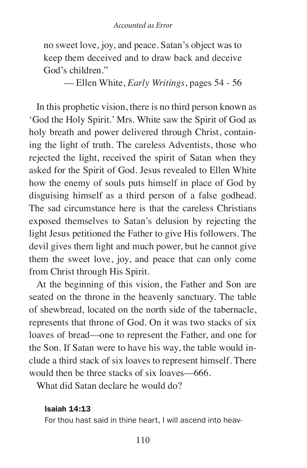no sweet love, joy, and peace. Satan's object was to keep them deceived and to draw back and deceive God's children."

–– Ellen White, *Early Writings*, pages 54 - 56

In this prophetic vision, there is no third person known as 'God the Holy Spirit.' Mrs. White saw the Spirit of God as holy breath and power delivered through Christ, containing the light of truth. The careless Adventists, those who rejected the light, received the spirit of Satan when they asked for the Spirit of God. Jesus revealed to Ellen White how the enemy of souls puts himself in place of God by disguising himself as a third person of a false godhead. The sad circumstance here is that the careless Christians exposed themselves to Satan's delusion by rejecting the light Jesus petitioned the Father to give His followers. The devil gives them light and much power, but he cannot give them the sweet love, joy, and peace that can only come from Christ through His Spirit.

At the beginning of this vision, the Father and Son are seated on the throne in the heavenly sanctuary. The table of shewbread, located on the north side of the tabernacle, represents that throne of God. On it was two stacks of six loaves of bread––one to represent the Father, and one for the Son. If Satan were to have his way, the table would include a third stack of six loaves to represent himself. There would then be three stacks of six loaves––666.

What did Satan declare he would do?

## Isaiah 14:13

For thou hast said in thine heart, I will ascend into heav-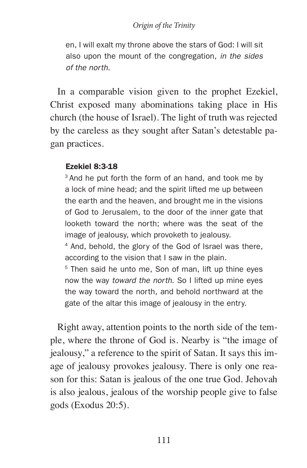en, I will exalt my throne above the stars of God: I will sit also upon the mount of the congregation, *in the sides of the north*.

In a comparable vision given to the prophet Ezekiel, Christ exposed many abominations taking place in His church (the house of Israel). The light of truth was rejected by the careless as they sought after Satan's detestable pagan practices.

#### Ezekiel 8:3-18

 $3$  And he put forth the form of an hand, and took me by a lock of mine head; and the spirit lifted me up between the earth and the heaven, and brought me in the visions of God to Jerusalem, to the door of the inner gate that looketh toward the north; where was the seat of the image of jealousy, which provoketh to jealousy.

<sup>4</sup> And, behold, the glory of the God of Israel was there, according to the vision that I saw in the plain.

<sup>5</sup> Then said he unto me, Son of man, lift up thine eyes now the way *toward the north*. So I lifted up mine eyes the way toward the north, and behold northward at the gate of the altar this image of jealousy in the entry.

Right away, attention points to the north side of the temple, where the throne of God is. Nearby is "the image of jealousy," a reference to the spirit of Satan. It says this image of jealousy provokes jealousy. There is only one reason for this: Satan is jealous of the one true God. Jehovah is also jealous, jealous of the worship people give to false gods (Exodus 20:5).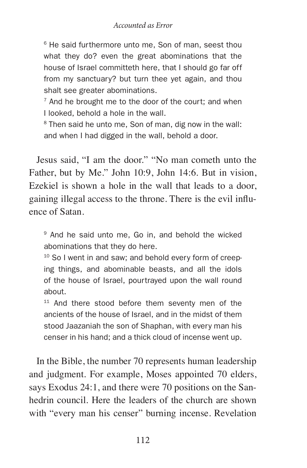<sup>6</sup> He said furthermore unto me, Son of man, seest thou what they do? even the great abominations that the house of Israel committeth here, that I should go far off from my sanctuary? but turn thee yet again, and thou shalt see greater abominations.

 $7$  And he brought me to the door of the court; and when I looked, behold a hole in the wall.

<sup>8</sup> Then said he unto me, Son of man, dig now in the wall: and when I had digged in the wall, behold a door.

Jesus said, "I am the door." "No man cometh unto the Father, but by Me." John 10:9, John 14:6. But in vision, Ezekiel is shown a hole in the wall that leads to a door, gaining illegal access to the throne. There is the evil influence of Satan.

<sup>9</sup> And he said unto me, Go in, and behold the wicked abominations that they do here.

 $10$  So I went in and saw; and behold every form of creeping things, and abominable beasts, and all the idols of the house of Israel, pourtrayed upon the wall round about.

 $11$  And there stood before them seventy men of the ancients of the house of Israel, and in the midst of them stood Jaazaniah the son of Shaphan, with every man his censer in his hand; and a thick cloud of incense went up.

In the Bible, the number 70 represents human leadership and judgment. For example, Moses appointed 70 elders, says Exodus 24:1, and there were 70 positions on the Sanhedrin council. Here the leaders of the church are shown with "every man his censer" burning incense. Revelation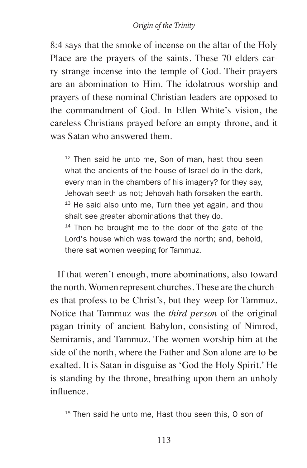8:4 says that the smoke of incense on the altar of the Holy Place are the prayers of the saints. These 70 elders carry strange incense into the temple of God. Their prayers are an abomination to Him. The idolatrous worship and prayers of these nominal Christian leaders are opposed to the commandment of God. In Ellen White's vision, the careless Christians prayed before an empty throne, and it was Satan who answered them.

<sup>12</sup> Then said he unto me, Son of man, hast thou seen what the ancients of the house of Israel do in the dark, every man in the chambers of his imagery? for they say, Jehovah seeth us not; Jehovah hath forsaken the earth. <sup>13</sup> He said also unto me, Turn thee yet again, and thou shalt see greater abominations that they do. <sup>14</sup> Then he brought me to the door of the gate of the Lord's house which was toward the north; and, behold,

there sat women weeping for Tammuz.

If that weren't enough, more abominations, also toward the north. Women represent churches. These are the churches that profess to be Christ's, but they weep for Tammuz. Notice that Tammuz was the *third person* of the original pagan trinity of ancient Babylon, consisting of Nimrod, Semiramis, and Tammuz. The women worship him at the side of the north, where the Father and Son alone are to be exalted. It is Satan in disguise as 'God the Holy Spirit.' He is standing by the throne, breathing upon them an unholy influence.

<sup>15</sup> Then said he unto me, Hast thou seen this, O son of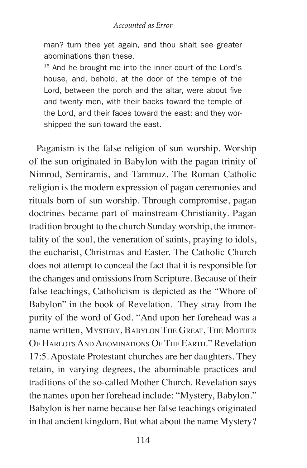man? turn thee yet again, and thou shalt see greater abominations than these.

 $16$  And he brought me into the inner court of the Lord's house, and, behold, at the door of the temple of the Lord, between the porch and the altar, were about five and twenty men, with their backs toward the temple of the Lord, and their faces toward the east; and they worshipped the sun toward the east.

Paganism is the false religion of sun worship. Worship of the sun originated in Babylon with the pagan trinity of Nimrod, Semiramis, and Tammuz. The Roman Catholic religion is the modern expression of pagan ceremonies and rituals born of sun worship. Through compromise, pagan doctrines became part of mainstream Christianity. Pagan tradition brought to the church Sunday worship, the immortality of the soul, the veneration of saints, praying to idols, the eucharist, Christmas and Easter. The Catholic Church does not attempt to conceal the fact that it is responsible for the changes and omissions from Scripture. Because of their false teachings, Catholicism is depicted as the "Whore of Babylon" in the book of Revelation. They stray from the purity of the word of God. "And upon her forehead was a name written, Mystery, Babylon The Great, The Mother Of Harlots And Abominations Of The Earth." Revelation 17:5. Apostate Protestant churches are her daughters. They retain, in varying degrees, the abominable practices and traditions of the so-called Mother Church. Revelation says the names upon her forehead include: "Mystery, Babylon." Babylon is her name because her false teachings originated in that ancient kingdom. But what about the name Mystery?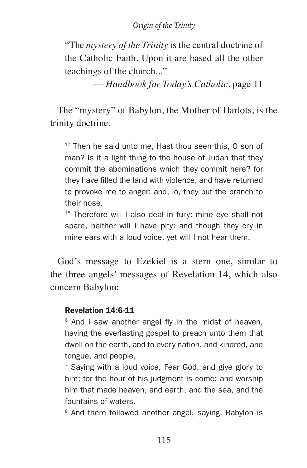"The *mystery of the Trinity* is the central doctrine of the Catholic Faith. Upon it are based all the other teachings of the church..."

–– *Handbook for Today's Catholic*, page 11

The "mystery" of Babylon, the Mother of Harlots, is the trinity doctrine.

<sup>17</sup> Then he said unto me, Hast thou seen this, O son of man? Is it a light thing to the house of Judah that they commit the abominations which they commit here? for they have filled the land with violence, and have returned to provoke me to anger: and, lo, they put the branch to their nose.

<sup>18</sup> Therefore will I also deal in fury: mine eye shall not spare, neither will I have pity: and though they cry in mine ears with a loud voice, yet will I not hear them.

God's message to Ezekiel is a stern one, similar to the three angels' messages of Revelation 14, which also concern Babylon:

## Revelation 14:6-11

 $6$  And I saw another angel fly in the midst of heaven, having the everlasting gospel to preach unto them that dwell on the earth, and to every nation, and kindred, and tongue, and people,

 $7$  Saying with a loud voice, Fear God, and give glory to him; for the hour of his judgment is come: and worship him that made heaven, and earth, and the sea, and the fountains of waters.

<sup>8</sup> And there followed another angel, saying, Babylon is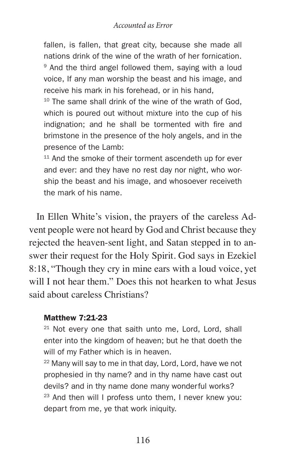fallen, is fallen, that great city, because she made all nations drink of the wine of the wrath of her fornication. <sup>9</sup> And the third angel followed them, saying with a loud voice, If any man worship the beast and his image, and receive his mark in his forehead, or in his hand,

 $10$  The same shall drink of the wine of the wrath of God, which is poured out without mixture into the cup of his indignation; and he shall be tormented with fire and brimstone in the presence of the holy angels, and in the presence of the Lamb:

 $11$  And the smoke of their torment ascendeth up for ever and ever: and they have no rest day nor night, who worship the beast and his image, and whosoever receiveth the mark of his name.

In Ellen White's vision, the prayers of the careless Advent people were not heard by God and Christ because they rejected the heaven-sent light, and Satan stepped in to answer their request for the Holy Spirit. God says in Ezekiel 8:18, "Though they cry in mine ears with a loud voice, yet will I not hear them." Does this not hearken to what Jesus said about careless Christians?

## Matthew 7:21-23

 $21$  Not every one that saith unto me, Lord, Lord, shall enter into the kingdom of heaven; but he that doeth the will of my Father which is in heaven.

 $22$  Many will say to me in that day, Lord, Lord, have we not prophesied in thy name? and in thy name have cast out devils? and in thy name done many wonderful works? <sup>23</sup> And then will I profess unto them, I never knew you: depart from me, ye that work iniquity.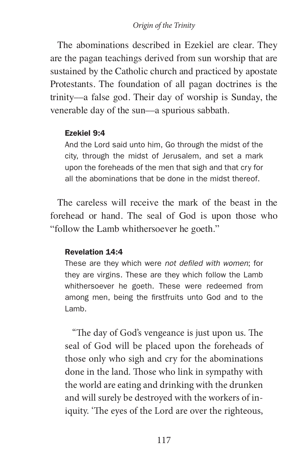The abominations described in Ezekiel are clear. They are the pagan teachings derived from sun worship that are sustained by the Catholic church and practiced by apostate Protestants. The foundation of all pagan doctrines is the trinity––a false god. Their day of worship is Sunday, the venerable day of the sun––a spurious sabbath.

#### Ezekiel 9:4

And the Lord said unto him, Go through the midst of the city, through the midst of Jerusalem, and set a mark upon the foreheads of the men that sigh and that cry for all the abominations that be done in the midst thereof.

The careless will receive the mark of the beast in the forehead or hand. The seal of God is upon those who "follow the Lamb whithersoever he goeth."

## Revelation 14:4

These are they which were *not defiled with women*; for they are virgins. These are they which follow the Lamb whithersoever he goeth. These were redeemed from among men, being the firstfruits unto God and to the Lamb.

"The day of God's vengeance is just upon us. The seal of God will be placed upon the foreheads of those only who sigh and cry for the abominations done in the land. Those who link in sympathy with the world are eating and drinking with the drunken and will surely be destroyed with the workers of iniquity. 'The eyes of the Lord are over the righteous,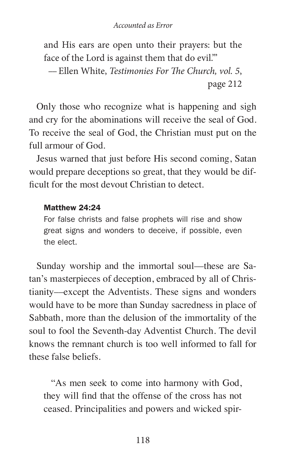and His ears are open unto their prayers: but the face of the Lord is against them that do evil.'" –– Ellen White, *Testimonies For The Church, vol. 5*, page 212

Only those who recognize what is happening and sigh and cry for the abominations will receive the seal of God. To receive the seal of God, the Christian must put on the full armour of God.

Jesus warned that just before His second coming, Satan would prepare deceptions so great, that they would be difficult for the most devout Christian to detect.

#### Matthew 24:24

For false christs and false prophets will rise and show great signs and wonders to deceive, if possible, even the elect.

Sunday worship and the immortal soul––these are Satan's masterpieces of deception, embraced by all of Christianity––except the Adventists. These signs and wonders would have to be more than Sunday sacredness in place of Sabbath, more than the delusion of the immortality of the soul to fool the Seventh-day Adventist Church. The devil knows the remnant church is too well informed to fall for these false beliefs.

"As men seek to come into harmony with God, they will find that the offense of the cross has not ceased. Principalities and powers and wicked spir-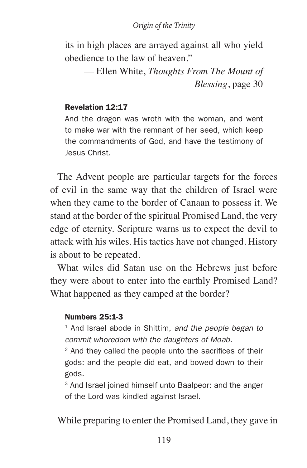its in high places are arrayed against all who yield obedience to the law of heaven."

–– Ellen White, *Thoughts From The Mount of Blessing*, page 30

## Revelation 12:17

And the dragon was wroth with the woman, and went to make war with the remnant of her seed, which keep the commandments of God, and have the testimony of Jesus Christ.

The Advent people are particular targets for the forces of evil in the same way that the children of Israel were when they came to the border of Canaan to possess it. We stand at the border of the spiritual Promised Land, the very edge of eternity. Scripture warns us to expect the devil to attack with his wiles. His tactics have not changed. History is about to be repeated.

What wiles did Satan use on the Hebrews just before they were about to enter into the earthly Promised Land? What happened as they camped at the border?

## Numbers 25:1-3

1 And Israel abode in Shittim, *and the people began to commit whoredom with the daughters of Moab.*

2 And they called the people unto the sacrifices of their gods: and the people did eat, and bowed down to their gods.

<sup>3</sup> And Israel joined himself unto Baalpeor: and the anger of the Lord was kindled against Israel.

While preparing to enter the Promised Land, they gave in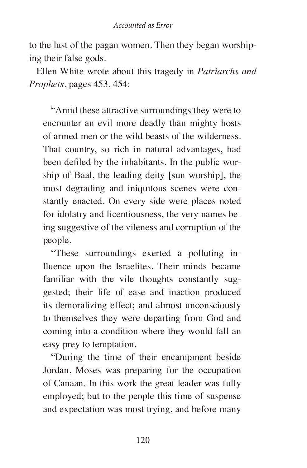to the lust of the pagan women. Then they began worshiping their false gods.

Ellen White wrote about this tragedy in *Patriarchs and Prophets*, pages 453, 454:

"Amid these attractive surroundings they were to encounter an evil more deadly than mighty hosts of armed men or the wild beasts of the wilderness. That country, so rich in natural advantages, had been defiled by the inhabitants. In the public worship of Baal, the leading deity [sun worship], the most degrading and iniquitous scenes were constantly enacted. On every side were places noted for idolatry and licentiousness, the very names being suggestive of the vileness and corruption of the people.

"These surroundings exerted a polluting influence upon the Israelites. Their minds became familiar with the vile thoughts constantly suggested; their life of ease and inaction produced its demoralizing effect; and almost unconsciously to themselves they were departing from God and coming into a condition where they would fall an easy prey to temptation.

"During the time of their encampment beside Jordan, Moses was preparing for the occupation of Canaan. In this work the great leader was fully employed; but to the people this time of suspense and expectation was most trying, and before many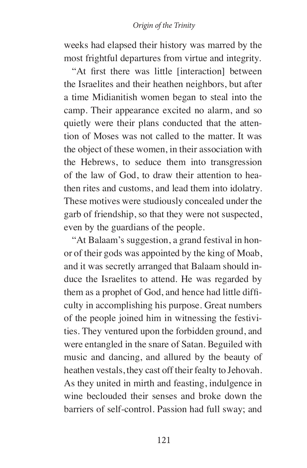weeks had elapsed their history was marred by the most frightful departures from virtue and integrity.

"At first there was little [interaction] between the Israelites and their heathen neighbors, but after a time Midianitish women began to steal into the camp. Their appearance excited no alarm, and so quietly were their plans conducted that the attention of Moses was not called to the matter. It was the object of these women, in their association with the Hebrews, to seduce them into transgression of the law of God, to draw their attention to heathen rites and customs, and lead them into idolatry. These motives were studiously concealed under the garb of friendship, so that they were not suspected, even by the guardians of the people.

"At Balaam's suggestion, a grand festival in honor of their gods was appointed by the king of Moab, and it was secretly arranged that Balaam should induce the Israelites to attend. He was regarded by them as a prophet of God, and hence had little difficulty in accomplishing his purpose. Great numbers of the people joined him in witnessing the festivities. They ventured upon the forbidden ground, and were entangled in the snare of Satan. Beguiled with music and dancing, and allured by the beauty of heathen vestals, they cast off their fealty to Jehovah. As they united in mirth and feasting, indulgence in wine beclouded their senses and broke down the barriers of self-control. Passion had full sway; and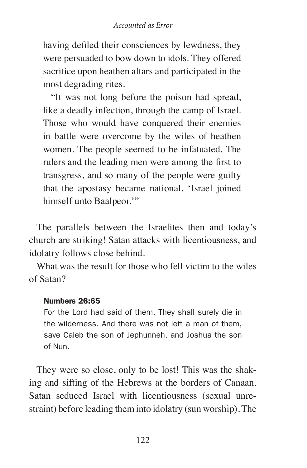having defiled their consciences by lewdness, they were persuaded to bow down to idols. They offered sacrifice upon heathen altars and participated in the most degrading rites.

"It was not long before the poison had spread, like a deadly infection, through the camp of Israel. Those who would have conquered their enemies in battle were overcome by the wiles of heathen women. The people seemed to be infatuated. The rulers and the leading men were among the first to transgress, and so many of the people were guilty that the apostasy became national. 'Israel joined himself unto Baalpeor."

The parallels between the Israelites then and today's church are striking! Satan attacks with licentiousness, and idolatry follows close behind.

What was the result for those who fell victim to the wiles of Satan?

## Numbers 26:65

For the Lord had said of them, They shall surely die in the wilderness. And there was not left a man of them, save Caleb the son of Jephunneh, and Joshua the son of Nun.

They were so close, only to be lost! This was the shaking and sifting of the Hebrews at the borders of Canaan. Satan seduced Israel with licentiousness (sexual unrestraint) before leading them into idolatry (sun worship). The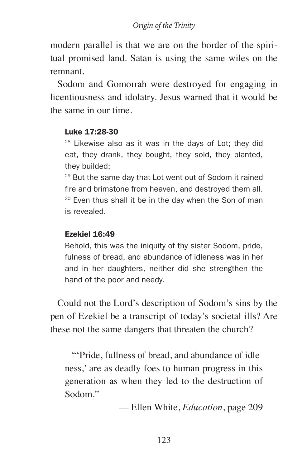modern parallel is that we are on the border of the spiritual promised land. Satan is using the same wiles on the remnant.

Sodom and Gomorrah were destroyed for engaging in licentiousness and idolatry. Jesus warned that it would be the same in our time.

## Luke 17:28-30

<sup>28</sup> Likewise also as it was in the days of Lot; they did eat, they drank, they bought, they sold, they planted, they builded;

29 But the same day that Lot went out of Sodom it rained fire and brimstone from heaven, and destroyed them all.  $30$  Even thus shall it be in the day when the Son of man is revealed.

## Ezekiel 16:49

Behold, this was the iniquity of thy sister Sodom, pride, fulness of bread, and abundance of idleness was in her and in her daughters, neither did she strengthen the hand of the poor and needy.

Could not the Lord's description of Sodom's sins by the pen of Ezekiel be a transcript of today's societal ills? Are these not the same dangers that threaten the church?

"'Pride, fullness of bread, and abundance of idleness,' are as deadly foes to human progress in this generation as when they led to the destruction of Sodom."

–– Ellen White, *Education*, page 209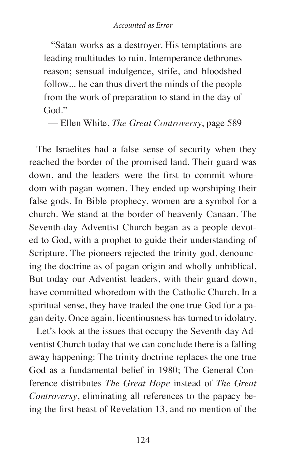"Satan works as a destroyer. His temptations are leading multitudes to ruin. Intemperance dethrones reason; sensual indulgence, strife, and bloodshed follow... he can thus divert the minds of the people from the work of preparation to stand in the day of God<sup>"</sup>

–– Ellen White, *The Great Controversy*, page 589

The Israelites had a false sense of security when they reached the border of the promised land. Their guard was down, and the leaders were the first to commit whoredom with pagan women. They ended up worshiping their false gods. In Bible prophecy, women are a symbol for a church. We stand at the border of heavenly Canaan. The Seventh-day Adventist Church began as a people devoted to God, with a prophet to guide their understanding of Scripture. The pioneers rejected the trinity god, denouncing the doctrine as of pagan origin and wholly unbiblical. But today our Adventist leaders, with their guard down, have committed whoredom with the Catholic Church. In a spiritual sense, they have traded the one true God for a pagan deity. Once again, licentiousness has turned to idolatry.

Let's look at the issues that occupy the Seventh-day Adventist Church today that we can conclude there is a falling away happening: The trinity doctrine replaces the one true God as a fundamental belief in 1980; The General Conference distributes *The Great Hope* instead of *The Great Controversy*, eliminating all references to the papacy being the first beast of Revelation 13, and no mention of the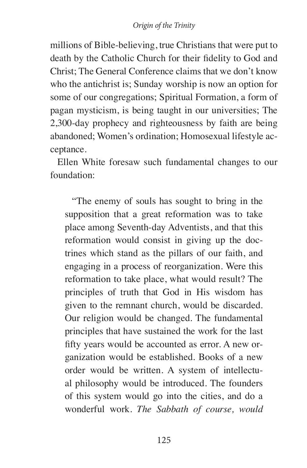millions of Bible-believing, true Christians that were put to death by the Catholic Church for their fidelity to God and Christ; The General Conference claims that we don't know who the antichrist is; Sunday worship is now an option for some of our congregations; Spiritual Formation, a form of pagan mysticism, is being taught in our universities; The 2,300-day prophecy and righteousness by faith are being abandoned; Women's ordination; Homosexual lifestyle acceptance.

Ellen White foresaw such fundamental changes to our foundation:

"The enemy of souls has sought to bring in the supposition that a great reformation was to take place among Seventh-day Adventists, and that this reformation would consist in giving up the doctrines which stand as the pillars of our faith, and engaging in a process of reorganization. Were this reformation to take place, what would result? The principles of truth that God in His wisdom has given to the remnant church, would be discarded. Our religion would be changed. The fundamental principles that have sustained the work for the last fifty years would be accounted as error. A new organization would be established. Books of a new order would be written. A system of intellectual philosophy would be introduced. The founders of this system would go into the cities, and do a wonderful work. *The Sabbath of course, would*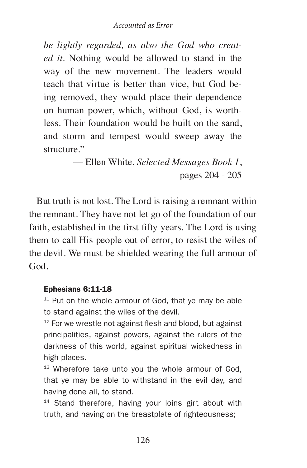*be lightly regarded, as also the God who created it.* Nothing would be allowed to stand in the way of the new movement. The leaders would teach that virtue is better than vice, but God being removed, they would place their dependence on human power, which, without God, is worthless. Their foundation would be built on the sand, and storm and tempest would sweep away the structure."

> –– Ellen White, *Selected Messages Book 1*, pages 204 - 205

But truth is not lost. The Lord is raising a remnant within the remnant. They have not let go of the foundation of our faith, established in the first fifty years. The Lord is using them to call His people out of error, to resist the wiles of the devil. We must be shielded wearing the full armour of God.

## Ephesians 6:11-18

 $11$  Put on the whole armour of God, that ye may be able to stand against the wiles of the devil.

 $12$  For we wrestle not against flesh and blood, but against principalities, against powers, against the rulers of the darkness of this world, against spiritual wickedness in high places.

<sup>13</sup> Wherefore take unto you the whole armour of God, that ye may be able to withstand in the evil day, and having done all, to stand.

<sup>14</sup> Stand therefore, having your loins girt about with truth, and having on the breastplate of righteousness;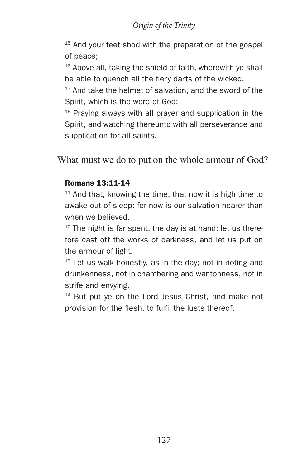<sup>15</sup> And your feet shod with the preparation of the gospel of peace;

 $16$  Above all, taking the shield of faith, wherewith ye shall be able to quench all the fiery darts of the wicked.

<sup>17</sup> And take the helmet of salvation, and the sword of the Spirit, which is the word of God:

<sup>18</sup> Praying always with all prayer and supplication in the Spirit, and watching thereunto with all perseverance and supplication for all saints.

What must we do to put on the whole armour of God?

## Romans 13:11-14

 $11$  And that, knowing the time, that now it is high time to awake out of sleep: for now is our salvation nearer than when we believed.

 $12$  The night is far spent, the day is at hand: let us therefore cast off the works of darkness, and let us put on the armour of light.

 $13$  Let us walk honestly, as in the day; not in rioting and drunkenness, not in chambering and wantonness, not in strife and envying.

<sup>14</sup> But put ye on the Lord Jesus Christ, and make not provision for the flesh, to fulfil the lusts thereof.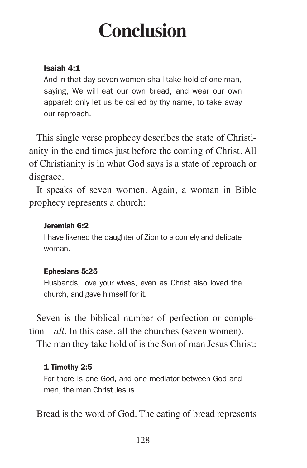# **Conclusion**

## Isaiah 4:1

And in that day seven women shall take hold of one man, saying, We will eat our own bread, and wear our own apparel: only let us be called by thy name, to take away our reproach.

This single verse prophecy describes the state of Christianity in the end times just before the coming of Christ. All of Christianity is in what God says is a state of reproach or disgrace.

It speaks of seven women. Again, a woman in Bible prophecy represents a church:

## Jeremiah 6:2

I have likened the daughter of Zion to a comely and delicate woman.

## Ephesians 5:25

Husbands, love your wives, even as Christ also loved the church, and gave himself for it.

Seven is the biblical number of perfection or completion––*all.* In this case, all the churches (seven women).

The man they take hold of is the Son of man Jesus Christ:

## 1 Timothy 2:5

For there is one God, and one mediator between God and men, the man Christ Jesus.

Bread is the word of God. The eating of bread represents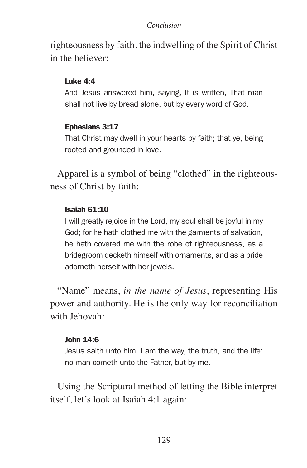## *Conclusion*

righteousness by faith, the indwelling of the Spirit of Christ in the believer:

## Luke 4:4

And Jesus answered him, saying, It is written, That man shall not live by bread alone, but by every word of God.

## Ephesians 3:17

That Christ may dwell in your hearts by faith; that ye, being rooted and grounded in love.

Apparel is a symbol of being "clothed" in the righteousness of Christ by faith:

## Isaiah 61:10

I will greatly rejoice in the Lord, my soul shall be joyful in my God; for he hath clothed me with the garments of salvation, he hath covered me with the robe of righteousness, as a bridegroom decketh himself with ornaments, and as a bride adorneth herself with her jewels.

"Name" means, *in the name of Jesus*, representing His power and authority. He is the only way for reconciliation with Jehovah:

## John 14:6

Jesus saith unto him, I am the way, the truth, and the life: no man cometh unto the Father, but by me.

Using the Scriptural method of letting the Bible interpret itself, let's look at Isaiah 4:1 again: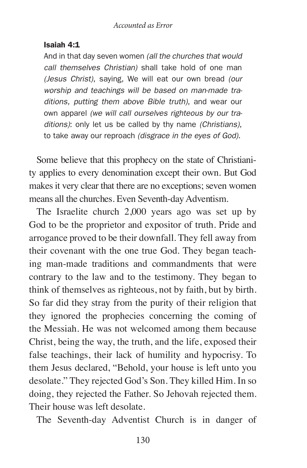#### Isaiah 4:1

And in that day seven women *(all the churches that would call themselves Christian)* shall take hold of one man *(Jesus Christ)*, saying, We will eat our own bread *(our worship and teachings will be based on man-made traditions, putting them above Bible truth)*, and wear our own apparel *(we will call ourselves righteous by our traditions)*: only let us be called by thy name *(Christians)*, to take away our reproach *(disgrace in the eyes of God)*.

Some believe that this prophecy on the state of Christianity applies to every denomination except their own. But God makes it very clear that there are no exceptions; seven women means all the churches. Even Seventh-day Adventism.

The Israelite church 2,000 years ago was set up by God to be the proprietor and expositor of truth. Pride and arrogance proved to be their downfall. They fell away from their covenant with the one true God. They began teaching man-made traditions and commandments that were contrary to the law and to the testimony. They began to think of themselves as righteous, not by faith, but by birth. So far did they stray from the purity of their religion that they ignored the prophecies concerning the coming of the Messiah. He was not welcomed among them because Christ, being the way, the truth, and the life, exposed their false teachings, their lack of humility and hypocrisy. To them Jesus declared, "Behold, your house is left unto you desolate." They rejected God's Son. They killed Him. In so doing, they rejected the Father. So Jehovah rejected them. Their house was left desolate.

The Seventh-day Adventist Church is in danger of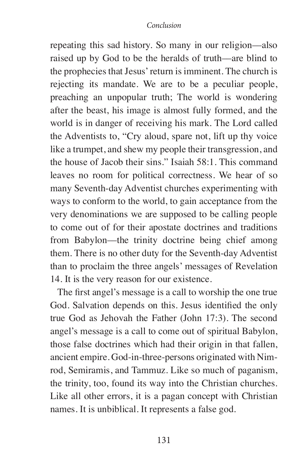#### *Conclusion*

repeating this sad history. So many in our religion––also raised up by God to be the heralds of truth––are blind to the prophecies that Jesus' return is imminent. The church is rejecting its mandate. We are to be a peculiar people, preaching an unpopular truth; The world is wondering after the beast, his image is almost fully formed, and the world is in danger of receiving his mark. The Lord called the Adventists to, "Cry aloud, spare not, lift up thy voice like a trumpet, and shew my people their transgression, and the house of Jacob their sins." Isaiah 58:1. This command leaves no room for political correctness. We hear of so many Seventh-day Adventist churches experimenting with ways to conform to the world, to gain acceptance from the very denominations we are supposed to be calling people to come out of for their apostate doctrines and traditions from Babylon––the trinity doctrine being chief among them. There is no other duty for the Seventh-day Adventist than to proclaim the three angels' messages of Revelation 14. It is the very reason for our existence.

The first angel's message is a call to worship the one true God. Salvation depends on this. Jesus identified the only true God as Jehovah the Father (John 17:3). The second angel's message is a call to come out of spiritual Babylon, those false doctrines which had their origin in that fallen, ancient empire. God-in-three-persons originated with Nimrod, Semiramis, and Tammuz. Like so much of paganism, the trinity, too, found its way into the Christian churches. Like all other errors, it is a pagan concept with Christian names. It is unbiblical. It represents a false god.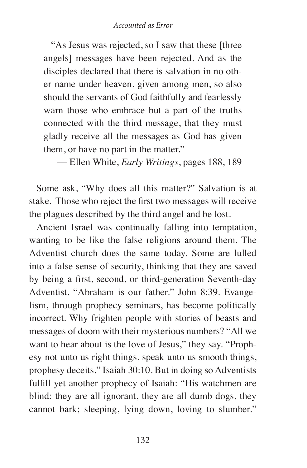"As Jesus was rejected, so I saw that these [three angels] messages have been rejected. And as the disciples declared that there is salvation in no other name under heaven, given among men, so also should the servants of God faithfully and fearlessly warn those who embrace but a part of the truths connected with the third message, that they must gladly receive all the messages as God has given them, or have no part in the matter."

–– Ellen White, *Early Writings*, pages 188, 189

Some ask, "Why does all this matter?" Salvation is at stake. Those who reject the first two messages will receive the plagues described by the third angel and be lost.

Ancient Israel was continually falling into temptation, wanting to be like the false religions around them. The Adventist church does the same today. Some are lulled into a false sense of security, thinking that they are saved by being a first, second, or third-generation Seventh-day Adventist. "Abraham is our father." John 8:39. Evangelism, through prophecy seminars, has become politically incorrect. Why frighten people with stories of beasts and messages of doom with their mysterious numbers? "All we want to hear about is the love of Jesus," they say. "Prophesy not unto us right things, speak unto us smooth things, prophesy deceits." Isaiah 30:10. But in doing so Adventists fulfill yet another prophecy of Isaiah: "His watchmen are blind: they are all ignorant, they are all dumb dogs, they cannot bark; sleeping, lying down, loving to slumber."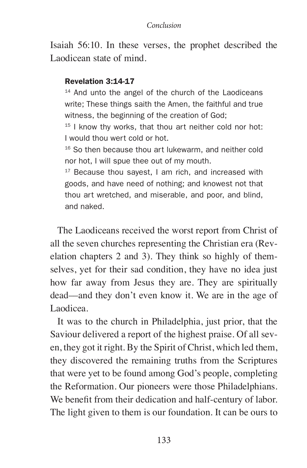Isaiah 56:10. In these verses, the prophet described the Laodicean state of mind.

## Revelation 3:14-17

<sup>14</sup> And unto the angel of the church of the Laodiceans write; These things saith the Amen, the faithful and true witness, the beginning of the creation of God;

<sup>15</sup> I know thy works, that thou art neither cold nor hot: I would thou wert cold or hot.

<sup>16</sup> So then because thou art lukewarm, and neither cold nor hot, I will spue thee out of my mouth.

<sup>17</sup> Because thou sayest, I am rich, and increased with goods, and have need of nothing; and knowest not that thou art wretched, and miserable, and poor, and blind, and naked.

The Laodiceans received the worst report from Christ of all the seven churches representing the Christian era (Revelation chapters 2 and 3). They think so highly of themselves, yet for their sad condition, they have no idea just how far away from Jesus they are. They are spiritually dead––and they don't even know it. We are in the age of Laodicea.

It was to the church in Philadelphia, just prior, that the Saviour delivered a report of the highest praise. Of all seven, they got it right. By the Spirit of Christ, which led them, they discovered the remaining truths from the Scriptures that were yet to be found among God's people, completing the Reformation. Our pioneers were those Philadelphians. We benefit from their dedication and half-century of labor. The light given to them is our foundation. It can be ours to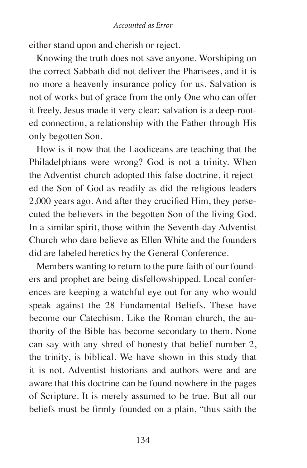either stand upon and cherish or reject.

Knowing the truth does not save anyone. Worshiping on the correct Sabbath did not deliver the Pharisees, and it is no more a heavenly insurance policy for us. Salvation is not of works but of grace from the only One who can offer it freely. Jesus made it very clear: salvation is a deep-rooted connection, a relationship with the Father through His only begotten Son.

How is it now that the Laodiceans are teaching that the Philadelphians were wrong? God is not a trinity. When the Adventist church adopted this false doctrine, it rejected the Son of God as readily as did the religious leaders 2,000 years ago. And after they crucified Him, they persecuted the believers in the begotten Son of the living God. In a similar spirit, those within the Seventh-day Adventist Church who dare believe as Ellen White and the founders did are labeled heretics by the General Conference.

Members wanting to return to the pure faith of our founders and prophet are being disfellowshipped. Local conferences are keeping a watchful eye out for any who would speak against the 28 Fundamental Beliefs. These have become our Catechism. Like the Roman church, the authority of the Bible has become secondary to them. None can say with any shred of honesty that belief number 2, the trinity, is biblical. We have shown in this study that it is not. Adventist historians and authors were and are aware that this doctrine can be found nowhere in the pages of Scripture. It is merely assumed to be true. But all our beliefs must be firmly founded on a plain, "thus saith the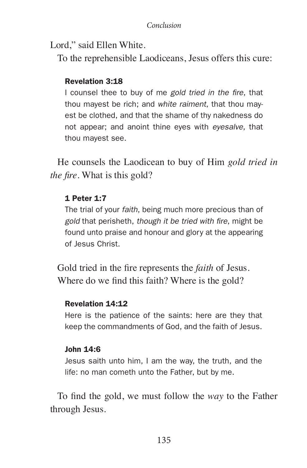Lord," said Ellen White.

To the reprehensible Laodiceans, Jesus offers this cure:

## Revelation 3:18

I counsel thee to buy of me *gold tried in the fire*, that thou mayest be rich; and *white raiment*, that thou mayest be clothed, and that the shame of thy nakedness do not appear; and anoint thine eyes with *eyesalve*, that thou mayest see.

He counsels the Laodicean to buy of Him *gold tried in the fire*. What is this gold?

## 1 Peter 1:7

The trial of your *faith*, being much more precious than of *gold* that perisheth, *though it be tried with fire*, might be found unto praise and honour and glory at the appearing of Jesus Christ.

Gold tried in the fire represents the *faith* of Jesus. Where do we find this faith? Where is the gold?

## Revelation 14:12

Here is the patience of the saints: here are they that keep the commandments of God, and the faith of Jesus.

## John 14:6

Jesus saith unto him, I am the way, the truth, and the life: no man cometh unto the Father, but by me.

To find the gold, we must follow the *way* to the Father through Jesus.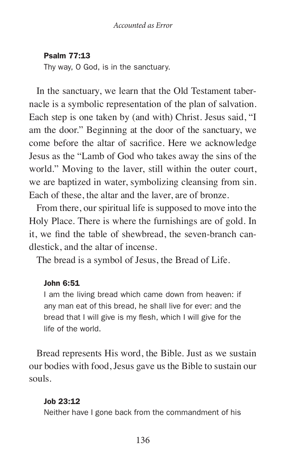#### Psalm 77:13

Thy way, O God, is in the sanctuary.

In the sanctuary, we learn that the Old Testament tabernacle is a symbolic representation of the plan of salvation. Each step is one taken by (and with) Christ. Jesus said, "I am the door." Beginning at the door of the sanctuary, we come before the altar of sacrifice. Here we acknowledge Jesus as the "Lamb of God who takes away the sins of the world." Moving to the laver, still within the outer court, we are baptized in water, symbolizing cleansing from sin. Each of these, the altar and the laver, are of bronze.

From there, our spiritual life is supposed to move into the Holy Place. There is where the furnishings are of gold. In it, we find the table of shewbread, the seven-branch candlestick, and the altar of incense.

The bread is a symbol of Jesus, the Bread of Life.

#### John 6:51

I am the living bread which came down from heaven: if any man eat of this bread, he shall live for ever: and the bread that I will give is my flesh, which I will give for the life of the world.

Bread represents His word, the Bible. Just as we sustain our bodies with food, Jesus gave us the Bible to sustain our souls.

## Job 23:12

Neither have I gone back from the commandment of his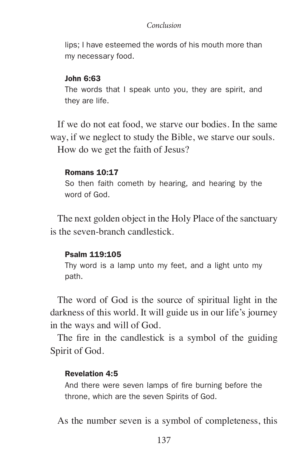#### *Conclusion*

lips; I have esteemed the words of his mouth more than my necessary food.

#### John 6:63

The words that I speak unto you, they are spirit, and they are life.

If we do not eat food, we starve our bodies. In the same way, if we neglect to study the Bible, we starve our souls. How do we get the faith of Jesus?

#### Romans 10:17

So then faith cometh by hearing, and hearing by the word of God.

The next golden object in the Holy Place of the sanctuary is the seven-branch candlestick.

#### Psalm 119:105

Thy word is a lamp unto my feet, and a light unto my path.

The word of God is the source of spiritual light in the darkness of this world. It will guide us in our life's journey in the ways and will of God.

The fire in the candlestick is a symbol of the guiding Spirit of God.

## Revelation 4:5

And there were seven lamps of fire burning before the throne, which are the seven Spirits of God.

As the number seven is a symbol of completeness, this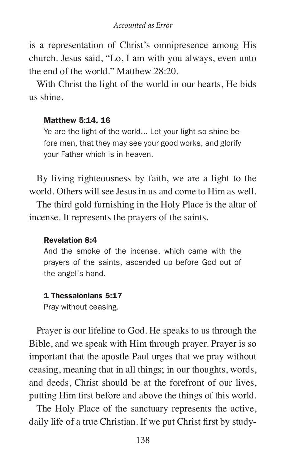is a representation of Christ's omnipresence among His church. Jesus said, "Lo, I am with you always, even unto the end of the world." Matthew 28:20.

With Christ the light of the world in our hearts, He bids us shine.

## Matthew 5:14, 16

Ye are the light of the world... Let your light so shine before men, that they may see your good works, and glorify your Father which is in heaven.

By living righteousness by faith, we are a light to the world. Others will see Jesus in us and come to Him as well.

The third gold furnishing in the Holy Place is the altar of incense. It represents the prayers of the saints.

## Revelation 8:4

And the smoke of the incense, which came with the prayers of the saints, ascended up before God out of the angel's hand.

## 1 Thessalonians 5:17

Pray without ceasing.

Prayer is our lifeline to God. He speaks to us through the Bible, and we speak with Him through prayer. Prayer is so important that the apostle Paul urges that we pray without ceasing, meaning that in all things; in our thoughts, words, and deeds, Christ should be at the forefront of our lives, putting Him first before and above the things of this world.

The Holy Place of the sanctuary represents the active, daily life of a true Christian. If we put Christ first by study-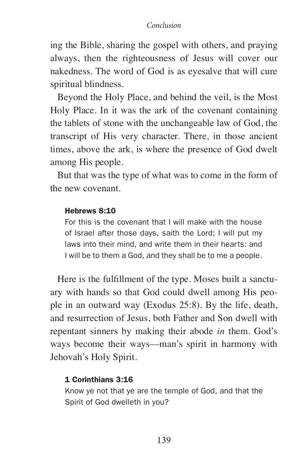#### *Conclusion*

ing the Bible, sharing the gospel with others, and praying always, then the righteousness of Jesus will cover our nakedness. The word of God is as eyesalve that will cure spiritual blindness.

Beyond the Holy Place, and behind the veil, is the Most Holy Place. In it was the ark of the covenant containing the tablets of stone with the unchangeable law of God, the transcript of His very character. There, in those ancient times, above the ark, is where the presence of God dwelt among His people.

But that was the type of what was to come in the form of the new covenant.

## Hebrews 8:10

For this is the covenant that I will make with the house of Israel after those days, saith the Lord; I will put my laws into their mind, and write them in their hearts: and I will be to them a God, and they shall be to me a people.

Here is the fulfillment of the type. Moses built a sanctuary with hands so that God could dwell among His people in an outward way (Exodus 25:8). By the life, death, and resurrection of Jesus, both Father and Son dwell with repentant sinners by making their abode *in* them. God's ways become their ways––man's spirit in harmony with Jehovah's Holy Spirit.

## 1 Corinthians 3:16

Know ye not that ye are the temple of God, and that the Spirit of God dwelleth in you?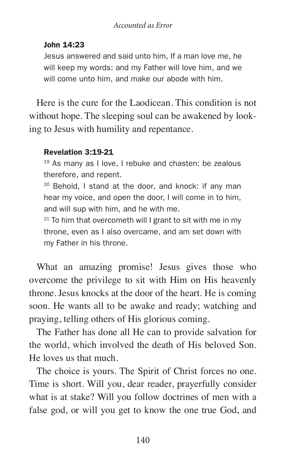#### John 14:23

Jesus answered and said unto him, If a man love me, he will keep my words: and my Father will love him, and we will come unto him, and make our abode with him.

Here is the cure for the Laodicean. This condition is not without hope. The sleeping soul can be awakened by looking to Jesus with humility and repentance.

#### Revelation 3:19-21

<sup>19</sup> As many as I love, I rebuke and chasten: be zealous therefore, and repent.

20 Behold, I stand at the door, and knock: if any man hear my voice, and open the door, I will come in to him, and will sup with him, and he with me.

 $21$  To him that overcometh will I grant to sit with me in my throne, even as I also overcame, and am set down with my Father in his throne.

What an amazing promise! Jesus gives those who overcome the privilege to sit with Him on His heavenly throne. Jesus knocks at the door of the heart. He is coming soon. He wants all to be awake and ready; watching and praying, telling others of His glorious coming.

The Father has done all He can to provide salvation for the world, which involved the death of His beloved Son. He loves us that much.

The choice is yours. The Spirit of Christ forces no one. Time is short. Will you, dear reader, prayerfully consider what is at stake? Will you follow doctrines of men with a false god, or will you get to know the one true God, and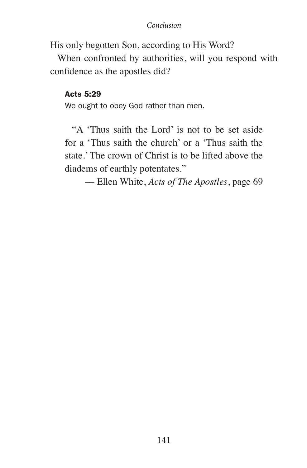## *Conclusion*

His only begotten Son, according to His Word?

When confronted by authorities, will you respond with confidence as the apostles did?

## Acts 5:29

We ought to obey God rather than men.

"A 'Thus saith the Lord' is not to be set aside for a 'Thus saith the church' or a 'Thus saith the state.' The crown of Christ is to be lifted above the diadems of earthly potentates."

–– Ellen White, *Acts of The Apostles*, page 69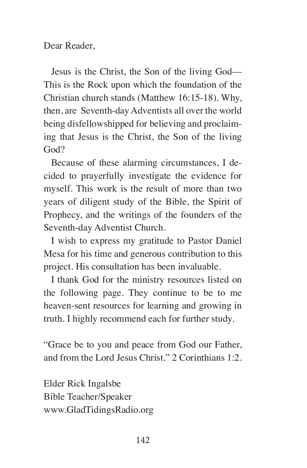Dear Reader,

Jesus is the Christ, the Son of the living God–– This is the Rock upon which the foundation of the Christian church stands (Matthew 16:15-18). Why, then, are Seventh-day Adventists all over the world being disfellowshipped for believing and proclaiming that Jesus is the Christ, the Son of the living God?

Because of these alarming circumstances, I decided to prayerfully investigate the evidence for myself. This work is the result of more than two years of diligent study of the Bible, the Spirit of Prophecy, and the writings of the founders of the Seventh-day Adventist Church.

I wish to express my gratitude to Pastor Daniel Mesa for his time and generous contribution to this project. His consultation has been invaluable.

I thank God for the ministry resources listed on the following page. They continue to be to me heaven-sent resources for learning and growing in truth. I highly recommend each for further study.

"Grace be to you and peace from God our Father, and from the Lord Jesus Christ." 2 Corinthians 1:2.

Elder Rick Ingalsbe Bible Teacher/Speaker www.GladTidingsRadio.org